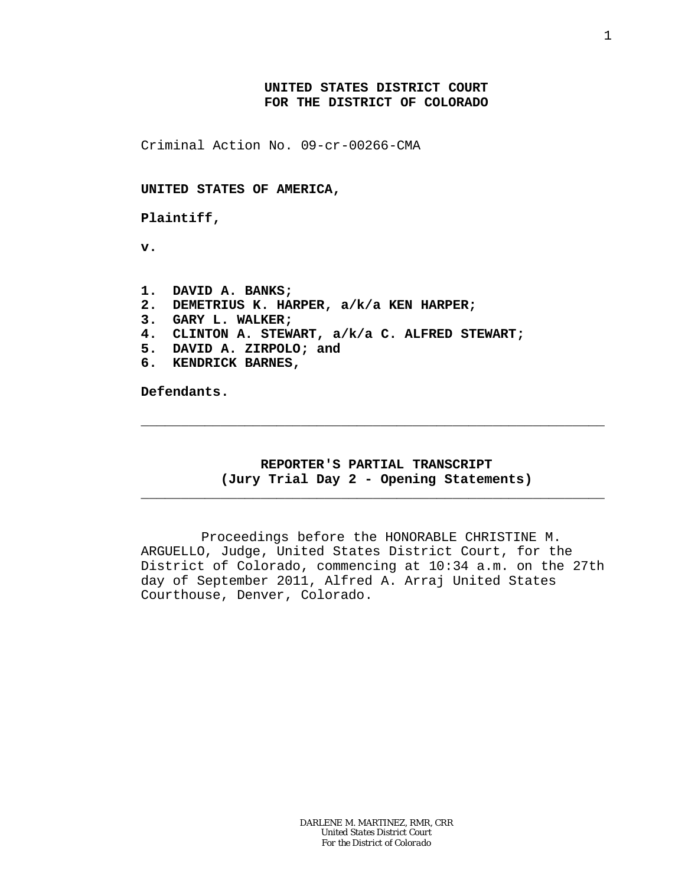## **UNITED STATES DISTRICT COURT FOR THE DISTRICT OF COLORADO**

Criminal Action No. 09-cr-00266-CMA

**UNITED STATES OF AMERICA,**

**Plaintiff,**

**v.**

**1. DAVID A. BANKS; 2. DEMETRIUS K. HARPER, a/k/a KEN HARPER; 3. GARY L. WALKER; 4. CLINTON A. STEWART, a/k/a C. ALFRED STEWART; 5. DAVID A. ZIRPOLO; and 6. KENDRICK BARNES,**

**Defendants.**

## **REPORTER'S PARTIAL TRANSCRIPT (Jury Trial Day 2 - Opening Statements)**

\_\_\_\_\_\_\_\_\_\_\_\_\_\_\_\_\_\_\_\_\_\_\_\_\_\_\_\_\_\_\_\_\_\_\_\_\_\_\_\_\_\_\_\_\_\_\_\_\_\_\_\_\_\_\_\_\_\_

\_\_\_\_\_\_\_\_\_\_\_\_\_\_\_\_\_\_\_\_\_\_\_\_\_\_\_\_\_\_\_\_\_\_\_\_\_\_\_\_\_\_\_\_\_\_\_\_\_\_\_\_\_\_\_\_\_\_

Proceedings before the HONORABLE CHRISTINE M. ARGUELLO, Judge, United States District Court, for the District of Colorado, commencing at 10:34 a.m. on the 27th day of September 2011, Alfred A. Arraj United States Courthouse, Denver, Colorado.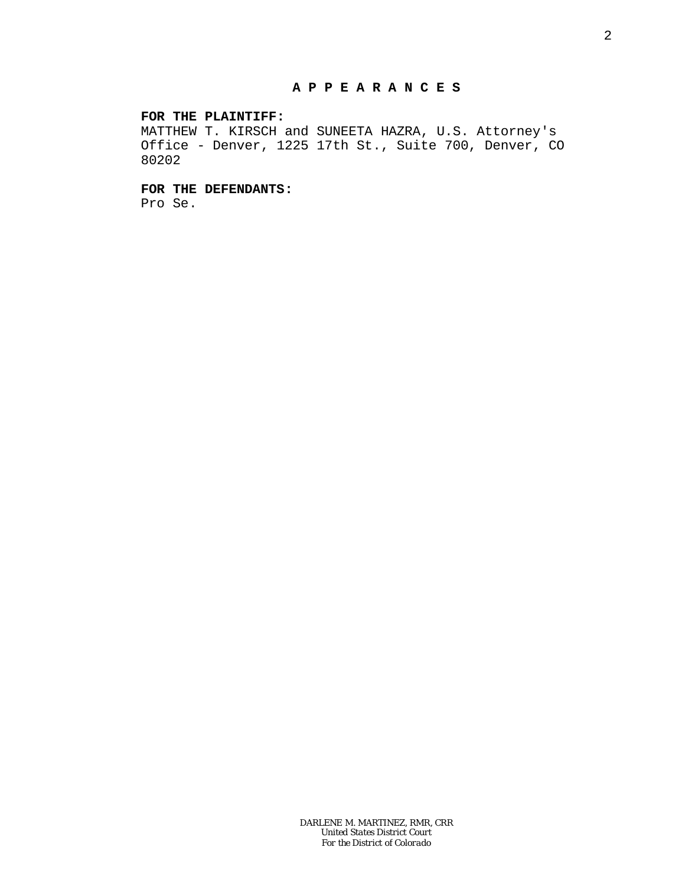### **FOR THE PLAINTIFF:**

MATTHEW T. KIRSCH and SUNEETA HAZRA, U.S. Attorney's Office - Denver, 1225 17th St., Suite 700, Denver, CO 80202

**FOR THE DEFENDANTS:**

Pro Se.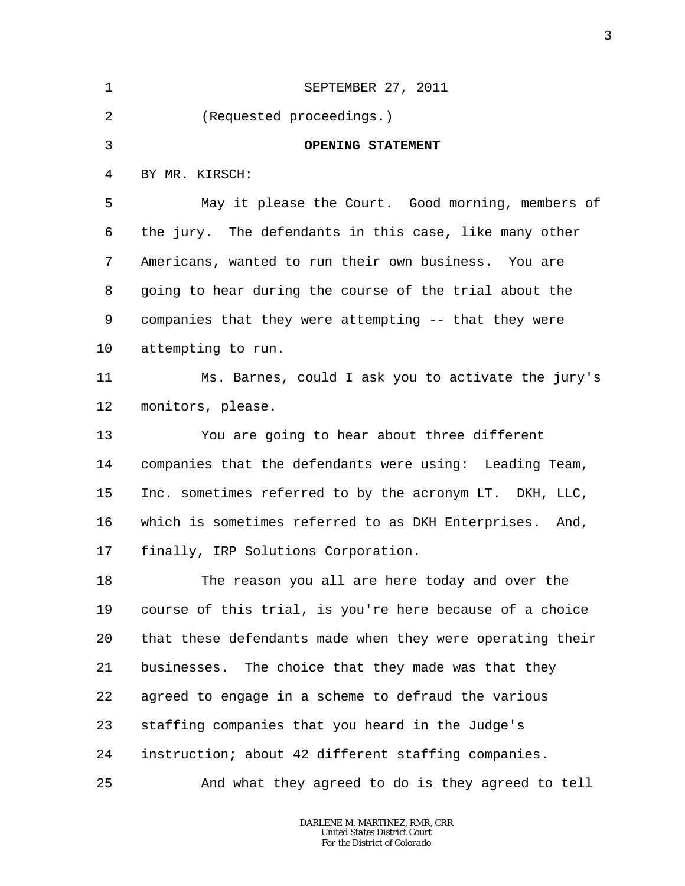| $\mathbf{1}$ | SEPTEMBER 27, 2011                                        |
|--------------|-----------------------------------------------------------|
| 2            | (Requested proceedings.)                                  |
| 3            | OPENING STATEMENT                                         |
| 4            | BY MR. KIRSCH:                                            |
| 5            | May it please the Court. Good morning, members of         |
| 6            | the jury. The defendants in this case, like many other    |
| 7            | Americans, wanted to run their own business. You are      |
| 8            | going to hear during the course of the trial about the    |
| 9            | companies that they were attempting -- that they were     |
| 10           | attempting to run.                                        |
| 11           | Ms. Barnes, could I ask you to activate the jury's        |
| 12           | monitors, please.                                         |
| 13           | You are going to hear about three different               |
| 14           | companies that the defendants were using: Leading Team,   |
| 15           | Inc. sometimes referred to by the acronym LT. DKH, LLC,   |
| 16           | which is sometimes referred to as DKH Enterprises. And,   |
| 17           | finally, IRP Solutions Corporation.                       |
| 18           | The reason you all are here today and over the            |
| 19           | course of this trial, is you're here because of a choice  |
| 20           | that these defendants made when they were operating their |
| 21           | businesses. The choice that they made was that they       |
| 22           | agreed to engage in a scheme to defraud the various       |
| 23           | staffing companies that you heard in the Judge's          |
| 24           | instruction; about 42 different staffing companies.       |
| 25           | And what they agreed to do is they agreed to tell         |

3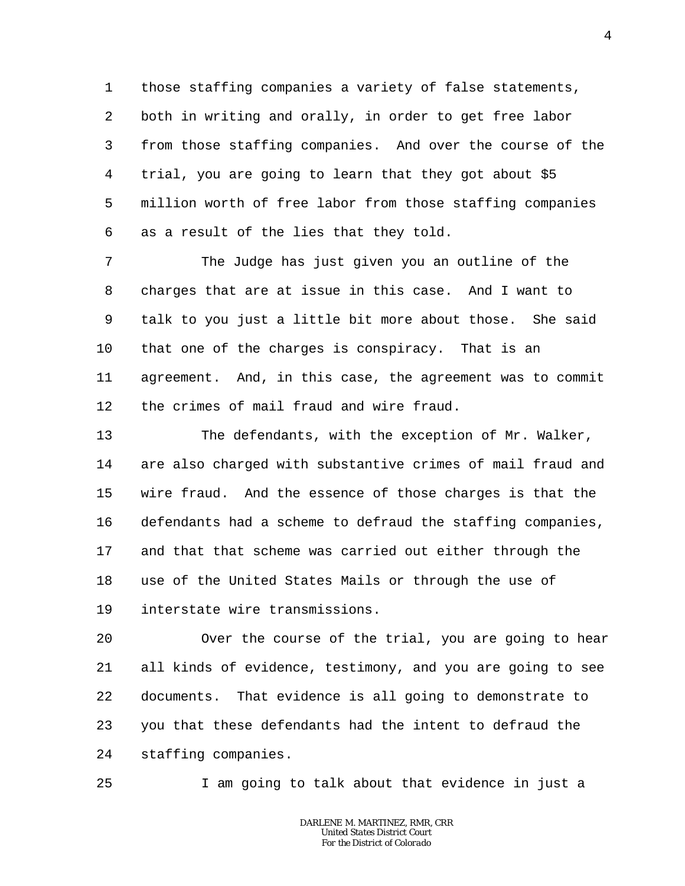1 2 3 4 5 6 those staffing companies a variety of false statements, both in writing and orally, in order to get free labor from those staffing companies. And over the course of the trial, you are going to learn that they got about \$5 million worth of free labor from those staffing companies as a result of the lies that they told.

7 8 9 10 11 12 The Judge has just given you an outline of the charges that are at issue in this case. And I want to talk to you just a little bit more about those. She said that one of the charges is conspiracy. That is an agreement. And, in this case, the agreement was to commit the crimes of mail fraud and wire fraud.

13 14 15 16 17 18 19 The defendants, with the exception of Mr. Walker, are also charged with substantive crimes of mail fraud and wire fraud. And the essence of those charges is that the defendants had a scheme to defraud the staffing companies, and that that scheme was carried out either through the use of the United States Mails or through the use of interstate wire transmissions.

20 21 22 23 24 Over the course of the trial, you are going to hear all kinds of evidence, testimony, and you are going to see documents. That evidence is all going to demonstrate to you that these defendants had the intent to defraud the staffing companies.

I am going to talk about that evidence in just a

25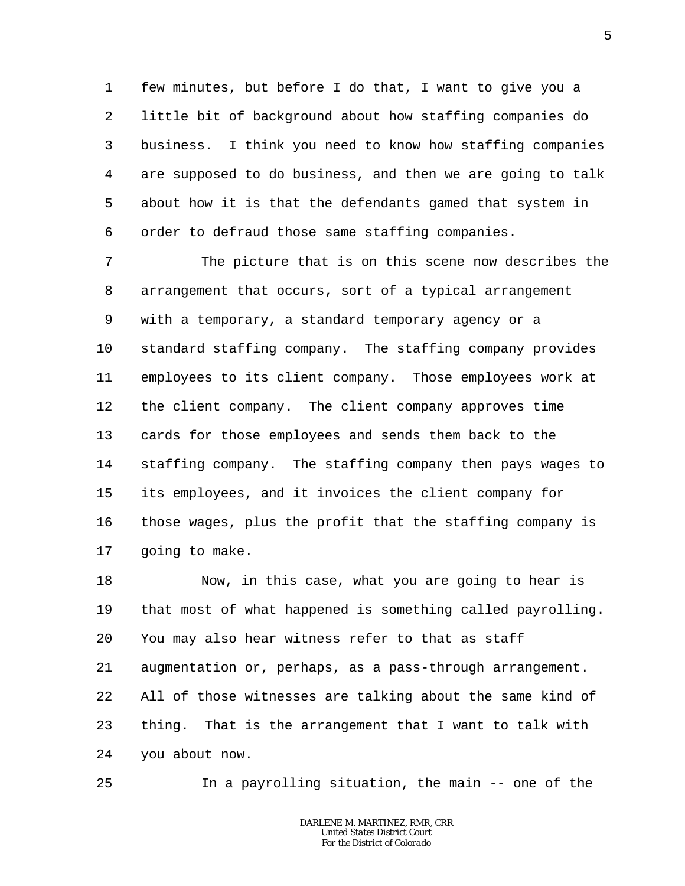1 2 3 4 5 6 few minutes, but before I do that, I want to give you a little bit of background about how staffing companies do business. I think you need to know how staffing companies are supposed to do business, and then we are going to talk about how it is that the defendants gamed that system in order to defraud those same staffing companies.

7 8 9 10 11 12 13 14 15 16 17 The picture that is on this scene now describes the arrangement that occurs, sort of a typical arrangement with a temporary, a standard temporary agency or a standard staffing company. The staffing company provides employees to its client company. Those employees work at the client company. The client company approves time cards for those employees and sends them back to the staffing company. The staffing company then pays wages to its employees, and it invoices the client company for those wages, plus the profit that the staffing company is going to make.

18 19 20 21 22 23 24 Now, in this case, what you are going to hear is that most of what happened is something called payrolling. You may also hear witness refer to that as staff augmentation or, perhaps, as a pass-through arrangement. All of those witnesses are talking about the same kind of thing. That is the arrangement that I want to talk with you about now.

25 In a payrolling situation, the main -- one of the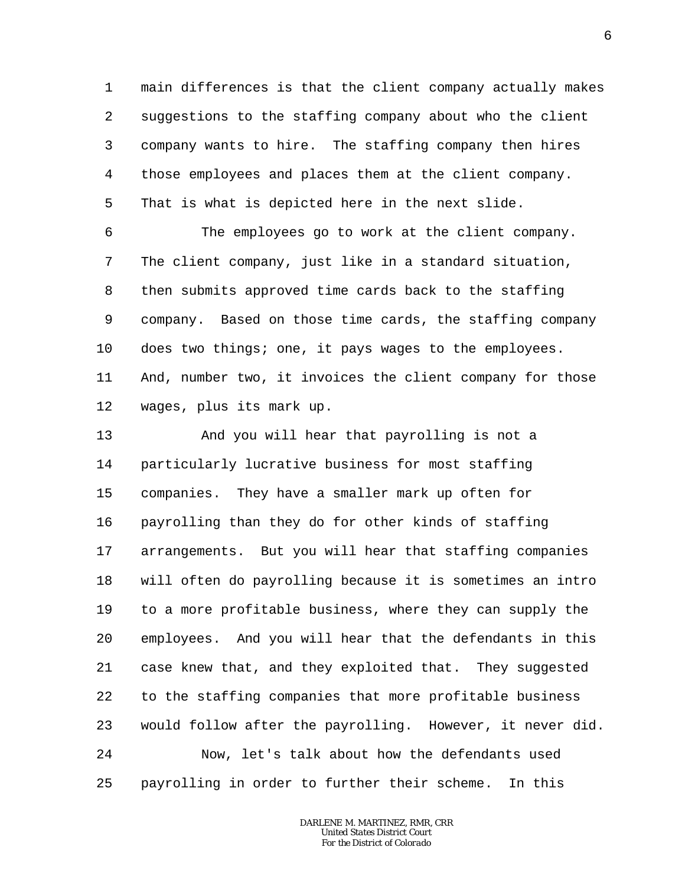1 2 3 4 5 main differences is that the client company actually makes suggestions to the staffing company about who the client company wants to hire. The staffing company then hires those employees and places them at the client company. That is what is depicted here in the next slide.

6 7 8 9 10 11 12 The employees go to work at the client company. The client company, just like in a standard situation, then submits approved time cards back to the staffing company. Based on those time cards, the staffing company does two things; one, it pays wages to the employees. And, number two, it invoices the client company for those wages, plus its mark up.

13 14 15 16 17 18 19 20 21 22 23 24 25 And you will hear that payrolling is not a particularly lucrative business for most staffing companies. They have a smaller mark up often for payrolling than they do for other kinds of staffing arrangements. But you will hear that staffing companies will often do payrolling because it is sometimes an intro to a more profitable business, where they can supply the employees. And you will hear that the defendants in this case knew that, and they exploited that. They suggested to the staffing companies that more profitable business would follow after the payrolling. However, it never did. Now, let's talk about how the defendants used payrolling in order to further their scheme. In this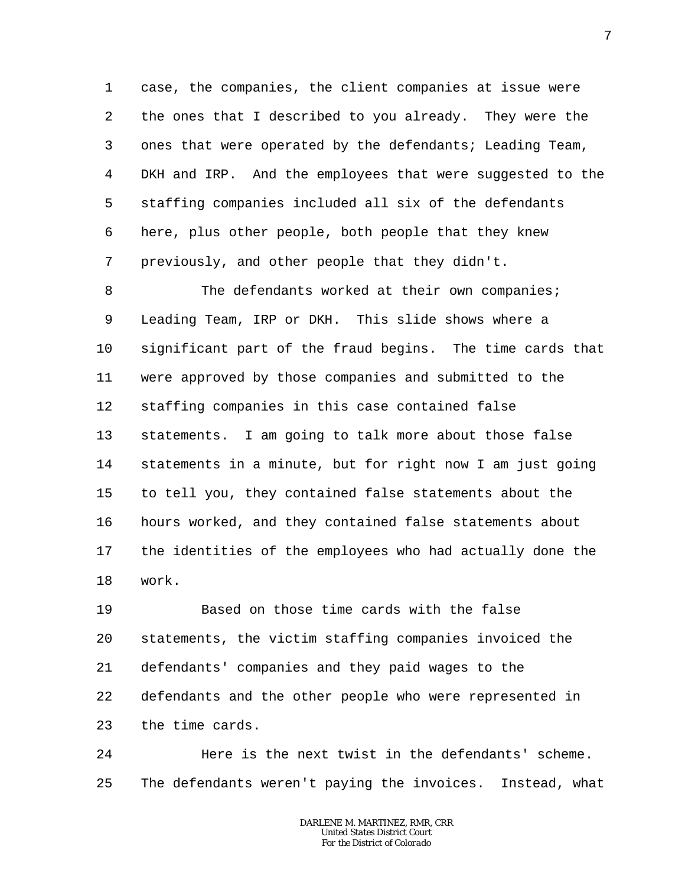1 2 3 4 5 6 7 case, the companies, the client companies at issue were the ones that I described to you already. They were the ones that were operated by the defendants; Leading Team, DKH and IRP. And the employees that were suggested to the staffing companies included all six of the defendants here, plus other people, both people that they knew previously, and other people that they didn't.

8 9 10 11 12 13 14 15 16 17 18 The defendants worked at their own companies; Leading Team, IRP or DKH. This slide shows where a significant part of the fraud begins. The time cards that were approved by those companies and submitted to the staffing companies in this case contained false statements. I am going to talk more about those false statements in a minute, but for right now I am just going to tell you, they contained false statements about the hours worked, and they contained false statements about the identities of the employees who had actually done the work.

19 20 21 22 23 Based on those time cards with the false statements, the victim staffing companies invoiced the defendants' companies and they paid wages to the defendants and the other people who were represented in the time cards.

24 25 Here is the next twist in the defendants' scheme. The defendants weren't paying the invoices. Instead, what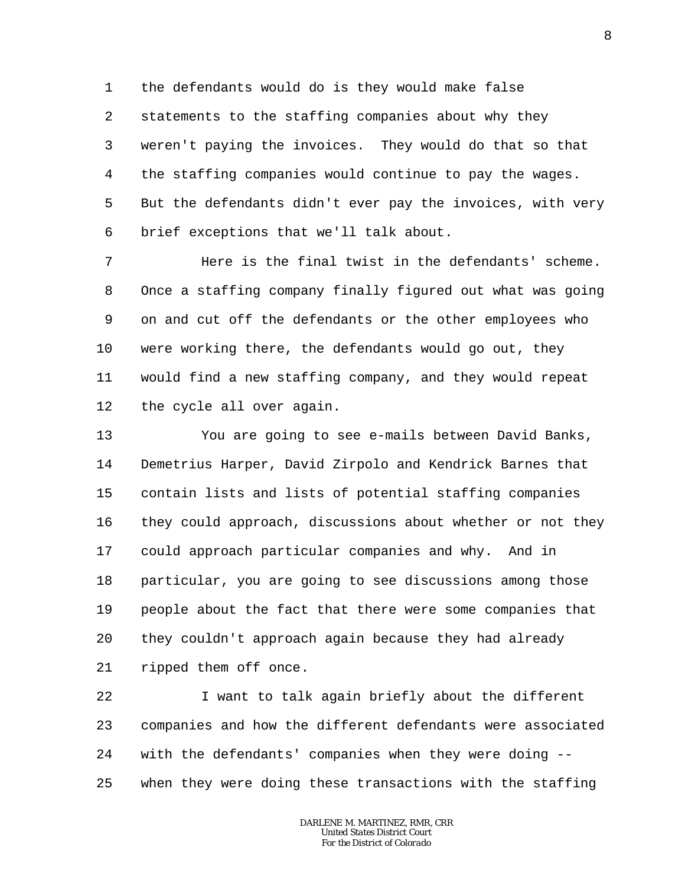1 2 3 4 5 6 the defendants would do is they would make false statements to the staffing companies about why they weren't paying the invoices. They would do that so that the staffing companies would continue to pay the wages. But the defendants didn't ever pay the invoices, with very brief exceptions that we'll talk about.

7 8 9 10 11 12 Here is the final twist in the defendants' scheme. Once a staffing company finally figured out what was going on and cut off the defendants or the other employees who were working there, the defendants would go out, they would find a new staffing company, and they would repeat the cycle all over again.

13 14 15 16 17 18 19 20 21 You are going to see e-mails between David Banks, Demetrius Harper, David Zirpolo and Kendrick Barnes that contain lists and lists of potential staffing companies they could approach, discussions about whether or not they could approach particular companies and why. And in particular, you are going to see discussions among those people about the fact that there were some companies that they couldn't approach again because they had already ripped them off once.

22 23 24 25 I want to talk again briefly about the different companies and how the different defendants were associated with the defendants' companies when they were doing - when they were doing these transactions with the staffing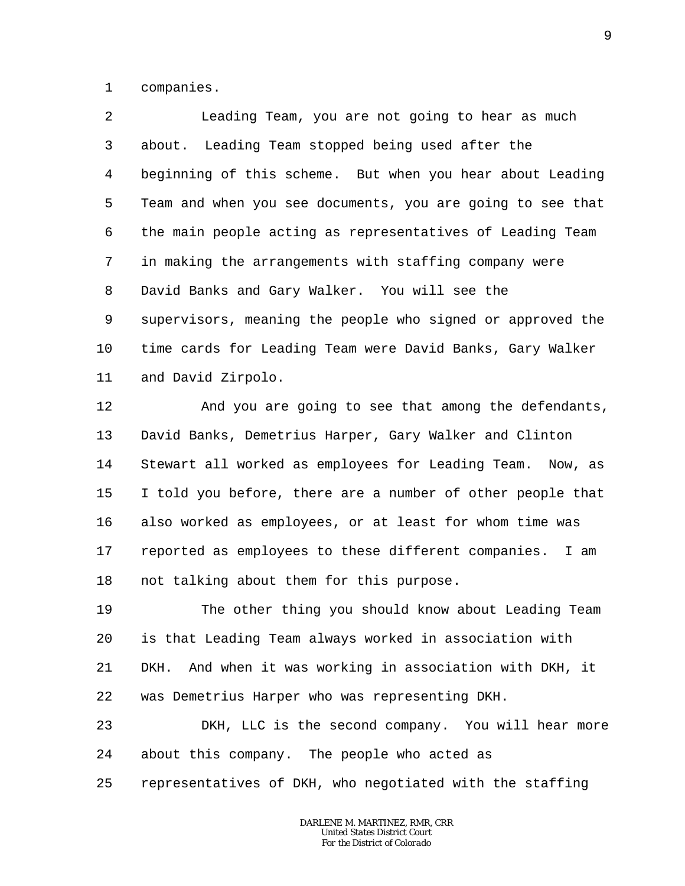1 companies.

2 3 4 5 6 7 8 9 10 11 Leading Team, you are not going to hear as much about. Leading Team stopped being used after the beginning of this scheme. But when you hear about Leading Team and when you see documents, you are going to see that the main people acting as representatives of Leading Team in making the arrangements with staffing company were David Banks and Gary Walker. You will see the supervisors, meaning the people who signed or approved the time cards for Leading Team were David Banks, Gary Walker and David Zirpolo.

12 13 14 15 16 17 18 And you are going to see that among the defendants, David Banks, Demetrius Harper, Gary Walker and Clinton Stewart all worked as employees for Leading Team. Now, as I told you before, there are a number of other people that also worked as employees, or at least for whom time was reported as employees to these different companies. I am not talking about them for this purpose.

19 20 21 22 The other thing you should know about Leading Team is that Leading Team always worked in association with DKH. And when it was working in association with DKH, it was Demetrius Harper who was representing DKH.

23 24 DKH, LLC is the second company. You will hear more about this company. The people who acted as

25 representatives of DKH, who negotiated with the staffing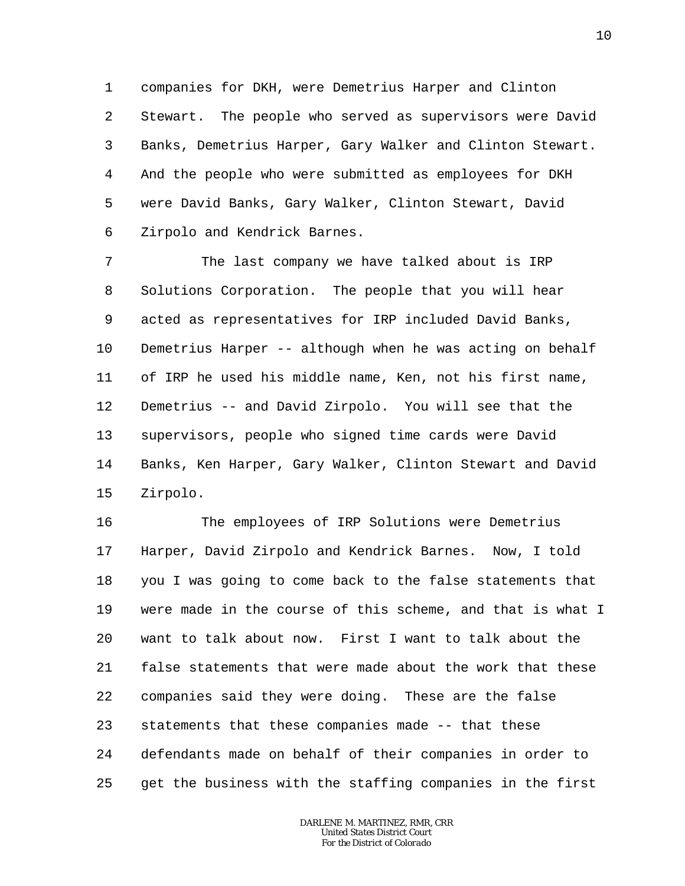1 2 3 4 5 6 companies for DKH, were Demetrius Harper and Clinton Stewart. The people who served as supervisors were David Banks, Demetrius Harper, Gary Walker and Clinton Stewart. And the people who were submitted as employees for DKH were David Banks, Gary Walker, Clinton Stewart, David Zirpolo and Kendrick Barnes.

7 8 9 10 11 12 13 14 15 The last company we have talked about is IRP Solutions Corporation. The people that you will hear acted as representatives for IRP included David Banks, Demetrius Harper -- although when he was acting on behalf of IRP he used his middle name, Ken, not his first name, Demetrius -- and David Zirpolo. You will see that the supervisors, people who signed time cards were David Banks, Ken Harper, Gary Walker, Clinton Stewart and David Zirpolo.

16 17 18 19 20 21 22 23 24 25 The employees of IRP Solutions were Demetrius Harper, David Zirpolo and Kendrick Barnes. Now, I told you I was going to come back to the false statements that were made in the course of this scheme, and that is what I want to talk about now. First I want to talk about the false statements that were made about the work that these companies said they were doing. These are the false statements that these companies made -- that these defendants made on behalf of their companies in order to get the business with the staffing companies in the first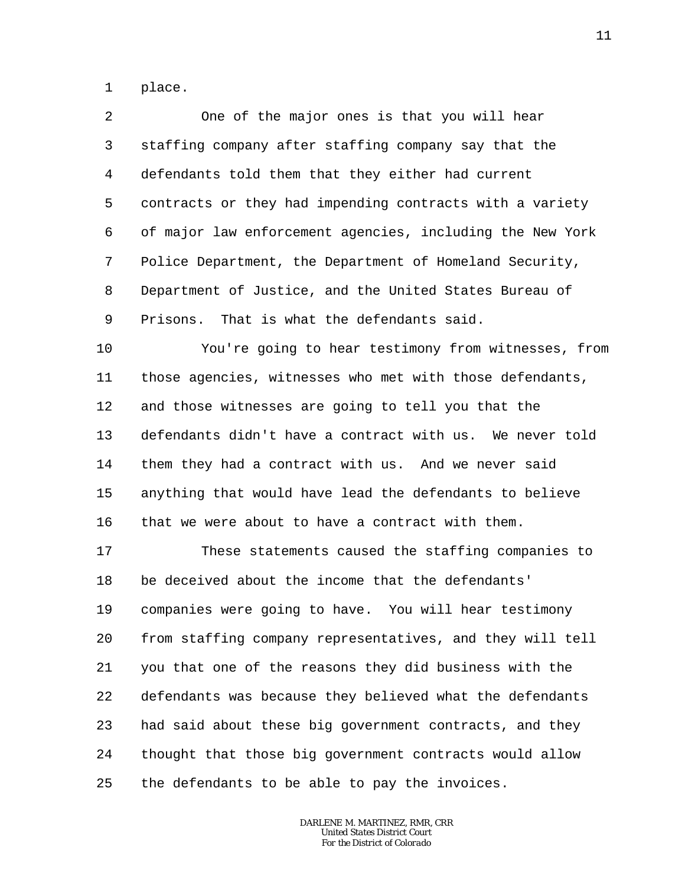1 place.

2 3 4 5 6 7 8 9 One of the major ones is that you will hear staffing company after staffing company say that the defendants told them that they either had current contracts or they had impending contracts with a variety of major law enforcement agencies, including the New York Police Department, the Department of Homeland Security, Department of Justice, and the United States Bureau of Prisons. That is what the defendants said.

10 11 12 13 14 15 16 You're going to hear testimony from witnesses, from those agencies, witnesses who met with those defendants, and those witnesses are going to tell you that the defendants didn't have a contract with us. We never told them they had a contract with us. And we never said anything that would have lead the defendants to believe that we were about to have a contract with them.

17 18 19 20 21 22 23 24 25 These statements caused the staffing companies to be deceived about the income that the defendants' companies were going to have. You will hear testimony from staffing company representatives, and they will tell you that one of the reasons they did business with the defendants was because they believed what the defendants had said about these big government contracts, and they thought that those big government contracts would allow the defendants to be able to pay the invoices.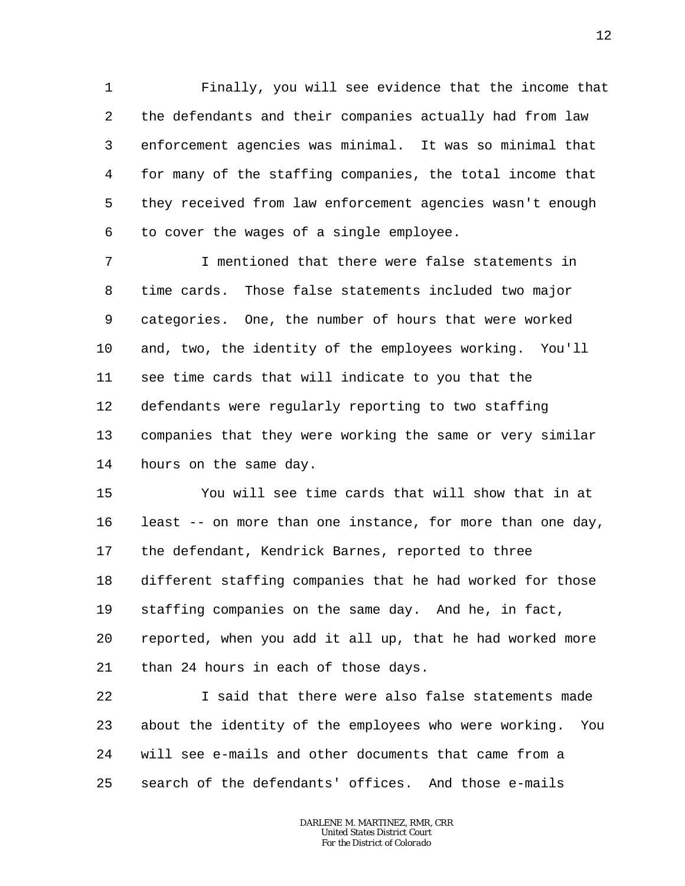1 2 3 4 5 6 Finally, you will see evidence that the income that the defendants and their companies actually had from law enforcement agencies was minimal. It was so minimal that for many of the staffing companies, the total income that they received from law enforcement agencies wasn't enough to cover the wages of a single employee.

7 8 9 10 11 12 13 14 I mentioned that there were false statements in time cards. Those false statements included two major categories. One, the number of hours that were worked and, two, the identity of the employees working. You'll see time cards that will indicate to you that the defendants were regularly reporting to two staffing companies that they were working the same or very similar hours on the same day.

15 16 17 18 19 20 21 You will see time cards that will show that in at least -- on more than one instance, for more than one day, the defendant, Kendrick Barnes, reported to three different staffing companies that he had worked for those staffing companies on the same day. And he, in fact, reported, when you add it all up, that he had worked more than 24 hours in each of those days.

22 23 24 25 I said that there were also false statements made about the identity of the employees who were working. You will see e-mails and other documents that came from a search of the defendants' offices. And those e-mails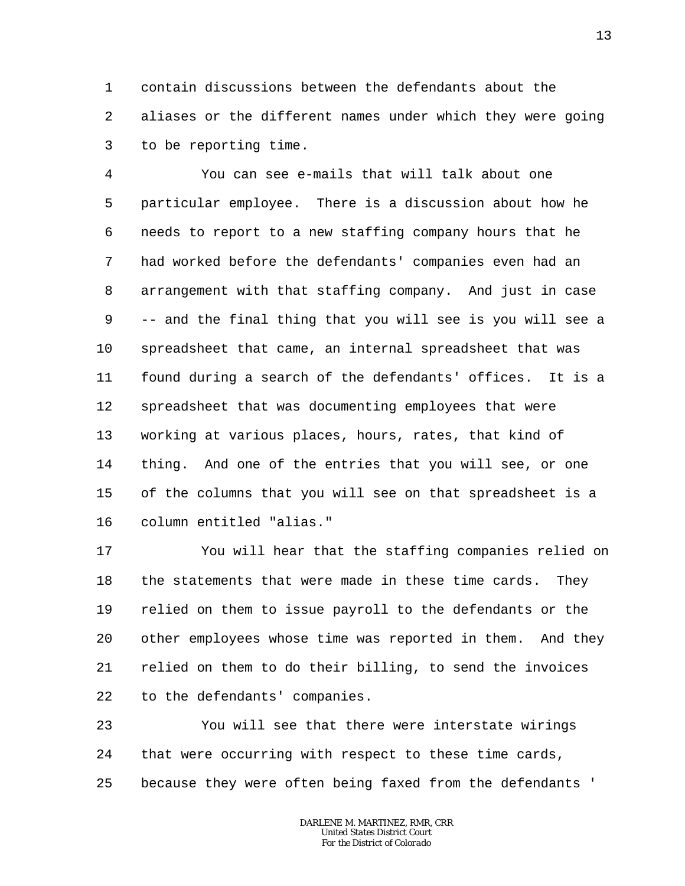1 2 3 contain discussions between the defendants about the aliases or the different names under which they were going to be reporting time.

4 5 6 7 8 9 10 11 12 13 14 15 16 You can see e-mails that will talk about one particular employee. There is a discussion about how he needs to report to a new staffing company hours that he had worked before the defendants' companies even had an arrangement with that staffing company. And just in case -- and the final thing that you will see is you will see a spreadsheet that came, an internal spreadsheet that was found during a search of the defendants' offices. It is a spreadsheet that was documenting employees that were working at various places, hours, rates, that kind of thing. And one of the entries that you will see, or one of the columns that you will see on that spreadsheet is a column entitled "alias."

17 18 19 20 21 22 You will hear that the staffing companies relied on the statements that were made in these time cards. They relied on them to issue payroll to the defendants or the other employees whose time was reported in them. And they relied on them to do their billing, to send the invoices to the defendants' companies.

23 24 25 You will see that there were interstate wirings that were occurring with respect to these time cards, because they were often being faxed from the defendants '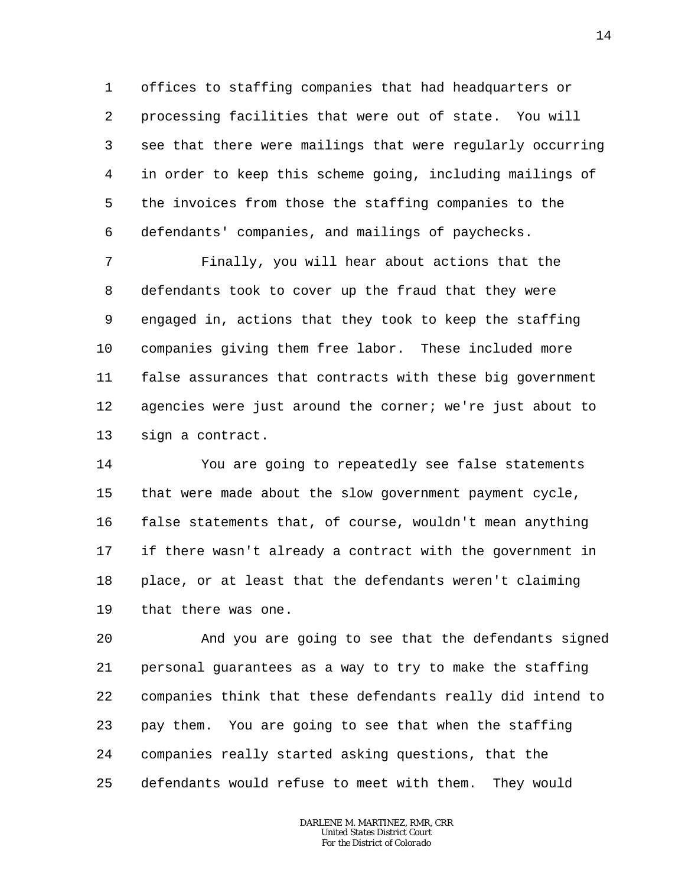1 2 3 4 5 6 offices to staffing companies that had headquarters or processing facilities that were out of state. You will see that there were mailings that were regularly occurring in order to keep this scheme going, including mailings of the invoices from those the staffing companies to the defendants' companies, and mailings of paychecks.

7 8 9 10 11 12 13 Finally, you will hear about actions that the defendants took to cover up the fraud that they were engaged in, actions that they took to keep the staffing companies giving them free labor. These included more false assurances that contracts with these big government agencies were just around the corner; we're just about to sign a contract.

14 15 16 17 18 19 You are going to repeatedly see false statements that were made about the slow government payment cycle, false statements that, of course, wouldn't mean anything if there wasn't already a contract with the government in place, or at least that the defendants weren't claiming that there was one.

20 21 22 23 24 25 And you are going to see that the defendants signed personal guarantees as a way to try to make the staffing companies think that these defendants really did intend to pay them. You are going to see that when the staffing companies really started asking questions, that the defendants would refuse to meet with them. They would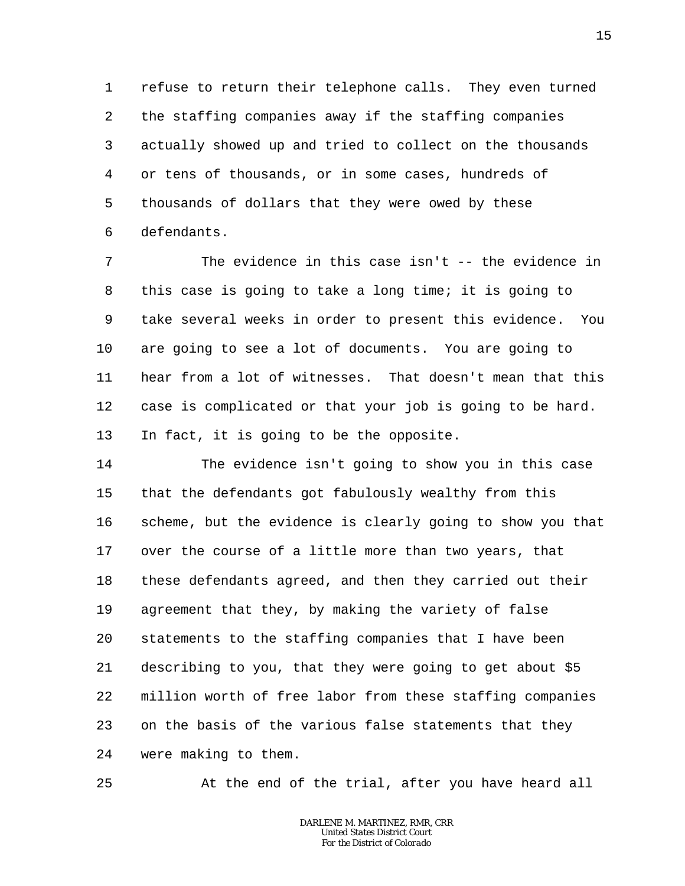1 2 3 4 5 6 refuse to return their telephone calls. They even turned the staffing companies away if the staffing companies actually showed up and tried to collect on the thousands or tens of thousands, or in some cases, hundreds of thousands of dollars that they were owed by these defendants.

7 8 9 10 11 12 13 The evidence in this case isn't -- the evidence in this case is going to take a long time; it is going to take several weeks in order to present this evidence. You are going to see a lot of documents. You are going to hear from a lot of witnesses. That doesn't mean that this case is complicated or that your job is going to be hard. In fact, it is going to be the opposite.

14 15 16 17 18 19 20 21 22 23 24 The evidence isn't going to show you in this case that the defendants got fabulously wealthy from this scheme, but the evidence is clearly going to show you that over the course of a little more than two years, that these defendants agreed, and then they carried out their agreement that they, by making the variety of false statements to the staffing companies that I have been describing to you, that they were going to get about \$5 million worth of free labor from these staffing companies on the basis of the various false statements that they were making to them.

25

At the end of the trial, after you have heard all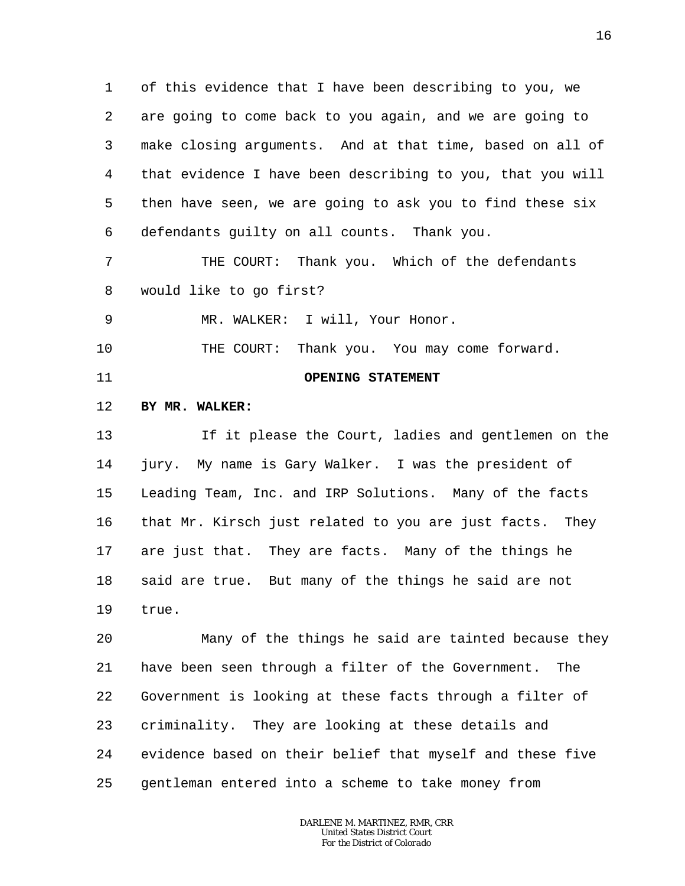1 2 3 4 5 6 of this evidence that I have been describing to you, we are going to come back to you again, and we are going to make closing arguments. And at that time, based on all of that evidence I have been describing to you, that you will then have seen, we are going to ask you to find these six defendants guilty on all counts. Thank you.

7 8 THE COURT: Thank you. Which of the defendants would like to go first?

9 MR. WALKER: I will, Your Honor.

10 THE COURT: Thank you. You may come forward.

11

# **OPENING STATEMENT**

#### 12 **BY MR. WALKER:**

13 14 15 16 17 18 19 If it please the Court, ladies and gentlemen on the jury. My name is Gary Walker. I was the president of Leading Team, Inc. and IRP Solutions. Many of the facts that Mr. Kirsch just related to you are just facts. They are just that. They are facts. Many of the things he said are true. But many of the things he said are not true.

20 21 22 23 24 25 Many of the things he said are tainted because they have been seen through a filter of the Government. The Government is looking at these facts through a filter of criminality. They are looking at these details and evidence based on their belief that myself and these five gentleman entered into a scheme to take money from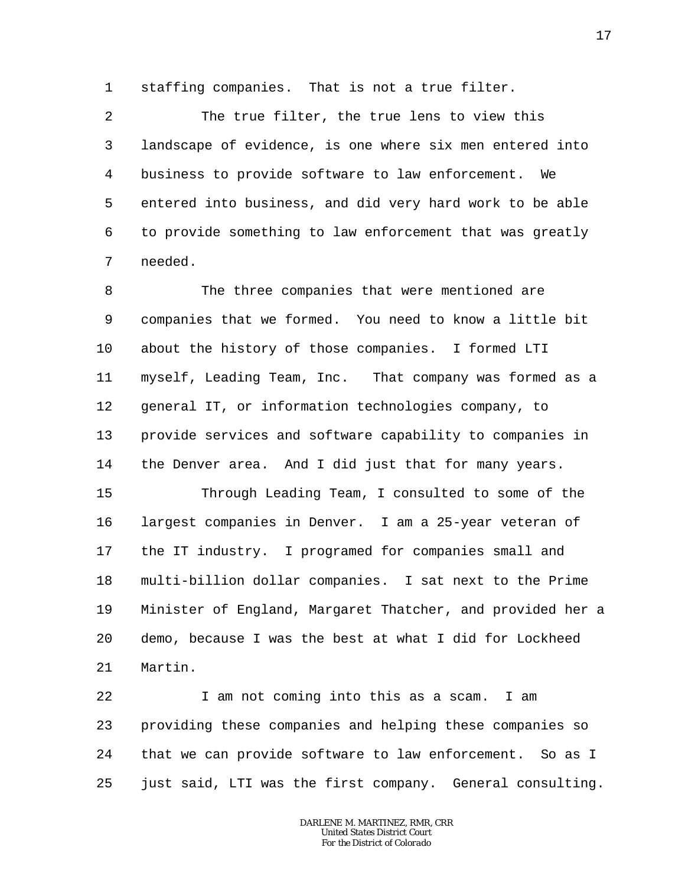1 staffing companies. That is not a true filter.

2 3 4 5 6 7 The true filter, the true lens to view this landscape of evidence, is one where six men entered into business to provide software to law enforcement. We entered into business, and did very hard work to be able to provide something to law enforcement that was greatly needed.

8 9 10 11 12 13 14 The three companies that were mentioned are companies that we formed. You need to know a little bit about the history of those companies. I formed LTI myself, Leading Team, Inc. That company was formed as a general IT, or information technologies company, to provide services and software capability to companies in the Denver area. And I did just that for many years.

15 16 17 18 19 20 21 Through Leading Team, I consulted to some of the largest companies in Denver. I am a 25-year veteran of the IT industry. I programed for companies small and multi-billion dollar companies. I sat next to the Prime Minister of England, Margaret Thatcher, and provided her a demo, because I was the best at what I did for Lockheed Martin.

22 23 24 25 I am not coming into this as a scam. I am providing these companies and helping these companies so that we can provide software to law enforcement. So as I just said, LTI was the first company. General consulting.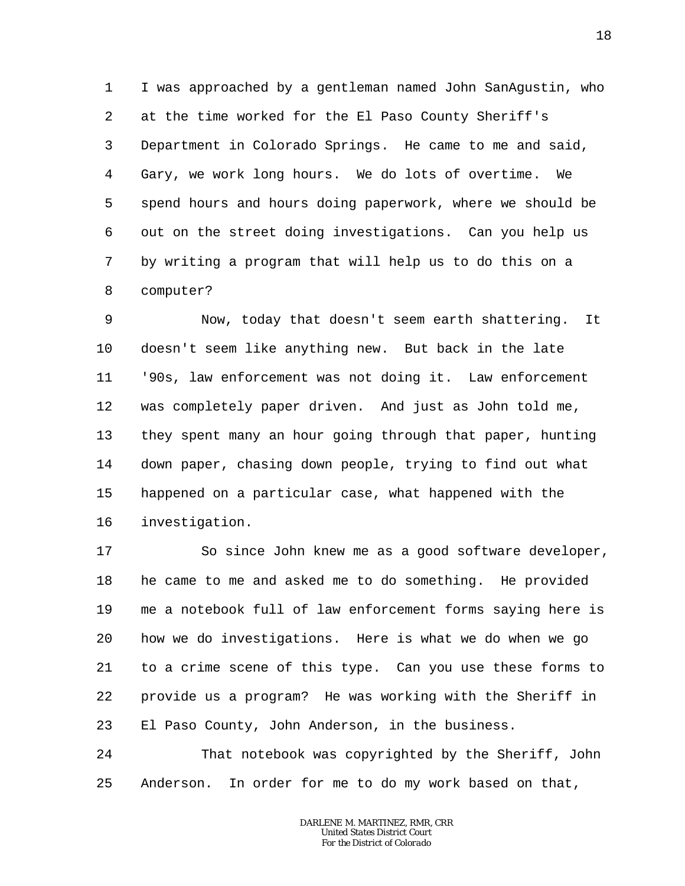1 2 3 4 5 6 7 8 I was approached by a gentleman named John SanAgustin, who at the time worked for the El Paso County Sheriff's Department in Colorado Springs. He came to me and said, Gary, we work long hours. We do lots of overtime. We spend hours and hours doing paperwork, where we should be out on the street doing investigations. Can you help us by writing a program that will help us to do this on a computer?

9 10 11 12 13 14 15 16 Now, today that doesn't seem earth shattering. It doesn't seem like anything new. But back in the late '90s, law enforcement was not doing it. Law enforcement was completely paper driven. And just as John told me, they spent many an hour going through that paper, hunting down paper, chasing down people, trying to find out what happened on a particular case, what happened with the investigation.

17 18 19 20 21 22 23 So since John knew me as a good software developer, he came to me and asked me to do something. He provided me a notebook full of law enforcement forms saying here is how we do investigations. Here is what we do when we go to a crime scene of this type. Can you use these forms to provide us a program? He was working with the Sheriff in El Paso County, John Anderson, in the business.

24 25 That notebook was copyrighted by the Sheriff, John Anderson. In order for me to do my work based on that,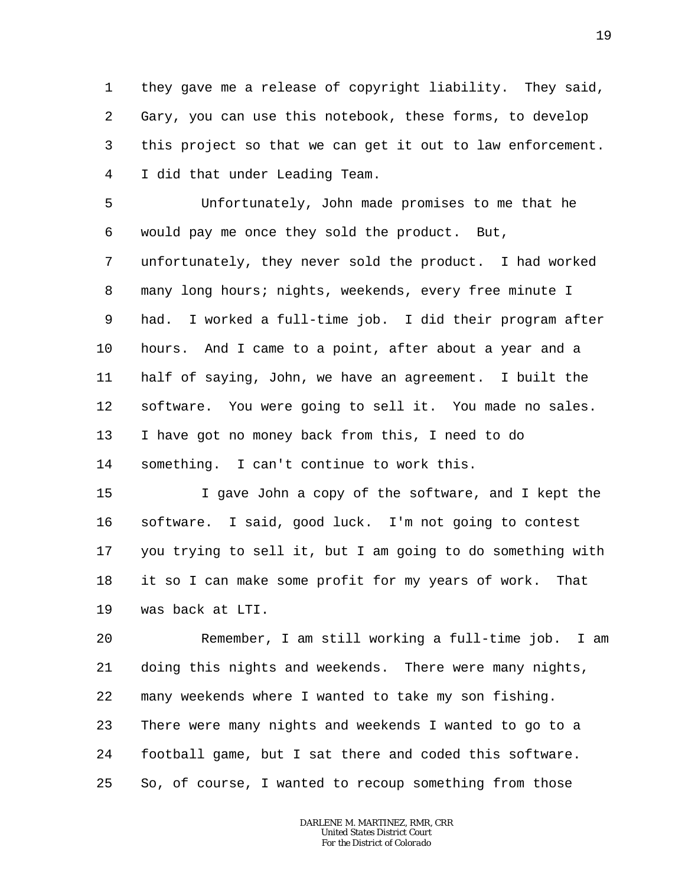1 2 3 4 they gave me a release of copyright liability. They said, Gary, you can use this notebook, these forms, to develop this project so that we can get it out to law enforcement. I did that under Leading Team.

5 6 7 8 9 10 11 12 13 14 Unfortunately, John made promises to me that he would pay me once they sold the product. But, unfortunately, they never sold the product. I had worked many long hours; nights, weekends, every free minute I had. I worked a full-time job. I did their program after hours. And I came to a point, after about a year and a half of saying, John, we have an agreement. I built the software. You were going to sell it. You made no sales. I have got no money back from this, I need to do something. I can't continue to work this.

15 16 17 18 19 I gave John a copy of the software, and I kept the software. I said, good luck. I'm not going to contest you trying to sell it, but I am going to do something with it so I can make some profit for my years of work. That was back at LTI.

20 21 22 23 24 25 Remember, I am still working a full-time job. I am doing this nights and weekends. There were many nights, many weekends where I wanted to take my son fishing. There were many nights and weekends I wanted to go to a football game, but I sat there and coded this software. So, of course, I wanted to recoup something from those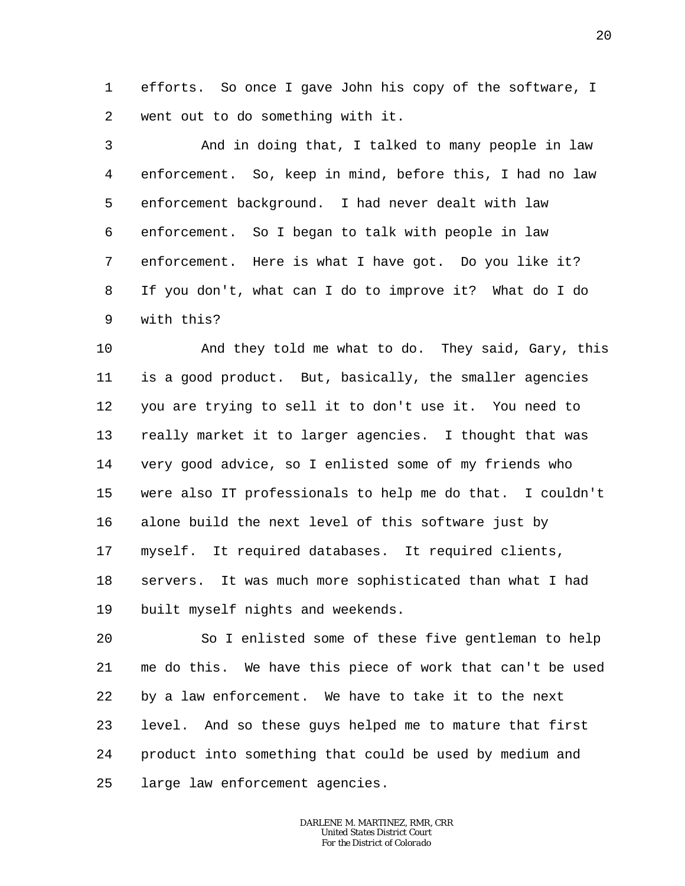1 2 efforts. So once I gave John his copy of the software, I went out to do something with it.

3 4 5 6 7 8 9 And in doing that, I talked to many people in law enforcement. So, keep in mind, before this, I had no law enforcement background. I had never dealt with law enforcement. So I began to talk with people in law enforcement. Here is what I have got. Do you like it? If you don't, what can I do to improve it? What do I do with this?

10 11 12 13 14 15 16 17 18 19 And they told me what to do. They said, Gary, this is a good product. But, basically, the smaller agencies you are trying to sell it to don't use it. You need to really market it to larger agencies. I thought that was very good advice, so I enlisted some of my friends who were also IT professionals to help me do that. I couldn't alone build the next level of this software just by myself. It required databases. It required clients, servers. It was much more sophisticated than what I had built myself nights and weekends.

20 21 22 23 24 25 So I enlisted some of these five gentleman to help me do this. We have this piece of work that can't be used by a law enforcement. We have to take it to the next level. And so these guys helped me to mature that first product into something that could be used by medium and large law enforcement agencies.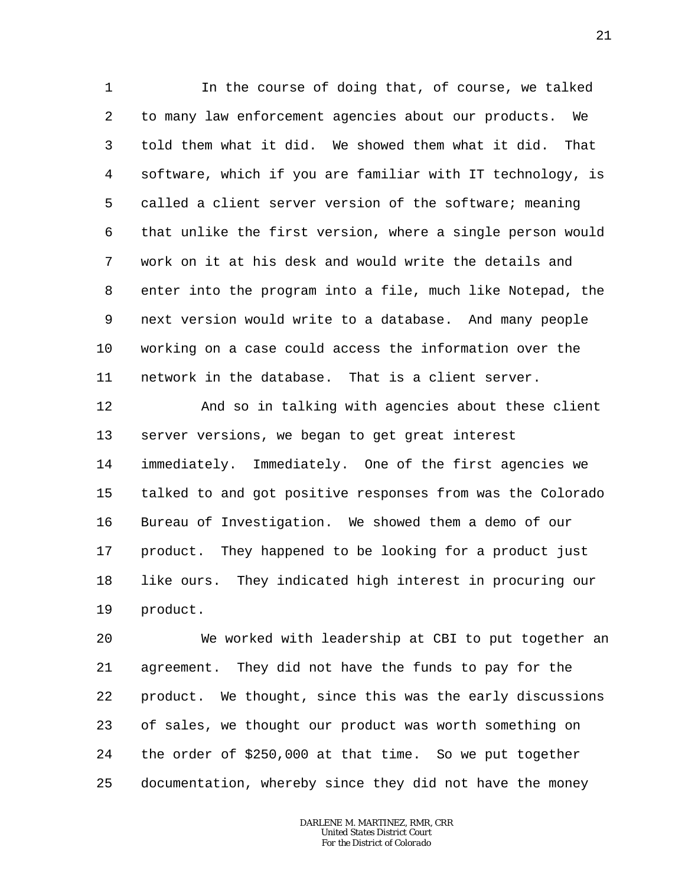1 2 3 4 5 6 7 8 9 10 11 In the course of doing that, of course, we talked to many law enforcement agencies about our products. We told them what it did. We showed them what it did. That software, which if you are familiar with IT technology, is called a client server version of the software; meaning that unlike the first version, where a single person would work on it at his desk and would write the details and enter into the program into a file, much like Notepad, the next version would write to a database. And many people working on a case could access the information over the network in the database. That is a client server.

12 13 14 15 16 17 18 19 And so in talking with agencies about these client server versions, we began to get great interest immediately. Immediately. One of the first agencies we talked to and got positive responses from was the Colorado Bureau of Investigation. We showed them a demo of our product. They happened to be looking for a product just like ours. They indicated high interest in procuring our product.

20 21 22 23 24 25 We worked with leadership at CBI to put together an agreement. They did not have the funds to pay for the product. We thought, since this was the early discussions of sales, we thought our product was worth something on the order of \$250,000 at that time. So we put together documentation, whereby since they did not have the money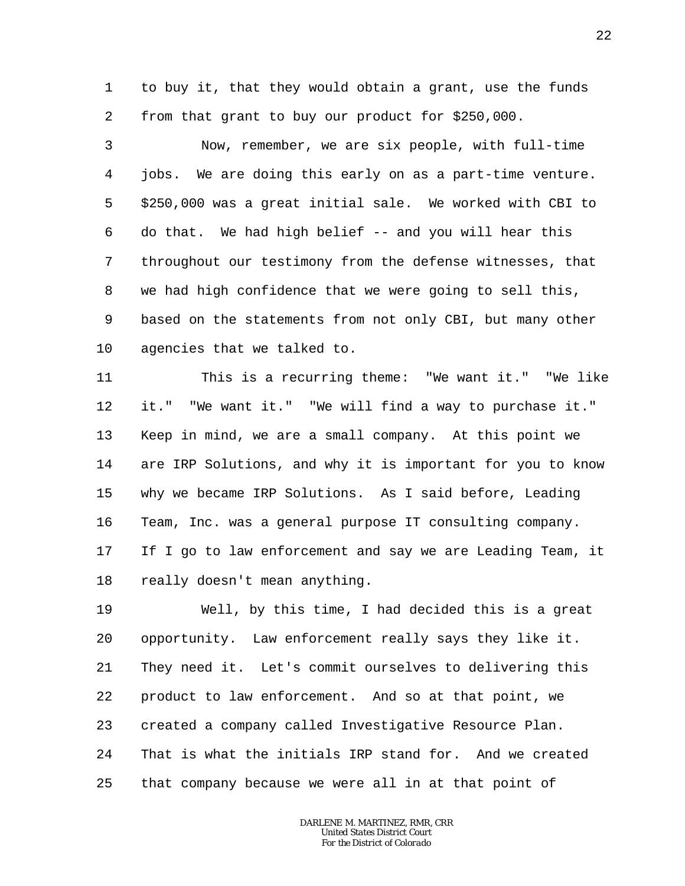1 2 to buy it, that they would obtain a grant, use the funds from that grant to buy our product for \$250,000.

3 4 5 6 7 8 9 10 Now, remember, we are six people, with full-time jobs. We are doing this early on as a part-time venture. \$250,000 was a great initial sale. We worked with CBI to do that. We had high belief -- and you will hear this throughout our testimony from the defense witnesses, that we had high confidence that we were going to sell this, based on the statements from not only CBI, but many other agencies that we talked to.

11 12 13 14 15 16 17 18 This is a recurring theme: "We want it." "We like it." "We want it." "We will find a way to purchase it." Keep in mind, we are a small company. At this point we are IRP Solutions, and why it is important for you to know why we became IRP Solutions. As I said before, Leading Team, Inc. was a general purpose IT consulting company. If I go to law enforcement and say we are Leading Team, it really doesn't mean anything.

19 20 21 22 23 24 25 Well, by this time, I had decided this is a great opportunity. Law enforcement really says they like it. They need it. Let's commit ourselves to delivering this product to law enforcement. And so at that point, we created a company called Investigative Resource Plan. That is what the initials IRP stand for. And we created that company because we were all in at that point of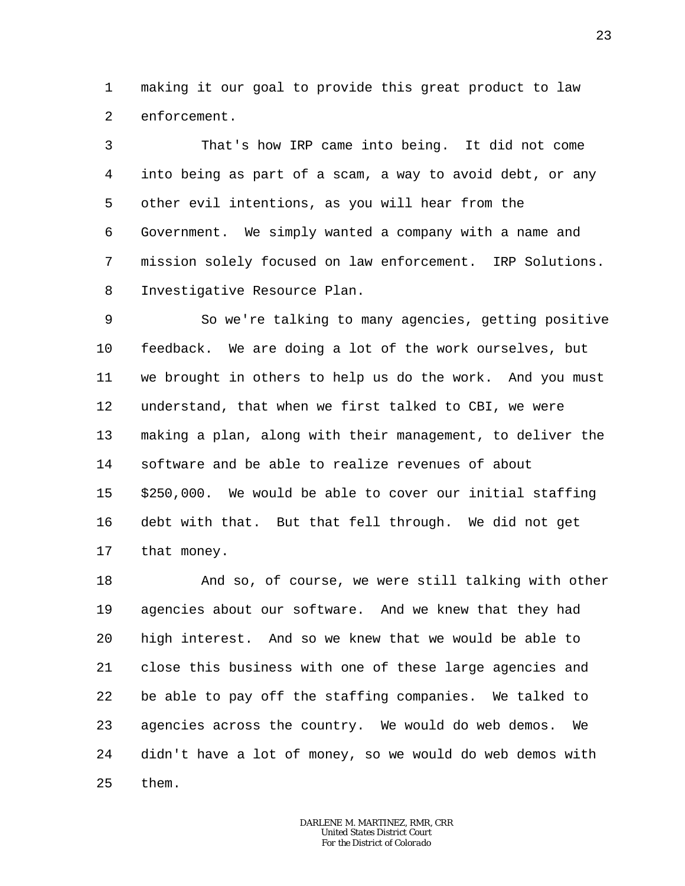1 2 making it our goal to provide this great product to law enforcement.

3 4 5 6 7 8 That's how IRP came into being. It did not come into being as part of a scam, a way to avoid debt, or any other evil intentions, as you will hear from the Government. We simply wanted a company with a name and mission solely focused on law enforcement. IRP Solutions. Investigative Resource Plan.

9 10 11 12 13 14 15 16 17 So we're talking to many agencies, getting positive feedback. We are doing a lot of the work ourselves, but we brought in others to help us do the work. And you must understand, that when we first talked to CBI, we were making a plan, along with their management, to deliver the software and be able to realize revenues of about \$250,000. We would be able to cover our initial staffing debt with that. But that fell through. We did not get that money.

18 19 20 21 22 23 24 25 And so, of course, we were still talking with other agencies about our software. And we knew that they had high interest. And so we knew that we would be able to close this business with one of these large agencies and be able to pay off the staffing companies. We talked to agencies across the country. We would do web demos. We didn't have a lot of money, so we would do web demos with them.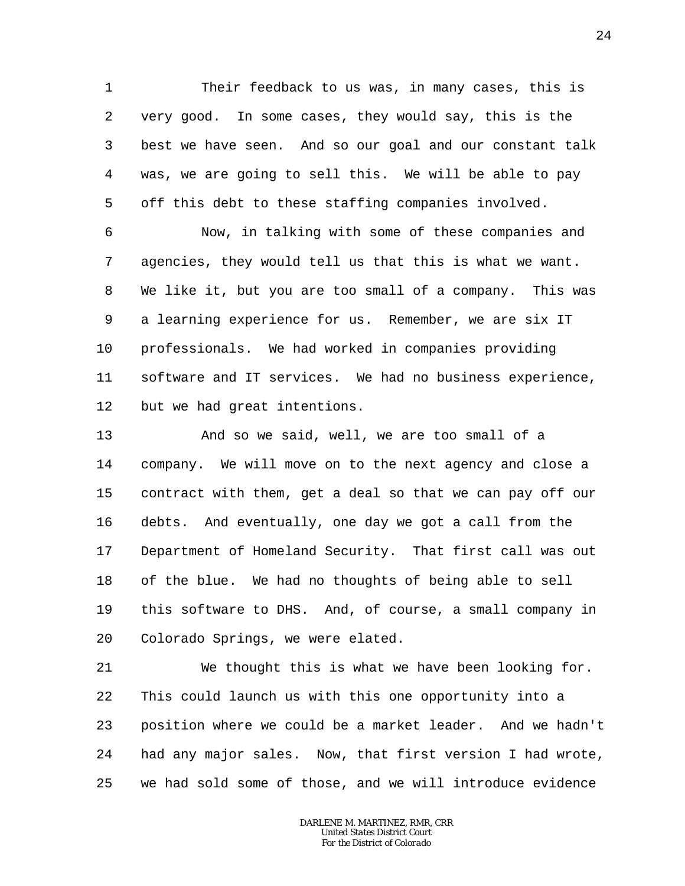1 2 3 4 5 Their feedback to us was, in many cases, this is very good. In some cases, they would say, this is the best we have seen. And so our goal and our constant talk was, we are going to sell this. We will be able to pay off this debt to these staffing companies involved.

6 7 8 9 10 11 12 Now, in talking with some of these companies and agencies, they would tell us that this is what we want. We like it, but you are too small of a company. This was a learning experience for us. Remember, we are six IT professionals. We had worked in companies providing software and IT services. We had no business experience, but we had great intentions.

13 14 15 16 17 18 19 20 And so we said, well, we are too small of a company. We will move on to the next agency and close a contract with them, get a deal so that we can pay off our debts. And eventually, one day we got a call from the Department of Homeland Security. That first call was out of the blue. We had no thoughts of being able to sell this software to DHS. And, of course, a small company in Colorado Springs, we were elated.

21 22 23 24 25 We thought this is what we have been looking for. This could launch us with this one opportunity into a position where we could be a market leader. And we hadn't had any major sales. Now, that first version I had wrote, we had sold some of those, and we will introduce evidence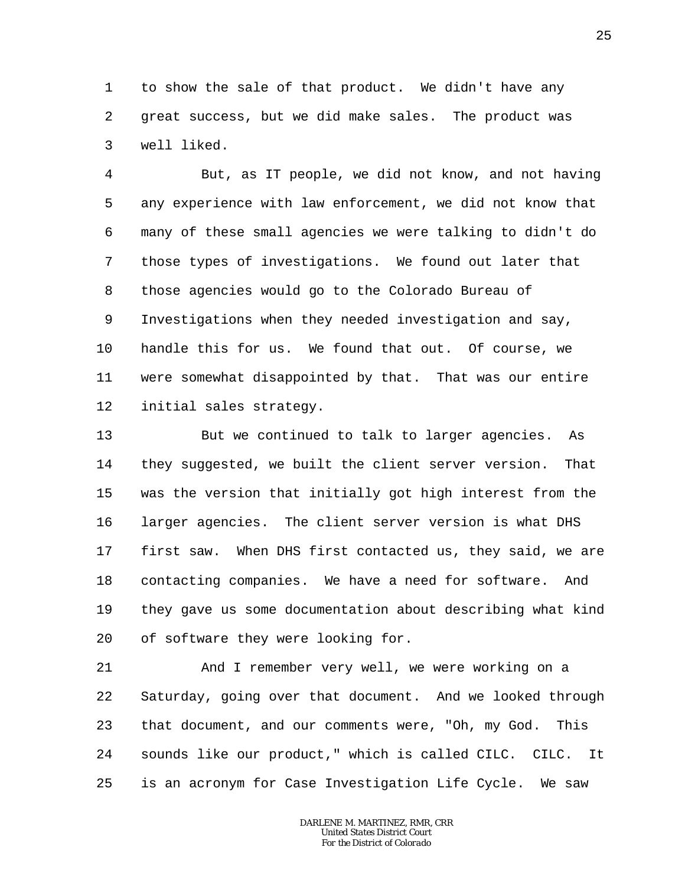1 2 3 to show the sale of that product. We didn't have any great success, but we did make sales. The product was well liked.

4 5 6 7 8 9 10 11 12 But, as IT people, we did not know, and not having any experience with law enforcement, we did not know that many of these small agencies we were talking to didn't do those types of investigations. We found out later that those agencies would go to the Colorado Bureau of Investigations when they needed investigation and say, handle this for us. We found that out. Of course, we were somewhat disappointed by that. That was our entire initial sales strategy.

13 14 15 16 17 18 19 20 But we continued to talk to larger agencies. As they suggested, we built the client server version. That was the version that initially got high interest from the larger agencies. The client server version is what DHS first saw. When DHS first contacted us, they said, we are contacting companies. We have a need for software. And they gave us some documentation about describing what kind of software they were looking for.

21 22 23 24 25 And I remember very well, we were working on a Saturday, going over that document. And we looked through that document, and our comments were, "Oh, my God. This sounds like our product," which is called CILC. CILC. It is an acronym for Case Investigation Life Cycle. We saw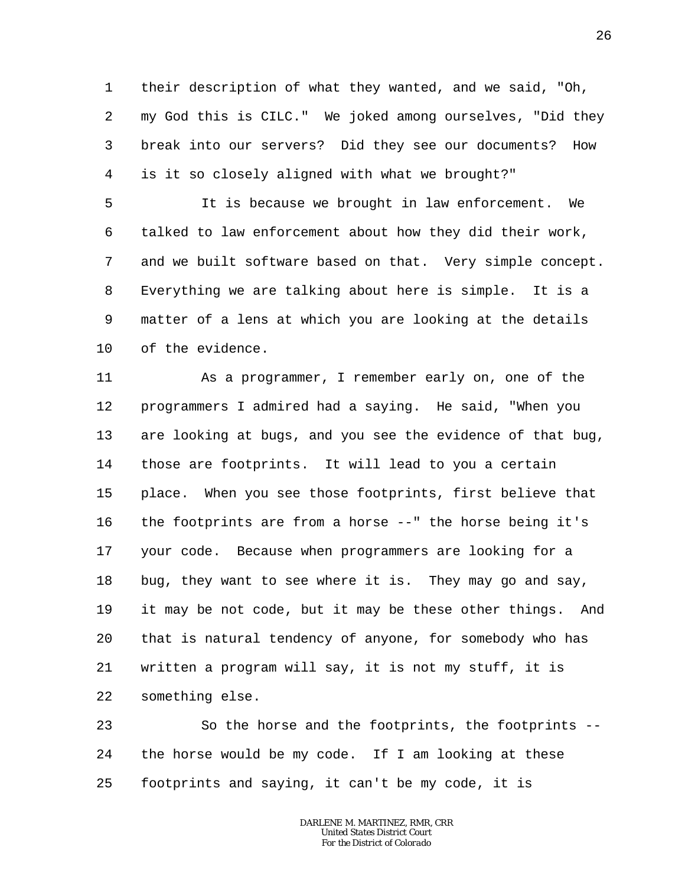1 2 3 4 their description of what they wanted, and we said, "Oh, my God this is CILC." We joked among ourselves, "Did they break into our servers? Did they see our documents? How is it so closely aligned with what we brought?"

5 6 7 8 9 10 It is because we brought in law enforcement. We talked to law enforcement about how they did their work, and we built software based on that. Very simple concept. Everything we are talking about here is simple. It is a matter of a lens at which you are looking at the details of the evidence.

11 12 13 14 15 16 17 18 19 20 21 22 As a programmer, I remember early on, one of the programmers I admired had a saying. He said, "When you are looking at bugs, and you see the evidence of that bug, those are footprints. It will lead to you a certain place. When you see those footprints, first believe that the footprints are from a horse --" the horse being it's your code. Because when programmers are looking for a bug, they want to see where it is. They may go and say, it may be not code, but it may be these other things. And that is natural tendency of anyone, for somebody who has written a program will say, it is not my stuff, it is something else.

23 24 25 So the horse and the footprints, the footprints - the horse would be my code. If I am looking at these footprints and saying, it can't be my code, it is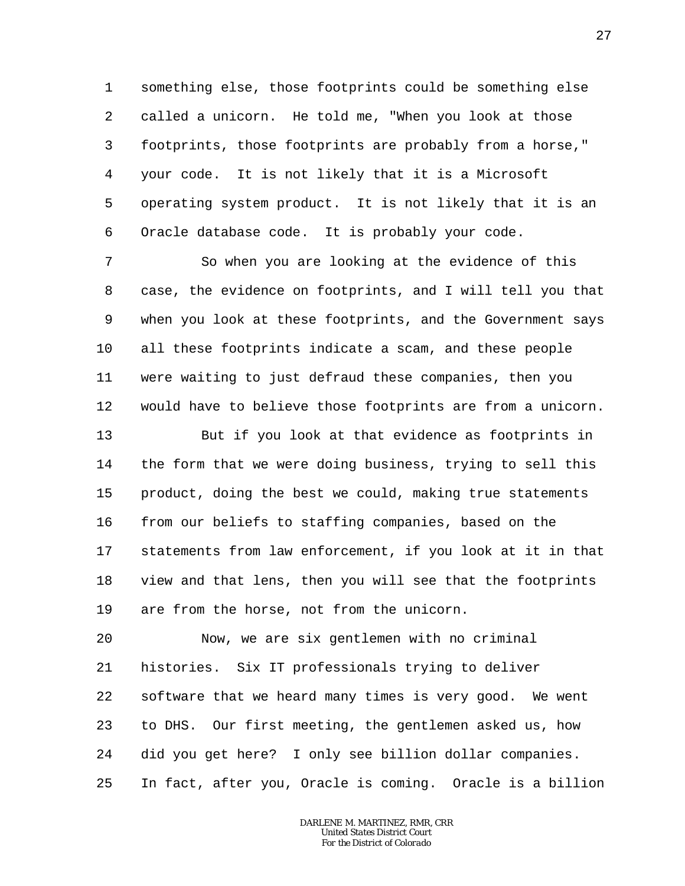1 2 3 4 5 6 something else, those footprints could be something else called a unicorn. He told me, "When you look at those footprints, those footprints are probably from a horse," your code. It is not likely that it is a Microsoft operating system product. It is not likely that it is an Oracle database code. It is probably your code.

7 8 9 10 11 12 So when you are looking at the evidence of this case, the evidence on footprints, and I will tell you that when you look at these footprints, and the Government says all these footprints indicate a scam, and these people were waiting to just defraud these companies, then you would have to believe those footprints are from a unicorn.

13 14 15 16 17 18 19 But if you look at that evidence as footprints in the form that we were doing business, trying to sell this product, doing the best we could, making true statements from our beliefs to staffing companies, based on the statements from law enforcement, if you look at it in that view and that lens, then you will see that the footprints are from the horse, not from the unicorn.

20 21 22 23 24 25 Now, we are six gentlemen with no criminal histories. Six IT professionals trying to deliver software that we heard many times is very good. We went to DHS. Our first meeting, the gentlemen asked us, how did you get here? I only see billion dollar companies. In fact, after you, Oracle is coming. Oracle is a billion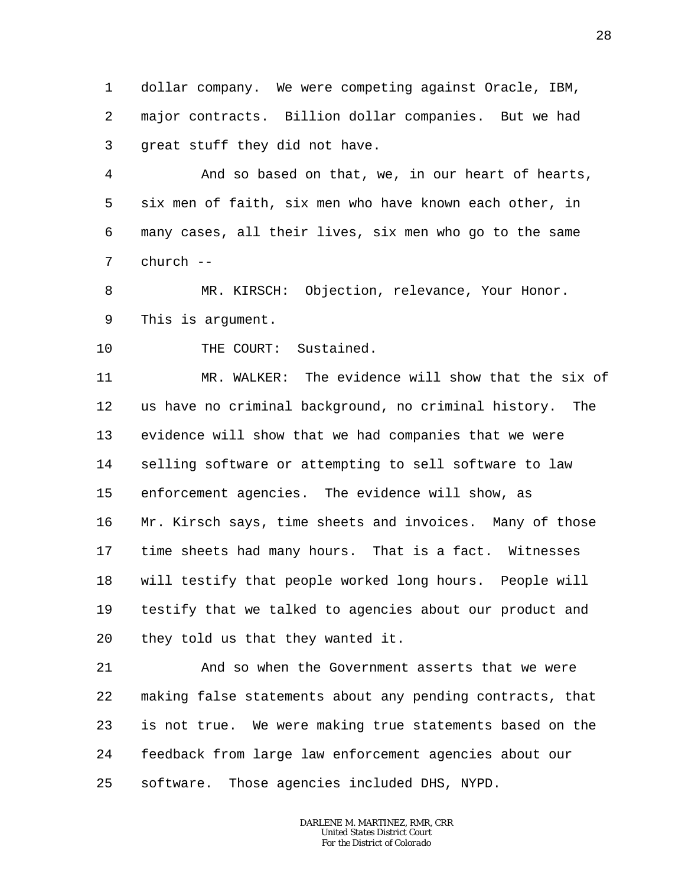1 2 3 dollar company. We were competing against Oracle, IBM, major contracts. Billion dollar companies. But we had great stuff they did not have.

4 5 6 7 And so based on that, we, in our heart of hearts, six men of faith, six men who have known each other, in many cases, all their lives, six men who go to the same church --

8 9 MR. KIRSCH: Objection, relevance, Your Honor. This is argument.

10 THE COURT: Sustained.

11 12 13 14 15 16 17 18 19 20 MR. WALKER: The evidence will show that the six of us have no criminal background, no criminal history. The evidence will show that we had companies that we were selling software or attempting to sell software to law enforcement agencies. The evidence will show, as Mr. Kirsch says, time sheets and invoices. Many of those time sheets had many hours. That is a fact. Witnesses will testify that people worked long hours. People will testify that we talked to agencies about our product and they told us that they wanted it.

21 22 23 24 25 And so when the Government asserts that we were making false statements about any pending contracts, that is not true. We were making true statements based on the feedback from large law enforcement agencies about our software. Those agencies included DHS, NYPD.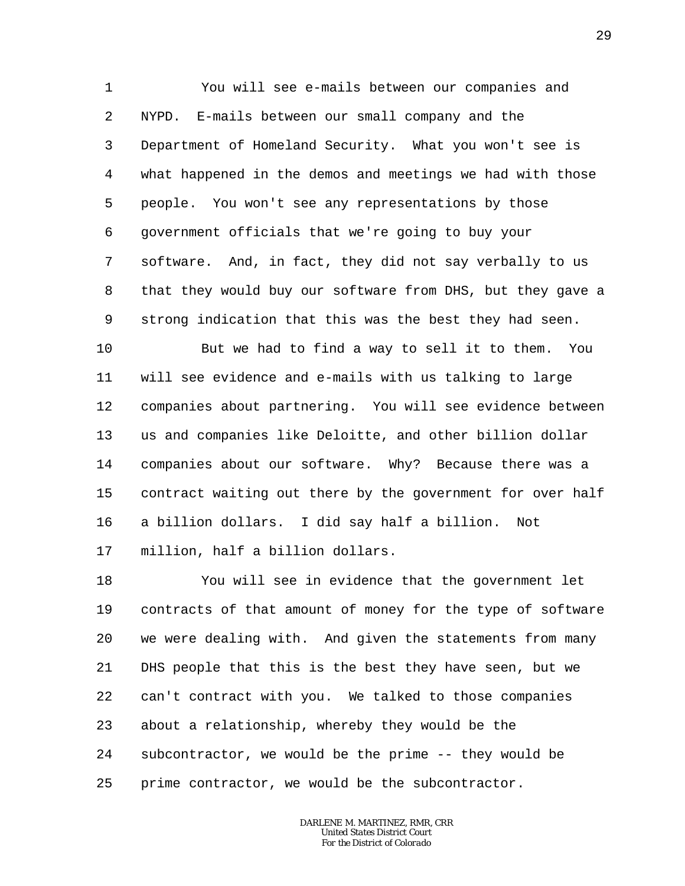1 2 3 4 5 6 7 8 9 You will see e-mails between our companies and NYPD. E-mails between our small company and the Department of Homeland Security. What you won't see is what happened in the demos and meetings we had with those people. You won't see any representations by those government officials that we're going to buy your software. And, in fact, they did not say verbally to us that they would buy our software from DHS, but they gave a strong indication that this was the best they had seen.

10 11 12 13 14 15 16 17 But we had to find a way to sell it to them. You will see evidence and e-mails with us talking to large companies about partnering. You will see evidence between us and companies like Deloitte, and other billion dollar companies about our software. Why? Because there was a contract waiting out there by the government for over half a billion dollars. I did say half a billion. Not million, half a billion dollars.

18 19 20 21 22 23 24 25 You will see in evidence that the government let contracts of that amount of money for the type of software we were dealing with. And given the statements from many DHS people that this is the best they have seen, but we can't contract with you. We talked to those companies about a relationship, whereby they would be the subcontractor, we would be the prime -- they would be prime contractor, we would be the subcontractor.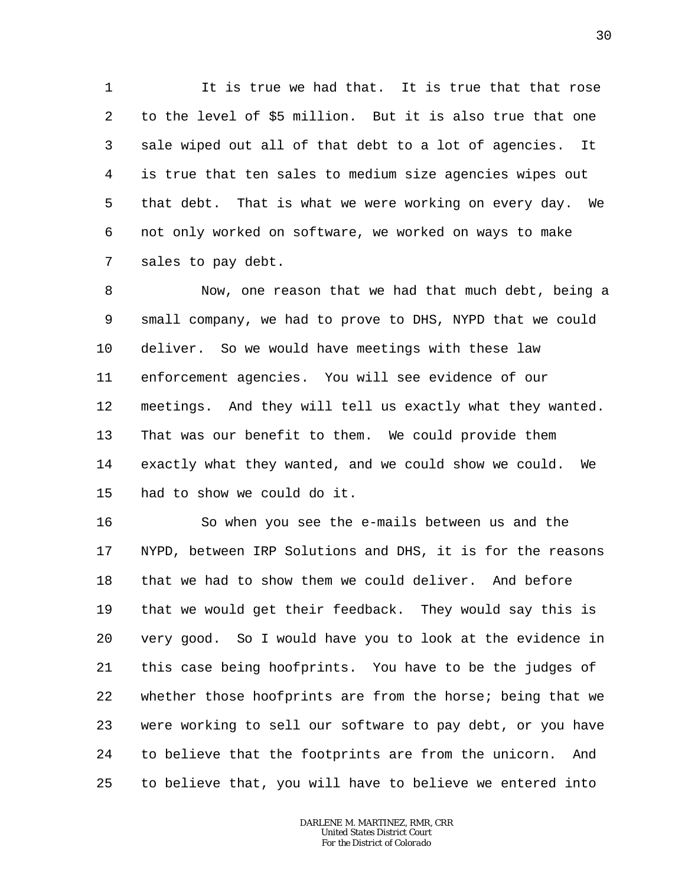1 2 3 4 5 6 7 It is true we had that. It is true that that rose to the level of \$5 million. But it is also true that one sale wiped out all of that debt to a lot of agencies. It is true that ten sales to medium size agencies wipes out that debt. That is what we were working on every day. We not only worked on software, we worked on ways to make sales to pay debt.

8 9 10 11 12 13 14 15 Now, one reason that we had that much debt, being a small company, we had to prove to DHS, NYPD that we could deliver. So we would have meetings with these law enforcement agencies. You will see evidence of our meetings. And they will tell us exactly what they wanted. That was our benefit to them. We could provide them exactly what they wanted, and we could show we could. We had to show we could do it.

16 17 18 19 20 21 22 23 24 25 So when you see the e-mails between us and the NYPD, between IRP Solutions and DHS, it is for the reasons that we had to show them we could deliver. And before that we would get their feedback. They would say this is very good. So I would have you to look at the evidence in this case being hoofprints. You have to be the judges of whether those hoofprints are from the horse; being that we were working to sell our software to pay debt, or you have to believe that the footprints are from the unicorn. And to believe that, you will have to believe we entered into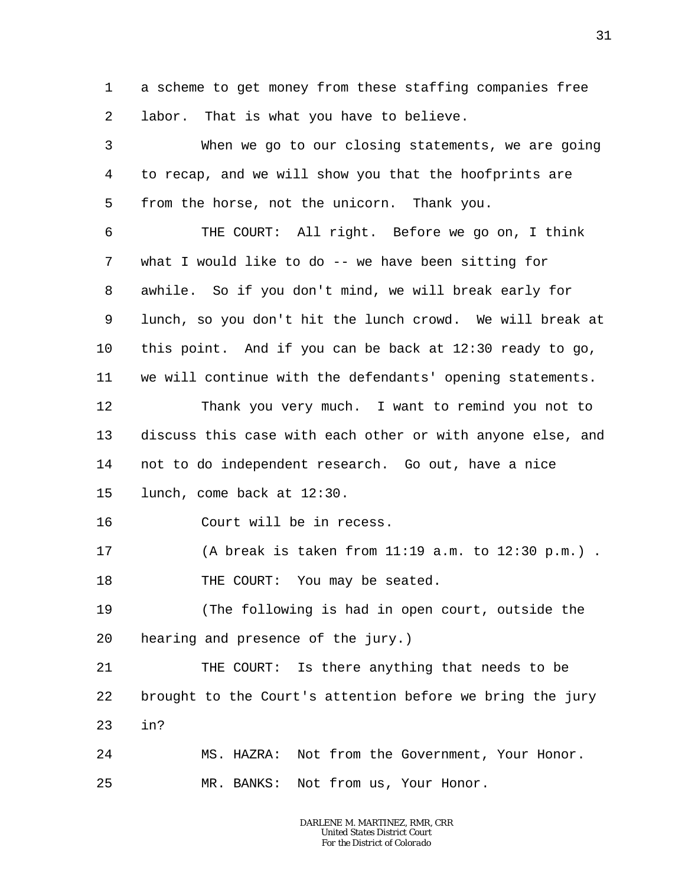1 2 a scheme to get money from these staffing companies free labor. That is what you have to believe.

3 4 5 6 7 8 9 10 11 12 13 14 15 16 17 18 19 20 21 22 23 24 25 When we go to our closing statements, we are going to recap, and we will show you that the hoofprints are from the horse, not the unicorn. Thank you. THE COURT: All right. Before we go on, I think what I would like to do -- we have been sitting for awhile. So if you don't mind, we will break early for lunch, so you don't hit the lunch crowd. We will break at this point. And if you can be back at 12:30 ready to go, we will continue with the defendants' opening statements. Thank you very much. I want to remind you not to discuss this case with each other or with anyone else, and not to do independent research. Go out, have a nice lunch, come back at 12:30. Court will be in recess. (A break is taken from 11:19 a.m. to 12:30 p.m.) . THE COURT: You may be seated. (The following is had in open court, outside the hearing and presence of the jury.) THE COURT: Is there anything that needs to be brought to the Court's attention before we bring the jury in? MS. HAZRA: Not from the Government, Your Honor. MR. BANKS: Not from us, Your Honor.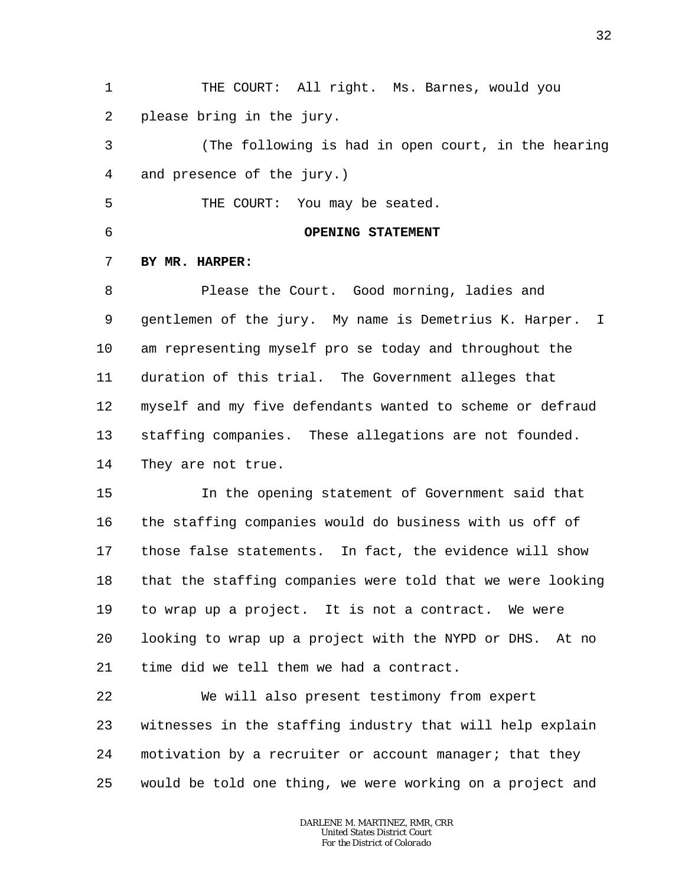1 2 THE COURT: All right. Ms. Barnes, would you please bring in the jury.

3 4 (The following is had in open court, in the hearing and presence of the jury.)

5 THE COURT: You may be seated.

6

### **OPENING STATEMENT**

#### 7 **BY MR. HARPER:**

8 9 10 11 12 13 14 Please the Court. Good morning, ladies and gentlemen of the jury. My name is Demetrius K. Harper. I am representing myself pro se today and throughout the duration of this trial. The Government alleges that myself and my five defendants wanted to scheme or defraud staffing companies. These allegations are not founded. They are not true.

15 16 17 18 19 20 21 In the opening statement of Government said that the staffing companies would do business with us off of those false statements. In fact, the evidence will show that the staffing companies were told that we were looking to wrap up a project. It is not a contract. We were looking to wrap up a project with the NYPD or DHS. At no time did we tell them we had a contract.

22 23 24 25 We will also present testimony from expert witnesses in the staffing industry that will help explain motivation by a recruiter or account manager; that they would be told one thing, we were working on a project and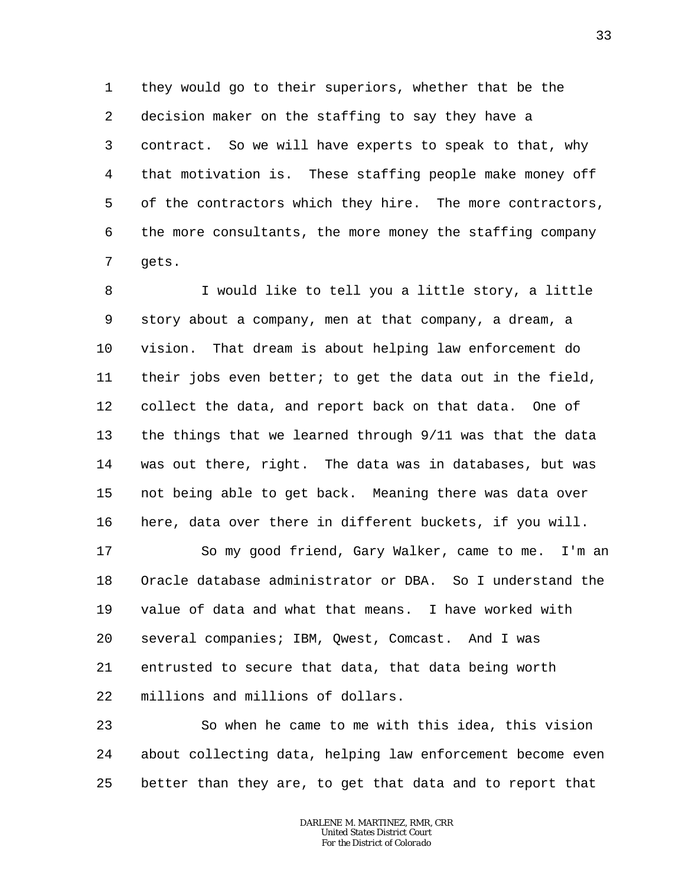1 2 3 4 5 6 7 they would go to their superiors, whether that be the decision maker on the staffing to say they have a contract. So we will have experts to speak to that, why that motivation is. These staffing people make money off of the contractors which they hire. The more contractors, the more consultants, the more money the staffing company gets.

8 9 10 11 12 13 14 15 16 I would like to tell you a little story, a little story about a company, men at that company, a dream, a vision. That dream is about helping law enforcement do their jobs even better; to get the data out in the field, collect the data, and report back on that data. One of the things that we learned through 9/11 was that the data was out there, right. The data was in databases, but was not being able to get back. Meaning there was data over here, data over there in different buckets, if you will.

17 18 19 20 21 22 So my good friend, Gary Walker, came to me. I'm an Oracle database administrator or DBA. So I understand the value of data and what that means. I have worked with several companies; IBM, Qwest, Comcast. And I was entrusted to secure that data, that data being worth millions and millions of dollars.

23 24 25 So when he came to me with this idea, this vision about collecting data, helping law enforcement become even better than they are, to get that data and to report that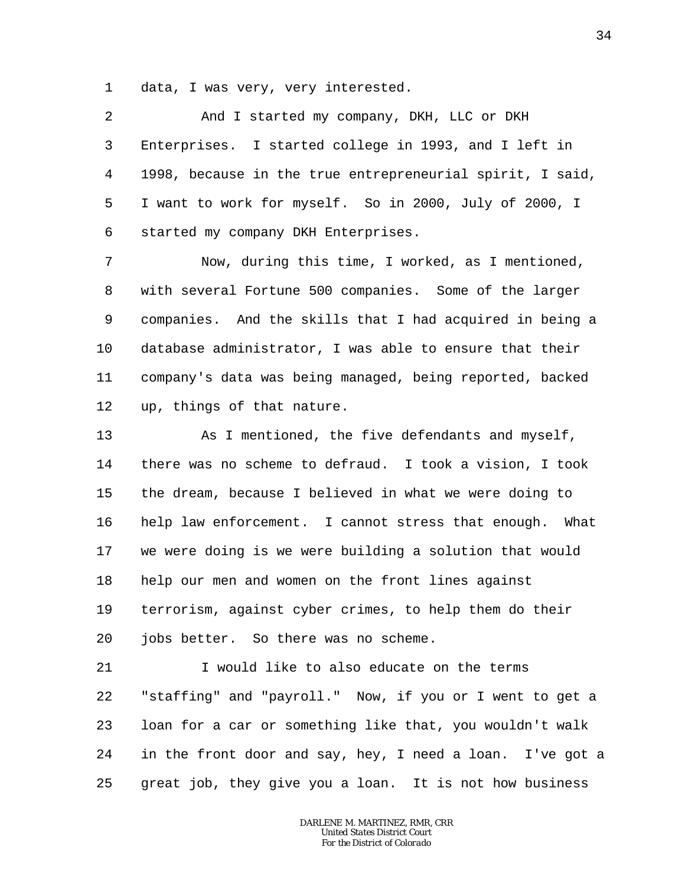1 data, I was very, very interested.

2 3 4 5 6 And I started my company, DKH, LLC or DKH Enterprises. I started college in 1993, and I left in 1998, because in the true entrepreneurial spirit, I said, I want to work for myself. So in 2000, July of 2000, I started my company DKH Enterprises.

7 8 9 10 11 12 Now, during this time, I worked, as I mentioned, with several Fortune 500 companies. Some of the larger companies. And the skills that I had acquired in being a database administrator, I was able to ensure that their company's data was being managed, being reported, backed up, things of that nature.

13 14 15 16 17 18 19 20 As I mentioned, the five defendants and myself, there was no scheme to defraud. I took a vision, I took the dream, because I believed in what we were doing to help law enforcement. I cannot stress that enough. What we were doing is we were building a solution that would help our men and women on the front lines against terrorism, against cyber crimes, to help them do their jobs better. So there was no scheme.

21 22 23 24 25 I would like to also educate on the terms "staffing" and "payroll." Now, if you or I went to get a loan for a car or something like that, you wouldn't walk in the front door and say, hey, I need a loan. I've got a great job, they give you a loan. It is not how business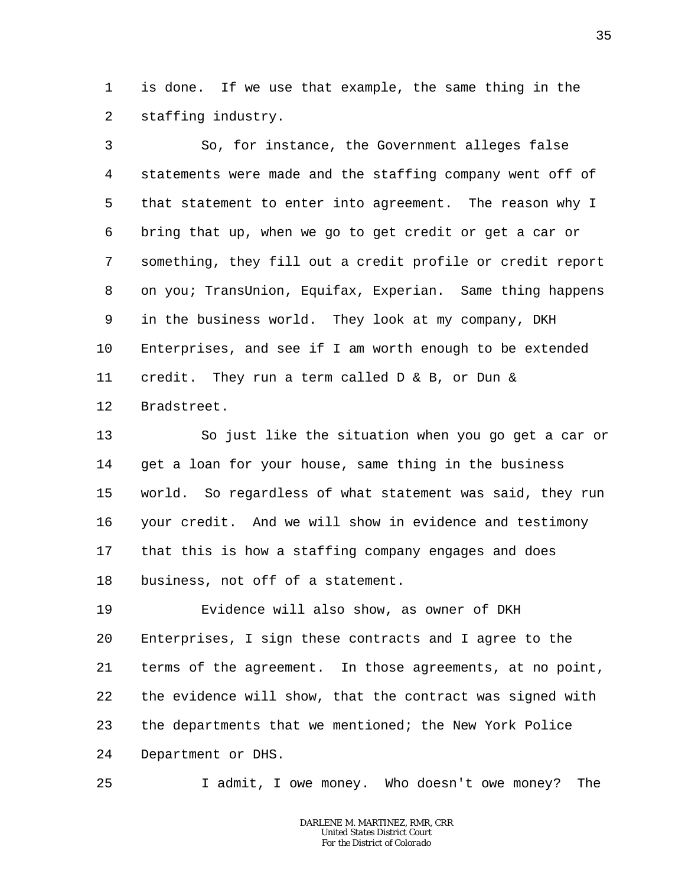1 2 is done. If we use that example, the same thing in the staffing industry.

3 4 5 6 7 8 9 10 11 12 So, for instance, the Government alleges false statements were made and the staffing company went off of that statement to enter into agreement. The reason why I bring that up, when we go to get credit or get a car or something, they fill out a credit profile or credit report on you; TransUnion, Equifax, Experian. Same thing happens in the business world. They look at my company, DKH Enterprises, and see if I am worth enough to be extended credit. They run a term called D & B, or Dun & Bradstreet.

13 14 15 16 17 18 So just like the situation when you go get a car or get a loan for your house, same thing in the business world. So regardless of what statement was said, they run your credit. And we will show in evidence and testimony that this is how a staffing company engages and does business, not off of a statement.

19 20 21 22 23 24 Evidence will also show, as owner of DKH Enterprises, I sign these contracts and I agree to the terms of the agreement. In those agreements, at no point, the evidence will show, that the contract was signed with the departments that we mentioned; the New York Police Department or DHS.

25

I admit, I owe money. Who doesn't owe money? The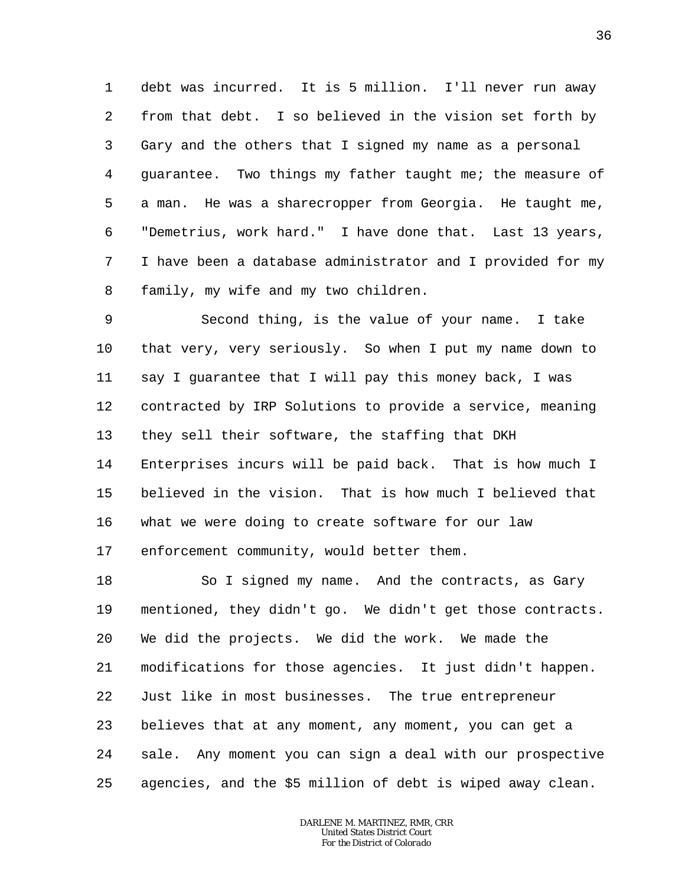1 2 3 4 5 6 7 8 debt was incurred. It is 5 million. I'll never run away from that debt. I so believed in the vision set forth by Gary and the others that I signed my name as a personal guarantee. Two things my father taught me; the measure of a man. He was a sharecropper from Georgia. He taught me, "Demetrius, work hard." I have done that. Last 13 years, I have been a database administrator and I provided for my family, my wife and my two children.

9 10 11 12 13 14 15 16 17 Second thing, is the value of your name. I take that very, very seriously. So when I put my name down to say I guarantee that I will pay this money back, I was contracted by IRP Solutions to provide a service, meaning they sell their software, the staffing that DKH Enterprises incurs will be paid back. That is how much I believed in the vision. That is how much I believed that what we were doing to create software for our law enforcement community, would better them.

18 19 20 21 22 23 24 25 So I signed my name. And the contracts, as Gary mentioned, they didn't go. We didn't get those contracts. We did the projects. We did the work. We made the modifications for those agencies. It just didn't happen. Just like in most businesses. The true entrepreneur believes that at any moment, any moment, you can get a sale. Any moment you can sign a deal with our prospective agencies, and the \$5 million of debt is wiped away clean.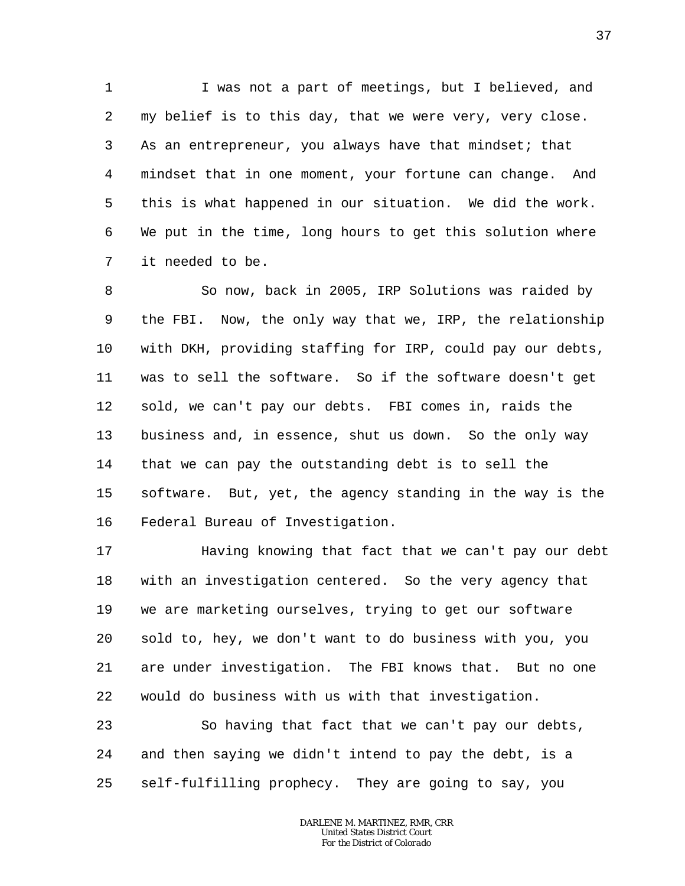1 2 3 4 5 6 7 I was not a part of meetings, but I believed, and my belief is to this day, that we were very, very close. As an entrepreneur, you always have that mindset; that mindset that in one moment, your fortune can change. And this is what happened in our situation. We did the work. We put in the time, long hours to get this solution where it needed to be.

8 9 10 11 12 13 14 15 16 So now, back in 2005, IRP Solutions was raided by the FBI. Now, the only way that we, IRP, the relationship with DKH, providing staffing for IRP, could pay our debts, was to sell the software. So if the software doesn't get sold, we can't pay our debts. FBI comes in, raids the business and, in essence, shut us down. So the only way that we can pay the outstanding debt is to sell the software. But, yet, the agency standing in the way is the Federal Bureau of Investigation.

17 18 19 20 21 22 Having knowing that fact that we can't pay our debt with an investigation centered. So the very agency that we are marketing ourselves, trying to get our software sold to, hey, we don't want to do business with you, you are under investigation. The FBI knows that. But no one would do business with us with that investigation.

23 24 25 So having that fact that we can't pay our debts, and then saying we didn't intend to pay the debt, is a self-fulfilling prophecy. They are going to say, you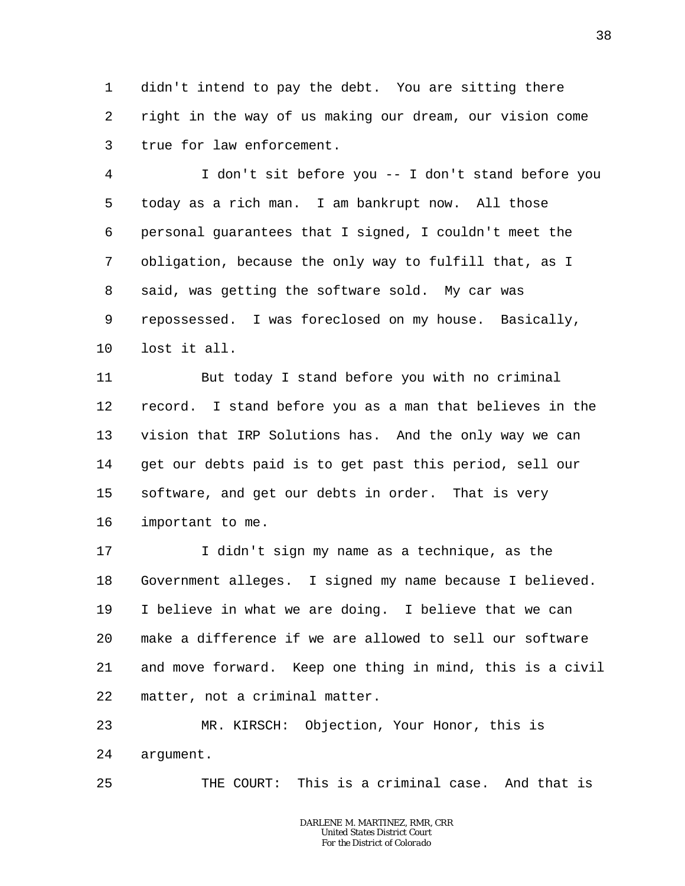1 2 3 didn't intend to pay the debt. You are sitting there right in the way of us making our dream, our vision come true for law enforcement.

4 5 6 7 8 9 10 I don't sit before you -- I don't stand before you today as a rich man. I am bankrupt now. All those personal guarantees that I signed, I couldn't meet the obligation, because the only way to fulfill that, as I said, was getting the software sold. My car was repossessed. I was foreclosed on my house. Basically, lost it all.

11 12 13 14 15 16 But today I stand before you with no criminal record. I stand before you as a man that believes in the vision that IRP Solutions has. And the only way we can get our debts paid is to get past this period, sell our software, and get our debts in order. That is very important to me.

17 18 19 20 21 22 I didn't sign my name as a technique, as the Government alleges. I signed my name because I believed. I believe in what we are doing. I believe that we can make a difference if we are allowed to sell our software and move forward. Keep one thing in mind, this is a civil matter, not a criminal matter.

23 24 MR. KIRSCH: Objection, Your Honor, this is argument.

25 THE COURT: This is a criminal case. And that is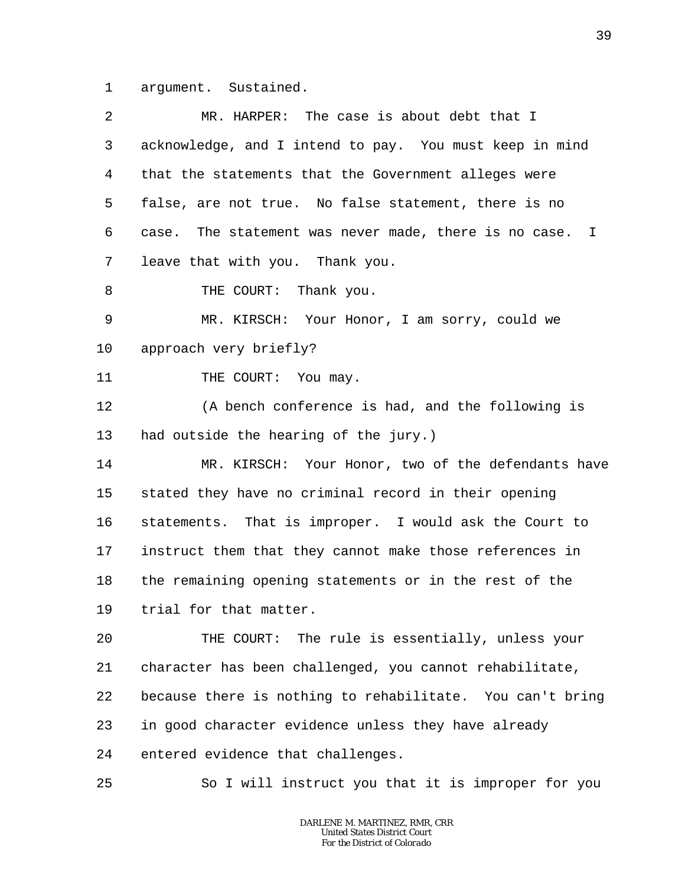1 argument. Sustained.

| 2       | MR. HARPER: The case is about debt that I                 |
|---------|-----------------------------------------------------------|
| 3       | acknowledge, and I intend to pay. You must keep in mind   |
| 4       | that the statements that the Government alleges were      |
| 5       | false, are not true. No false statement, there is no      |
| 6       | case. The statement was never made, there is no case. I   |
| 7       | leave that with you. Thank you.                           |
| 8       | THE COURT: Thank you.                                     |
| 9       | MR. KIRSCH: Your Honor, I am sorry, could we              |
| $10 \,$ | approach very briefly?                                    |
| 11      | THE COURT: You may.                                       |
| 12      | (A bench conference is had, and the following is          |
| 13      | had outside the hearing of the jury.)                     |
| 14      | MR. KIRSCH: Your Honor, two of the defendants have        |
| 15      | stated they have no criminal record in their opening      |
| 16      | statements. That is improper. I would ask the Court to    |
| 17      | instruct them that they cannot make those references in   |
| 18      | the remaining opening statements or in the rest of the    |
| 19      | trial for that matter.                                    |
| 20      | THE COURT: The rule is essentially, unless your           |
| 21      | character has been challenged, you cannot rehabilitate,   |
| 22      | because there is nothing to rehabilitate. You can't bring |
| 23      | in good character evidence unless they have already       |
| 24      | entered evidence that challenges.                         |
| 25      | So I will instruct you that it is improper for you        |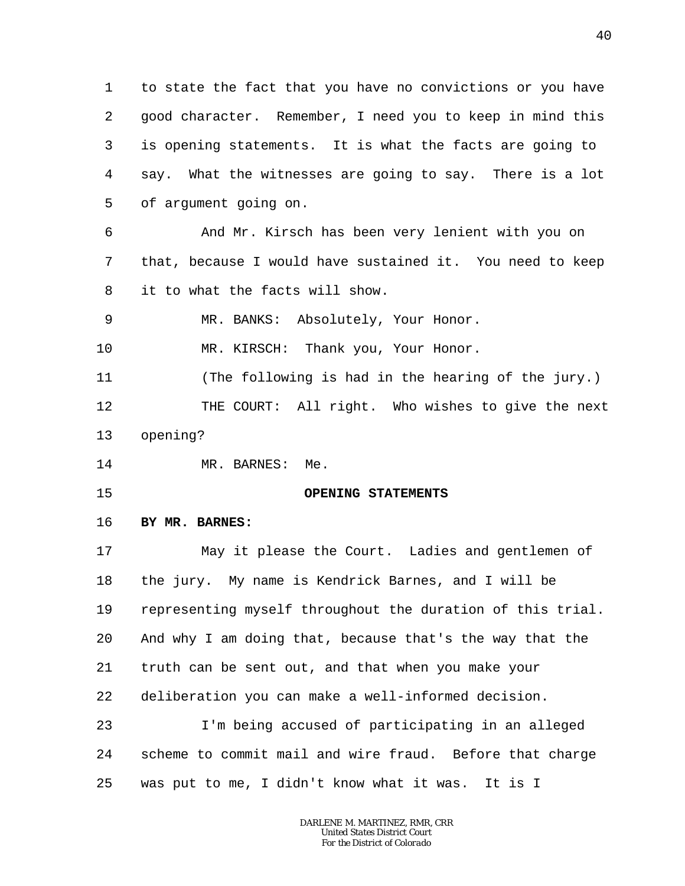1 2 3 4 5 6 7 8 9 to state the fact that you have no convictions or you have good character. Remember, I need you to keep in mind this is opening statements. It is what the facts are going to say. What the witnesses are going to say. There is a lot of argument going on. And Mr. Kirsch has been very lenient with you on that, because I would have sustained it. You need to keep it to what the facts will show. MR. BANKS: Absolutely, Your Honor.

10 MR. KIRSCH: Thank you, Your Honor.

11 12 13 (The following is had in the hearing of the jury.) THE COURT: All right. Who wishes to give the next opening?

14 MR. BARNES: Me.

15

## **OPENING STATEMENTS**

#### 16 **BY MR. BARNES:**

17 18 19 20 21 22 23 24 May it please the Court. Ladies and gentlemen of the jury. My name is Kendrick Barnes, and I will be representing myself throughout the duration of this trial. And why I am doing that, because that's the way that the truth can be sent out, and that when you make your deliberation you can make a well-informed decision. I'm being accused of participating in an alleged scheme to commit mail and wire fraud. Before that charge

25 was put to me, I didn't know what it was. It is I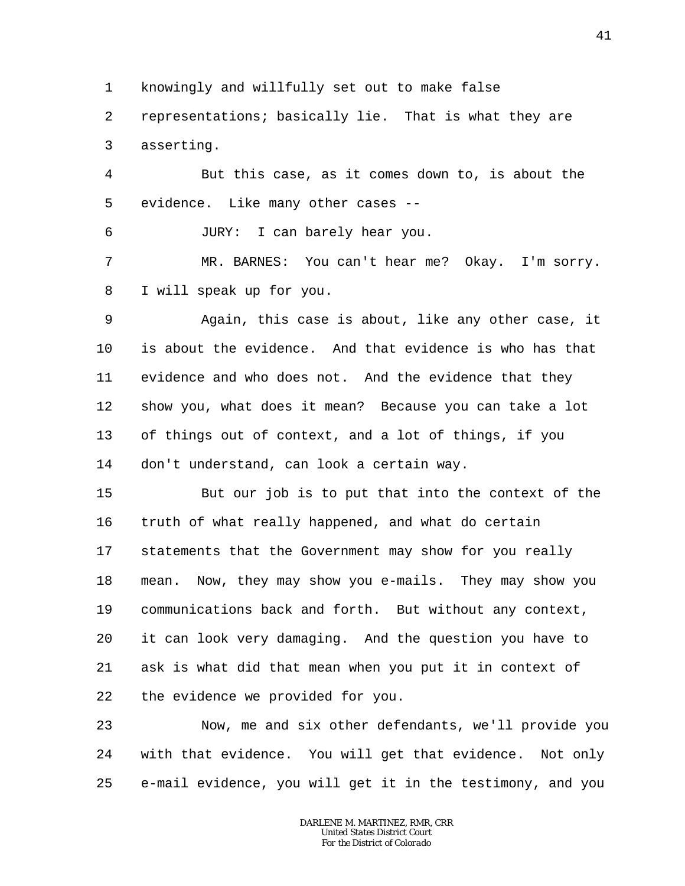1 knowingly and willfully set out to make false

2 3 representations; basically lie. That is what they are asserting.

4 5 But this case, as it comes down to, is about the evidence. Like many other cases --

JURY: I can barely hear you.

6

7 8 MR. BARNES: You can't hear me? Okay. I'm sorry. I will speak up for you.

9 10 11 12 13 14 Again, this case is about, like any other case, it is about the evidence. And that evidence is who has that evidence and who does not. And the evidence that they show you, what does it mean? Because you can take a lot of things out of context, and a lot of things, if you don't understand, can look a certain way.

15 16 17 18 19 20 21 22 But our job is to put that into the context of the truth of what really happened, and what do certain statements that the Government may show for you really mean. Now, they may show you e-mails. They may show you communications back and forth. But without any context, it can look very damaging. And the question you have to ask is what did that mean when you put it in context of the evidence we provided for you.

23 24 25 Now, me and six other defendants, we'll provide you with that evidence. You will get that evidence. Not only e-mail evidence, you will get it in the testimony, and you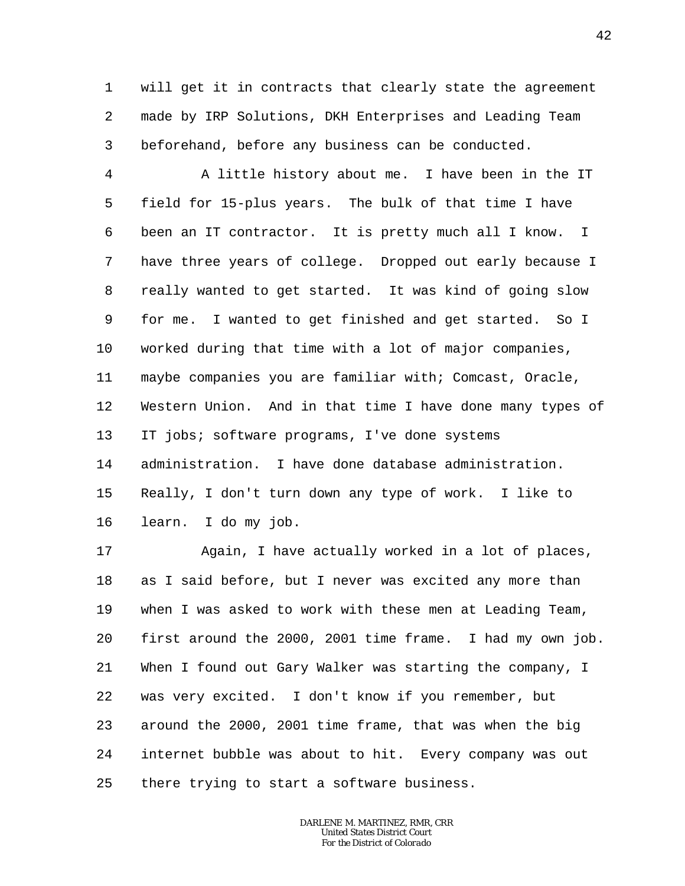1 2 3 will get it in contracts that clearly state the agreement made by IRP Solutions, DKH Enterprises and Leading Team beforehand, before any business can be conducted.

4 5 6 7 8 9 10 11 12 13 14 15 16 A little history about me. I have been in the IT field for 15-plus years. The bulk of that time I have been an IT contractor. It is pretty much all I know. I have three years of college. Dropped out early because I really wanted to get started. It was kind of going slow for me. I wanted to get finished and get started. So I worked during that time with a lot of major companies, maybe companies you are familiar with; Comcast, Oracle, Western Union. And in that time I have done many types of IT jobs; software programs, I've done systems administration. I have done database administration. Really, I don't turn down any type of work. I like to learn. I do my job.

17 18 19 20 21 22 23 24 25 Again, I have actually worked in a lot of places, as I said before, but I never was excited any more than when I was asked to work with these men at Leading Team, first around the 2000, 2001 time frame. I had my own job. When I found out Gary Walker was starting the company, I was very excited. I don't know if you remember, but around the 2000, 2001 time frame, that was when the big internet bubble was about to hit. Every company was out there trying to start a software business.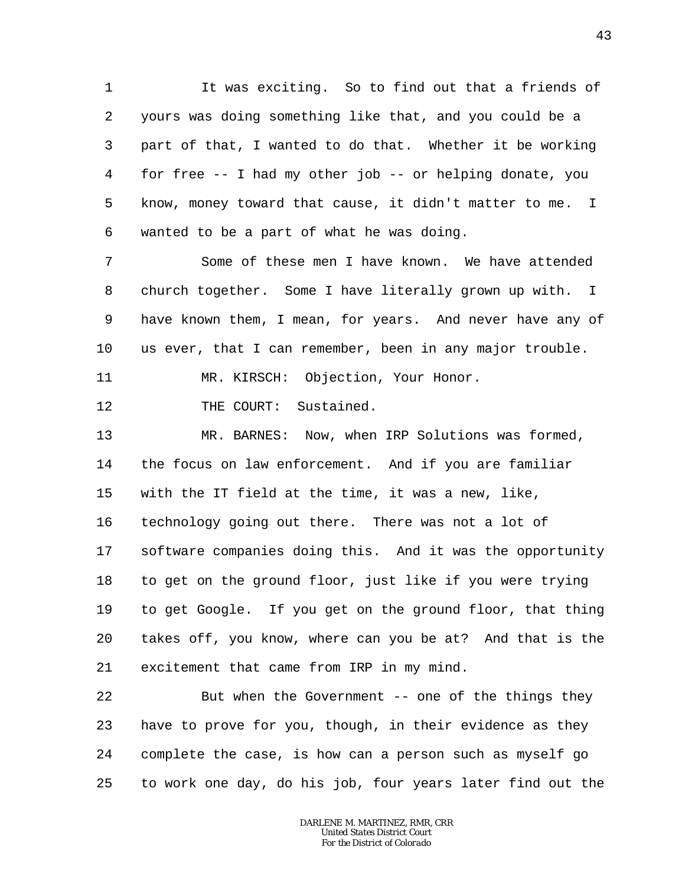1 2 3 4 5 6 It was exciting. So to find out that a friends of yours was doing something like that, and you could be a part of that, I wanted to do that. Whether it be working for free -- I had my other job -- or helping donate, you know, money toward that cause, it didn't matter to me. I wanted to be a part of what he was doing.

7 8 9 10 Some of these men I have known. We have attended church together. Some I have literally grown up with. I have known them, I mean, for years. And never have any of us ever, that I can remember, been in any major trouble.

11 MR. KIRSCH: Objection, Your Honor.

12 THE COURT: Sustained.

13 14 15 16 17 18 19 20 21 MR. BARNES: Now, when IRP Solutions was formed, the focus on law enforcement. And if you are familiar with the IT field at the time, it was a new, like, technology going out there. There was not a lot of software companies doing this. And it was the opportunity to get on the ground floor, just like if you were trying to get Google. If you get on the ground floor, that thing takes off, you know, where can you be at? And that is the excitement that came from IRP in my mind.

22 23 24 25 But when the Government -- one of the things they have to prove for you, though, in their evidence as they complete the case, is how can a person such as myself go to work one day, do his job, four years later find out the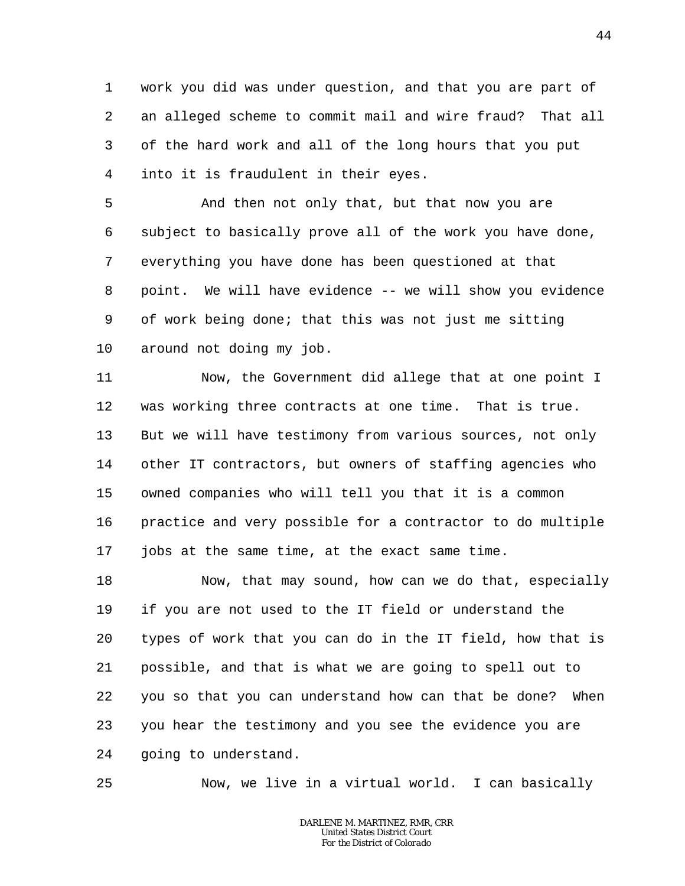1 2 3 4 work you did was under question, and that you are part of an alleged scheme to commit mail and wire fraud? That all of the hard work and all of the long hours that you put into it is fraudulent in their eyes.

5 6 7 8 9 10 And then not only that, but that now you are subject to basically prove all of the work you have done, everything you have done has been questioned at that point. We will have evidence -- we will show you evidence of work being done; that this was not just me sitting around not doing my job.

11 12 13 14 15 16 17 Now, the Government did allege that at one point I was working three contracts at one time. That is true. But we will have testimony from various sources, not only other IT contractors, but owners of staffing agencies who owned companies who will tell you that it is a common practice and very possible for a contractor to do multiple jobs at the same time, at the exact same time.

18 19 20 21 22 23 24 Now, that may sound, how can we do that, especially if you are not used to the IT field or understand the types of work that you can do in the IT field, how that is possible, and that is what we are going to spell out to you so that you can understand how can that be done? When you hear the testimony and you see the evidence you are going to understand.

25

Now, we live in a virtual world. I can basically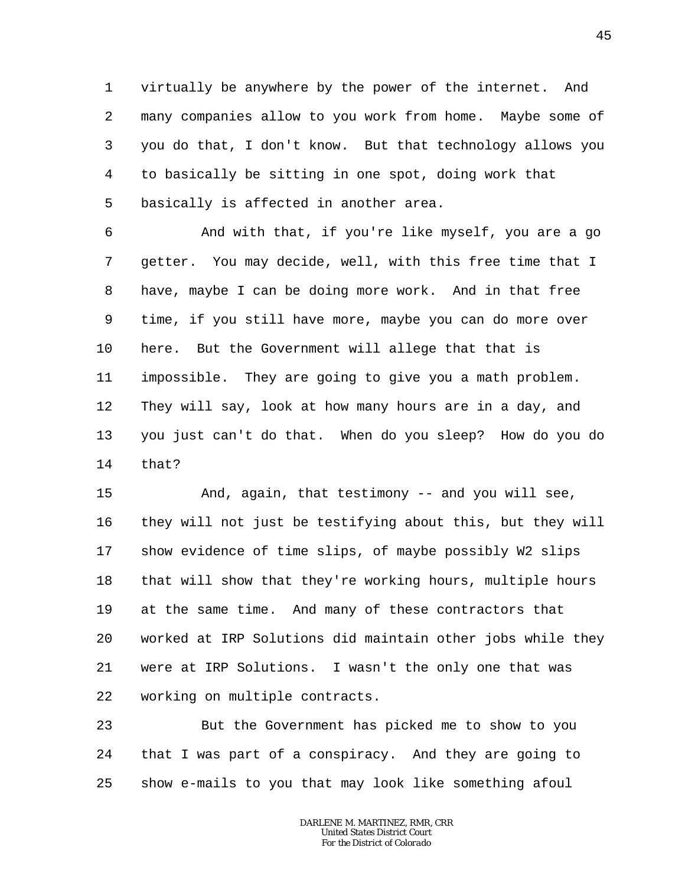1 2 3 4 5 virtually be anywhere by the power of the internet. And many companies allow to you work from home. Maybe some of you do that, I don't know. But that technology allows you to basically be sitting in one spot, doing work that basically is affected in another area.

6 7 8 9 10 11 12 13 14 And with that, if you're like myself, you are a go getter. You may decide, well, with this free time that I have, maybe I can be doing more work. And in that free time, if you still have more, maybe you can do more over here. But the Government will allege that that is impossible. They are going to give you a math problem. They will say, look at how many hours are in a day, and you just can't do that. When do you sleep? How do you do that?

15 16 17 18 19 20 21 22 And, again, that testimony -- and you will see, they will not just be testifying about this, but they will show evidence of time slips, of maybe possibly W2 slips that will show that they're working hours, multiple hours at the same time. And many of these contractors that worked at IRP Solutions did maintain other jobs while they were at IRP Solutions. I wasn't the only one that was working on multiple contracts.

23 24 25 But the Government has picked me to show to you that I was part of a conspiracy. And they are going to show e-mails to you that may look like something afoul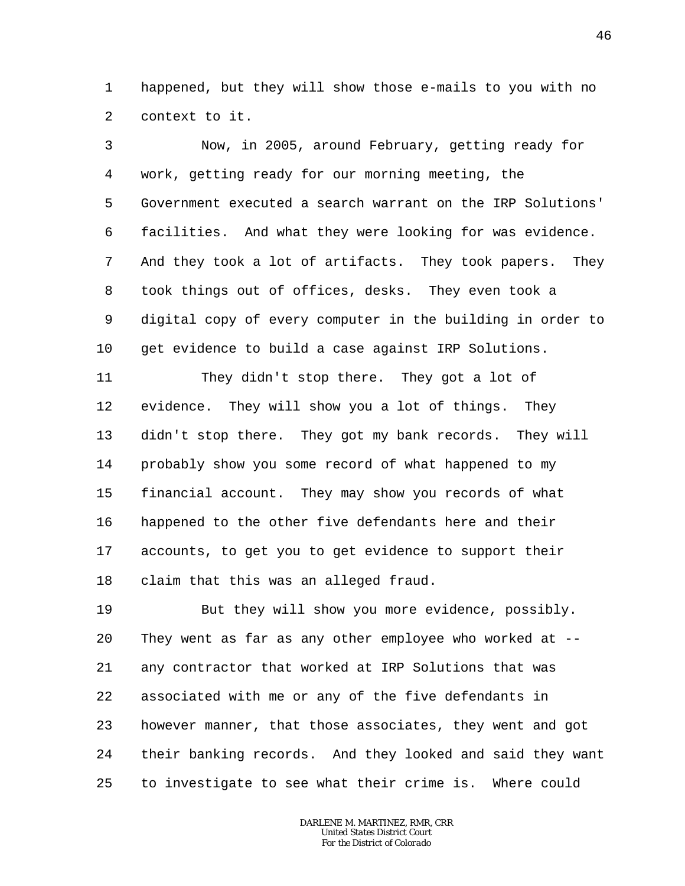1 2 happened, but they will show those e-mails to you with no context to it.

3 4 5 6 7 8 9 10 Now, in 2005, around February, getting ready for work, getting ready for our morning meeting, the Government executed a search warrant on the IRP Solutions' facilities. And what they were looking for was evidence. And they took a lot of artifacts. They took papers. They took things out of offices, desks. They even took a digital copy of every computer in the building in order to get evidence to build a case against IRP Solutions.

11 12 13 14 15 16 17 18 They didn't stop there. They got a lot of evidence. They will show you a lot of things. They didn't stop there. They got my bank records. They will probably show you some record of what happened to my financial account. They may show you records of what happened to the other five defendants here and their accounts, to get you to get evidence to support their claim that this was an alleged fraud.

19 20 21 22 23 24 25 But they will show you more evidence, possibly. They went as far as any other employee who worked at -any contractor that worked at IRP Solutions that was associated with me or any of the five defendants in however manner, that those associates, they went and got their banking records. And they looked and said they want to investigate to see what their crime is. Where could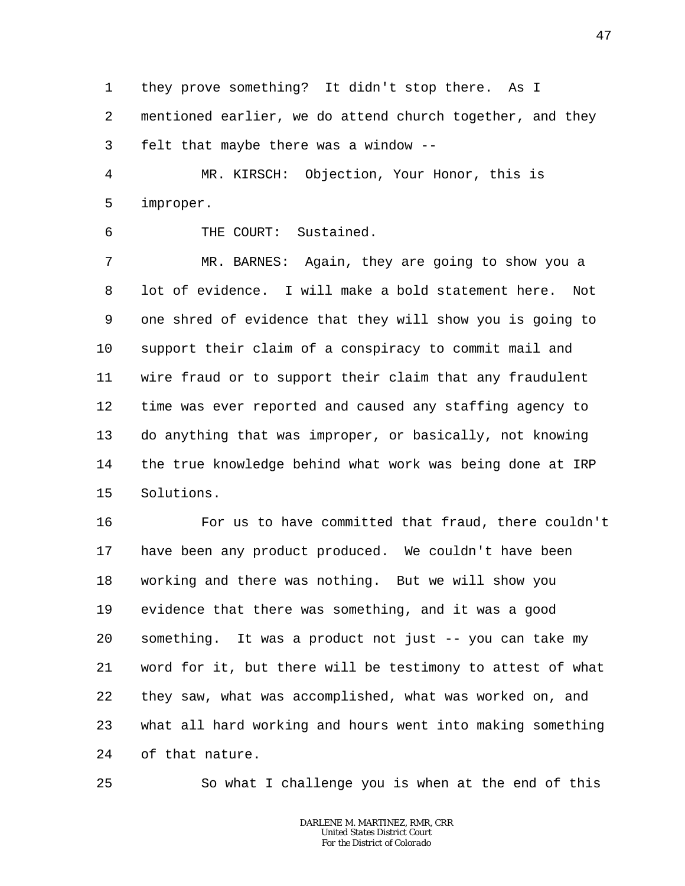1 2 3 they prove something? It didn't stop there. As I mentioned earlier, we do attend church together, and they felt that maybe there was a window --

4 5 MR. KIRSCH: Objection, Your Honor, this is improper.

THE COURT: Sustained.

7 8 9 10 11 12 13 14 15 MR. BARNES: Again, they are going to show you a lot of evidence. I will make a bold statement here. Not one shred of evidence that they will show you is going to support their claim of a conspiracy to commit mail and wire fraud or to support their claim that any fraudulent time was ever reported and caused any staffing agency to do anything that was improper, or basically, not knowing the true knowledge behind what work was being done at IRP Solutions.

16 17 18 19 20 21 22 23 24 For us to have committed that fraud, there couldn't have been any product produced. We couldn't have been working and there was nothing. But we will show you evidence that there was something, and it was a good something. It was a product not just -- you can take my word for it, but there will be testimony to attest of what they saw, what was accomplished, what was worked on, and what all hard working and hours went into making something of that nature.

25

6

So what I challenge you is when at the end of this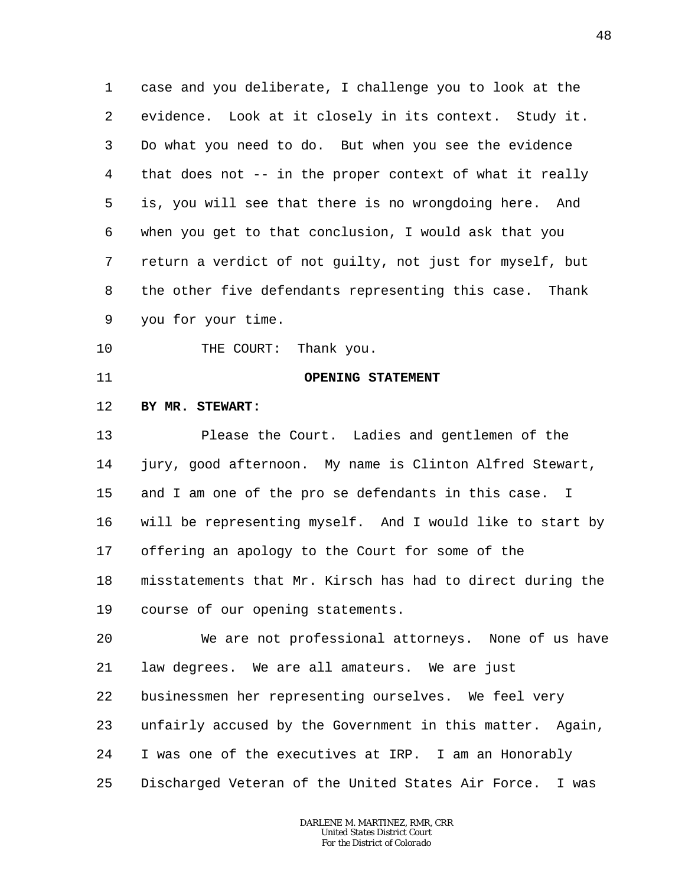1 2 3 4 5 6 7 8 9 case and you deliberate, I challenge you to look at the evidence. Look at it closely in its context. Study it. Do what you need to do. But when you see the evidence that does not -- in the proper context of what it really is, you will see that there is no wrongdoing here. And when you get to that conclusion, I would ask that you return a verdict of not guilty, not just for myself, but the other five defendants representing this case. Thank you for your time.

- 10 THE COURT: Thank you.
- 11

## **OPENING STATEMENT**

#### 12 **BY MR. STEWART:**

13 14 15 16 17 18 19 Please the Court. Ladies and gentlemen of the jury, good afternoon. My name is Clinton Alfred Stewart, and I am one of the pro se defendants in this case. I will be representing myself. And I would like to start by offering an apology to the Court for some of the misstatements that Mr. Kirsch has had to direct during the course of our opening statements.

20 21 22 23 24 25 We are not professional attorneys. None of us have law degrees. We are all amateurs. We are just businessmen her representing ourselves. We feel very unfairly accused by the Government in this matter. Again, I was one of the executives at IRP. I am an Honorably Discharged Veteran of the United States Air Force. I was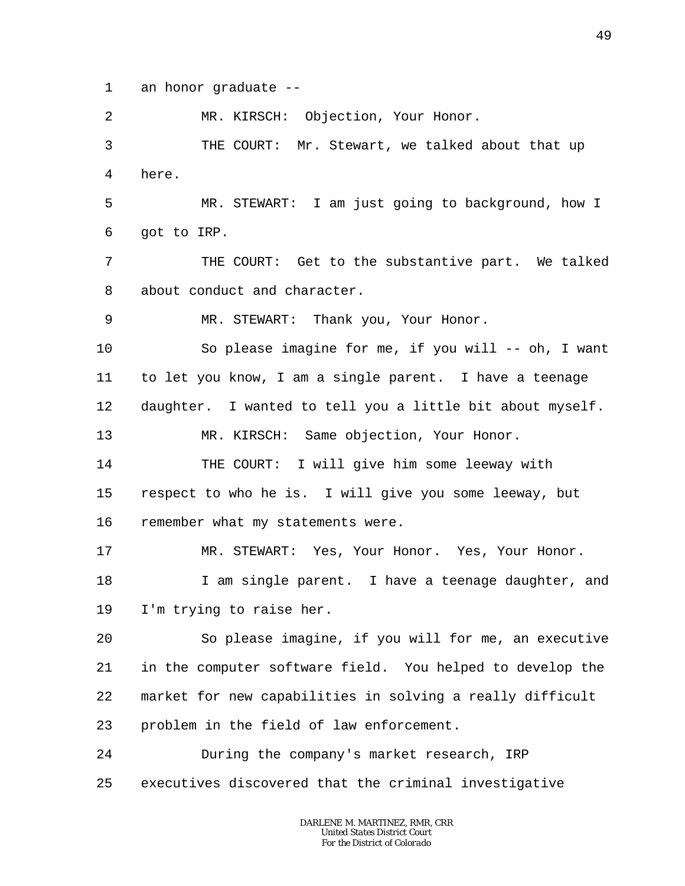1 an honor graduate --

2 MR. KIRSCH: Objection, Your Honor.

3 4 THE COURT: Mr. Stewart, we talked about that up here.

5 6 MR. STEWART: I am just going to background, how I got to IRP.

7 8 THE COURT: Get to the substantive part. We talked about conduct and character.

9 MR. STEWART: Thank you, Your Honor.

10 11 12 So please imagine for me, if you will  $--$  oh, I want to let you know, I am a single parent. I have a teenage daughter. I wanted to tell you a little bit about myself.

13 MR. KIRSCH: Same objection, Your Honor.

14 15 16 THE COURT: I will give him some leeway with respect to who he is. I will give you some leeway, but remember what my statements were.

17 18 MR. STEWART: Yes, Your Honor. Yes, Your Honor. I am single parent. I have a teenage daughter, and

19 I'm trying to raise her.

20 21 22 23 So please imagine, if you will for me, an executive in the computer software field. You helped to develop the market for new capabilities in solving a really difficult problem in the field of law enforcement.

24 25 During the company's market research, IRP executives discovered that the criminal investigative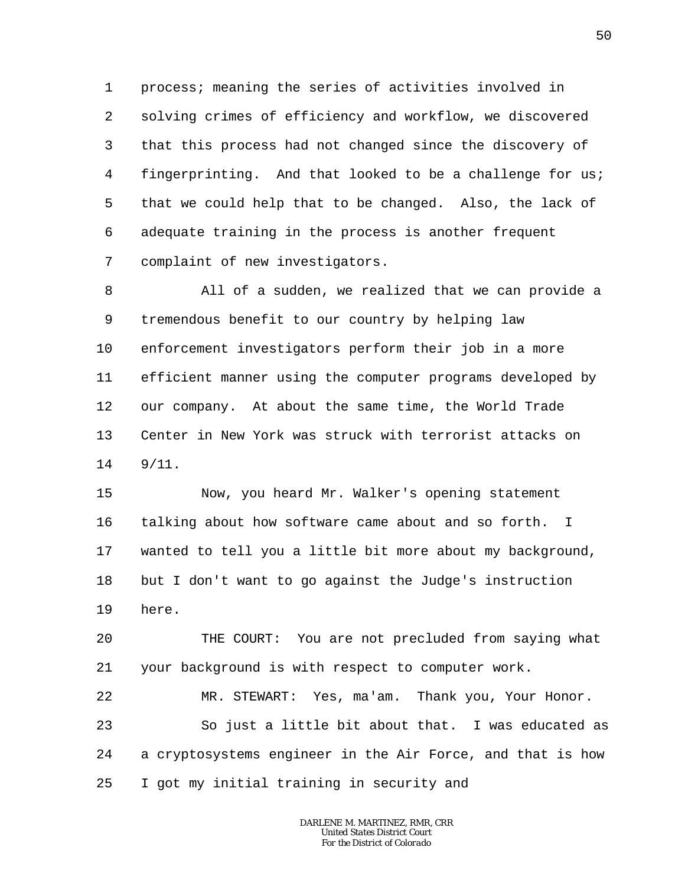1 2 3 4 5 6 7 process; meaning the series of activities involved in solving crimes of efficiency and workflow, we discovered that this process had not changed since the discovery of fingerprinting. And that looked to be a challenge for us; that we could help that to be changed. Also, the lack of adequate training in the process is another frequent complaint of new investigators.

8 9 10 11 12 13 14 All of a sudden, we realized that we can provide a tremendous benefit to our country by helping law enforcement investigators perform their job in a more efficient manner using the computer programs developed by our company. At about the same time, the World Trade Center in New York was struck with terrorist attacks on 9/11.

15 16 17 18 19 Now, you heard Mr. Walker's opening statement talking about how software came about and so forth. I wanted to tell you a little bit more about my background, but I don't want to go against the Judge's instruction here.

20 21 THE COURT: You are not precluded from saying what your background is with respect to computer work.

22 23 24 25 MR. STEWART: Yes, ma'am. Thank you, Your Honor. So just a little bit about that. I was educated as a cryptosystems engineer in the Air Force, and that is how I got my initial training in security and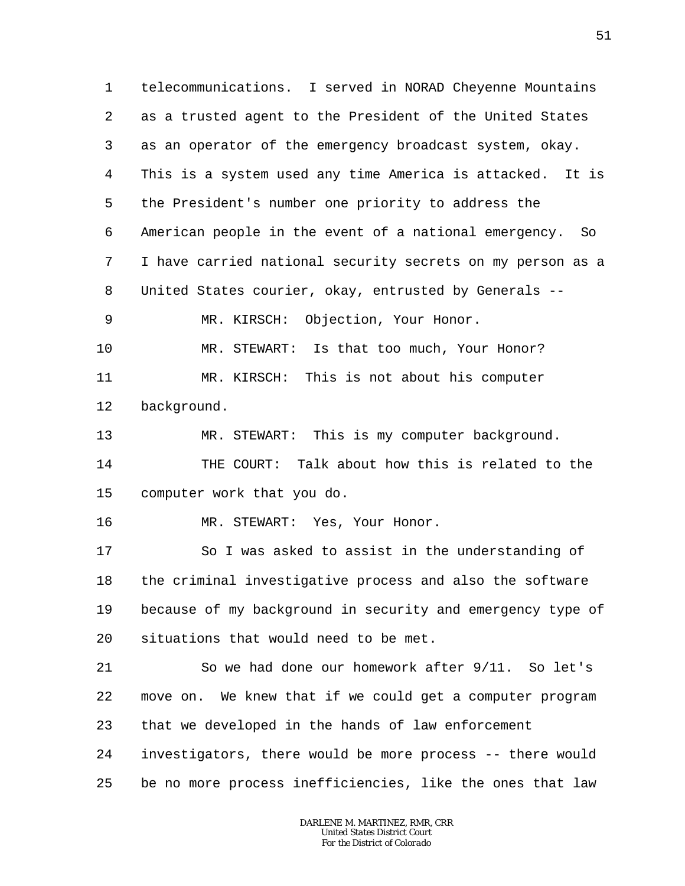1 2 3 4 5 6 7 8 telecommunications. I served in NORAD Cheyenne Mountains as a trusted agent to the President of the United States as an operator of the emergency broadcast system, okay. This is a system used any time America is attacked. It is the President's number one priority to address the American people in the event of a national emergency. So I have carried national security secrets on my person as a United States courier, okay, entrusted by Generals --

9 MR. KIRSCH: Objection, Your Honor.

10 11 12 MR. STEWART: Is that too much, Your Honor? MR. KIRSCH: This is not about his computer background.

13 14 15 MR. STEWART: This is my computer background. THE COURT: Talk about how this is related to the computer work that you do.

16 MR. STEWART: Yes, Your Honor.

25

17 18 19 20 So I was asked to assist in the understanding of the criminal investigative process and also the software because of my background in security and emergency type of situations that would need to be met.

21 22 23 24 So we had done our homework after 9/11. So let's move on. We knew that if we could get a computer program that we developed in the hands of law enforcement investigators, there would be more process -- there would

> *DARLENE M. MARTINEZ, RMR, CRR United States District Court For the District of Colorado*

be no more process inefficiencies, like the ones that law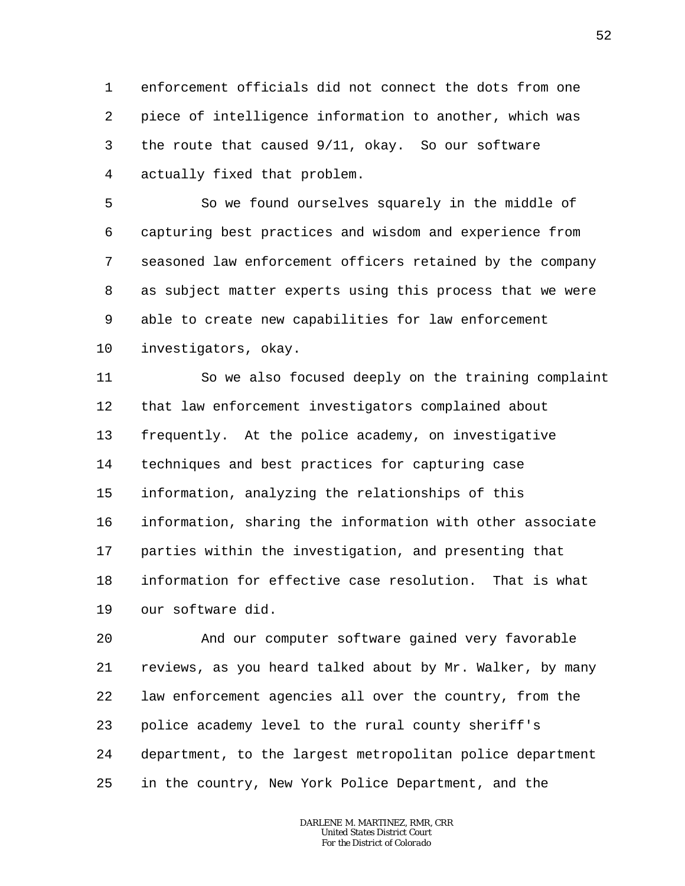1 2 3 4 enforcement officials did not connect the dots from one piece of intelligence information to another, which was the route that caused 9/11, okay. So our software actually fixed that problem.

5 6 7 8 9 10 So we found ourselves squarely in the middle of capturing best practices and wisdom and experience from seasoned law enforcement officers retained by the company as subject matter experts using this process that we were able to create new capabilities for law enforcement investigators, okay.

11 12 13 14 15 16 17 18 19 So we also focused deeply on the training complaint that law enforcement investigators complained about frequently. At the police academy, on investigative techniques and best practices for capturing case information, analyzing the relationships of this information, sharing the information with other associate parties within the investigation, and presenting that information for effective case resolution. That is what our software did.

20 21 22 23 24 25 And our computer software gained very favorable reviews, as you heard talked about by Mr. Walker, by many law enforcement agencies all over the country, from the police academy level to the rural county sheriff's department, to the largest metropolitan police department in the country, New York Police Department, and the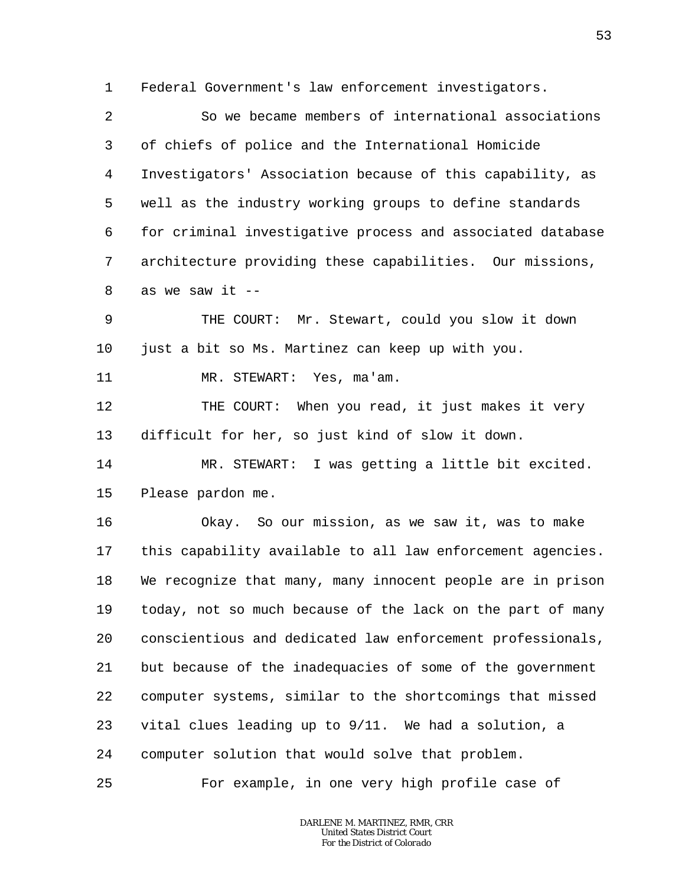1 Federal Government's law enforcement investigators.

2 3 4 5 6 7 8 So we became members of international associations of chiefs of police and the International Homicide Investigators' Association because of this capability, as well as the industry working groups to define standards for criminal investigative process and associated database architecture providing these capabilities. Our missions, as we saw it  $-$ 

9 10 THE COURT: Mr. Stewart, could you slow it down just a bit so Ms. Martinez can keep up with you.

11 MR. STEWART: Yes, ma'am.

12 13 THE COURT: When you read, it just makes it very difficult for her, so just kind of slow it down.

14 15 MR. STEWART: I was getting a little bit excited. Please pardon me.

16 17 18 19 20 21 22 23 24 Okay. So our mission, as we saw it, was to make this capability available to all law enforcement agencies. We recognize that many, many innocent people are in prison today, not so much because of the lack on the part of many conscientious and dedicated law enforcement professionals, but because of the inadequacies of some of the government computer systems, similar to the shortcomings that missed vital clues leading up to 9/11. We had a solution, a computer solution that would solve that problem.

25 For example, in one very high profile case of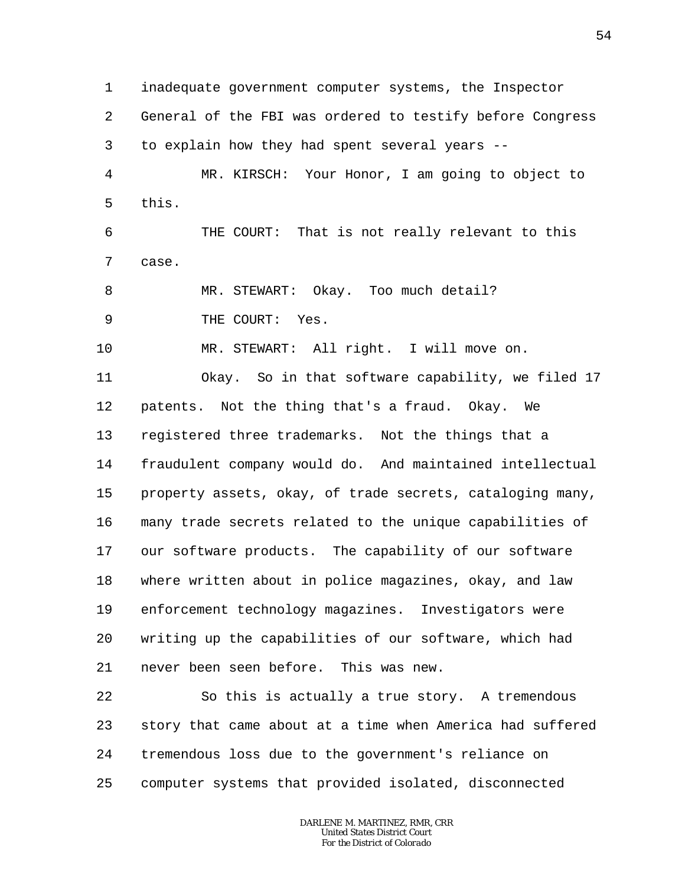1 2 3 4 5 6 7 8 9 10 11 12 13 14 15 16 17 18 19 20 21 22 23 24 inadequate government computer systems, the Inspector General of the FBI was ordered to testify before Congress to explain how they had spent several years -- MR. KIRSCH: Your Honor, I am going to object to this. THE COURT: That is not really relevant to this case. MR. STEWART: Okay. Too much detail? THE COURT: Yes. MR. STEWART: All right. I will move on. Okay. So in that software capability, we filed 17 patents. Not the thing that's a fraud. Okay. We registered three trademarks. Not the things that a fraudulent company would do. And maintained intellectual property assets, okay, of trade secrets, cataloging many, many trade secrets related to the unique capabilities of our software products. The capability of our software where written about in police magazines, okay, and law enforcement technology magazines. Investigators were writing up the capabilities of our software, which had never been seen before. This was new. So this is actually a true story. A tremendous story that came about at a time when America had suffered tremendous loss due to the government's reliance on

25 computer systems that provided isolated, disconnected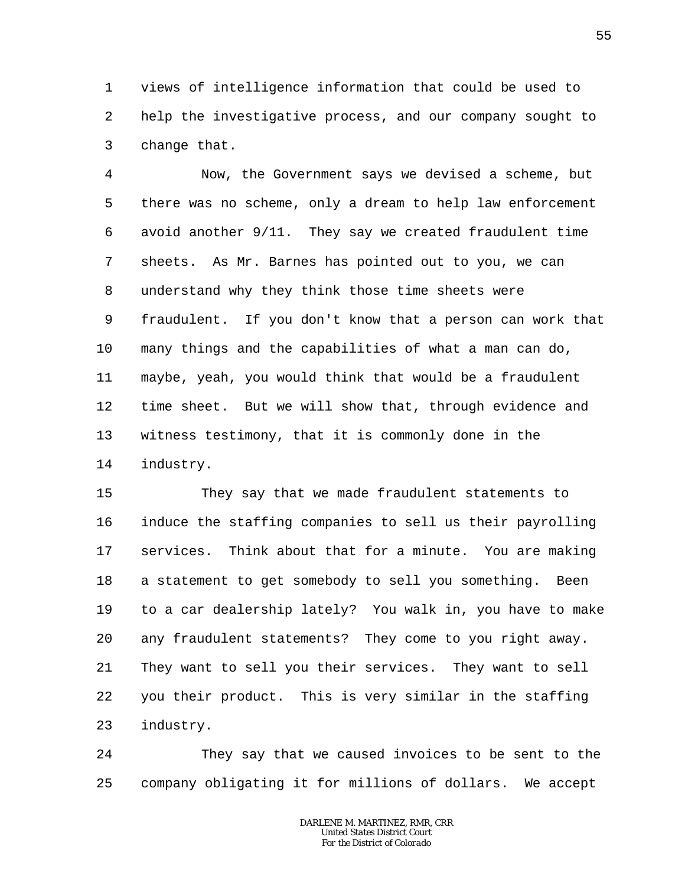1 2 3 views of intelligence information that could be used to help the investigative process, and our company sought to change that.

4 5 6 7 8 9 10 11 12 13 14 Now, the Government says we devised a scheme, but there was no scheme, only a dream to help law enforcement avoid another 9/11. They say we created fraudulent time sheets. As Mr. Barnes has pointed out to you, we can understand why they think those time sheets were fraudulent. If you don't know that a person can work that many things and the capabilities of what a man can do, maybe, yeah, you would think that would be a fraudulent time sheet. But we will show that, through evidence and witness testimony, that it is commonly done in the industry.

15 16 17 18 19 20 21 22 23 They say that we made fraudulent statements to induce the staffing companies to sell us their payrolling services. Think about that for a minute. You are making a statement to get somebody to sell you something. Been to a car dealership lately? You walk in, you have to make any fraudulent statements? They come to you right away. They want to sell you their services. They want to sell you their product. This is very similar in the staffing industry.

24 25 They say that we caused invoices to be sent to the company obligating it for millions of dollars. We accept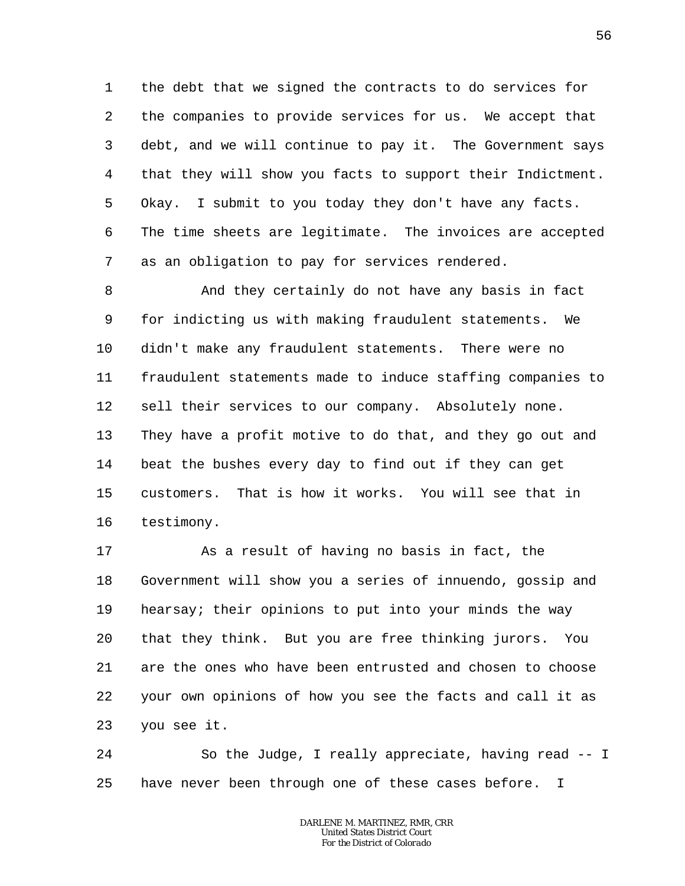1 2 3 4 5 6 7 the debt that we signed the contracts to do services for the companies to provide services for us. We accept that debt, and we will continue to pay it. The Government says that they will show you facts to support their Indictment. Okay. I submit to you today they don't have any facts. The time sheets are legitimate. The invoices are accepted as an obligation to pay for services rendered.

8 9 10 11 12 13 14 15 16 And they certainly do not have any basis in fact for indicting us with making fraudulent statements. We didn't make any fraudulent statements. There were no fraudulent statements made to induce staffing companies to sell their services to our company. Absolutely none. They have a profit motive to do that, and they go out and beat the bushes every day to find out if they can get customers. That is how it works. You will see that in testimony.

17 18 19 20 21 22 23 As a result of having no basis in fact, the Government will show you a series of innuendo, gossip and hearsay; their opinions to put into your minds the way that they think. But you are free thinking jurors. You are the ones who have been entrusted and chosen to choose your own opinions of how you see the facts and call it as you see it.

24 25 So the Judge, I really appreciate, having read -- I have never been through one of these cases before. I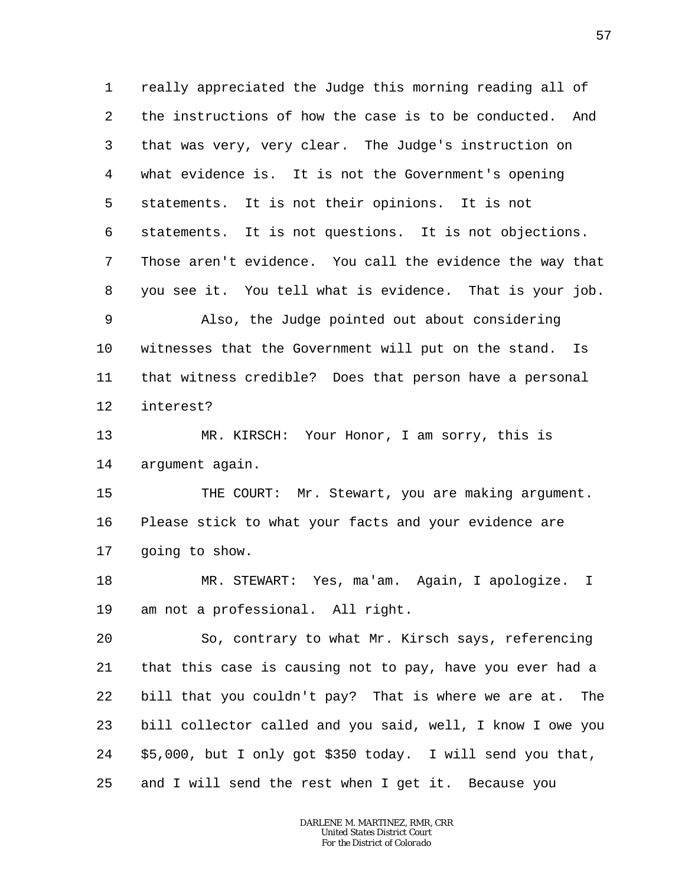1 2 3 4 5 6 7 8 really appreciated the Judge this morning reading all of the instructions of how the case is to be conducted. And that was very, very clear. The Judge's instruction on what evidence is. It is not the Government's opening statements. It is not their opinions. It is not statements. It is not questions. It is not objections. Those aren't evidence. You call the evidence the way that you see it. You tell what is evidence. That is your job.

9 10 11 12 Also, the Judge pointed out about considering witnesses that the Government will put on the stand. Is that witness credible? Does that person have a personal interest?

13 14 MR. KIRSCH: Your Honor, I am sorry, this is argument again.

15 16 17 THE COURT: Mr. Stewart, you are making argument. Please stick to what your facts and your evidence are going to show.

18 19 MR. STEWART: Yes, ma'am. Again, I apologize. I am not a professional. All right.

20 21 22 23 24 25 So, contrary to what Mr. Kirsch says, referencing that this case is causing not to pay, have you ever had a bill that you couldn't pay? That is where we are at. The bill collector called and you said, well, I know I owe you \$5,000, but I only got \$350 today. I will send you that, and I will send the rest when I get it. Because you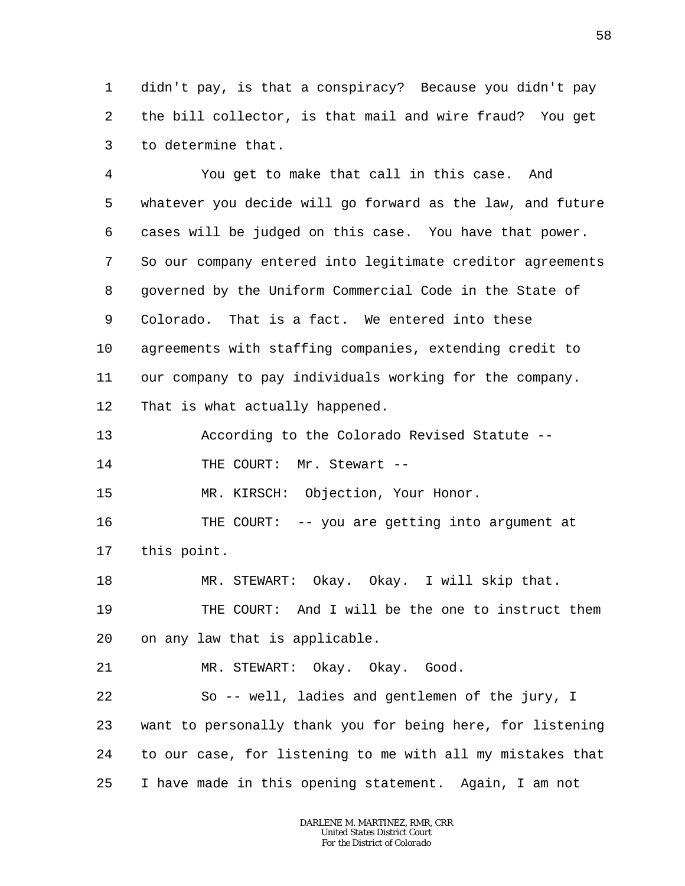1 2 3 didn't pay, is that a conspiracy? Because you didn't pay the bill collector, is that mail and wire fraud? You get to determine that.

4 5 6 7 8 9 10 11 12 You get to make that call in this case. And whatever you decide will go forward as the law, and future cases will be judged on this case. You have that power. So our company entered into legitimate creditor agreements governed by the Uniform Commercial Code in the State of Colorado. That is a fact. We entered into these agreements with staffing companies, extending credit to our company to pay individuals working for the company. That is what actually happened.

13 According to the Colorado Revised Statute --

14 THE COURT: Mr. Stewart --

15 MR. KIRSCH: Objection, Your Honor.

16 17 THE COURT: -- you are getting into argument at this point.

18 19 20 MR. STEWART: Okay. Okay. I will skip that. THE COURT: And I will be the one to instruct them on any law that is applicable.

21 MR. STEWART: Okay. Okay. Good.

22 23 24 25 So -- well, ladies and gentlemen of the jury, I want to personally thank you for being here, for listening to our case, for listening to me with all my mistakes that I have made in this opening statement. Again, I am not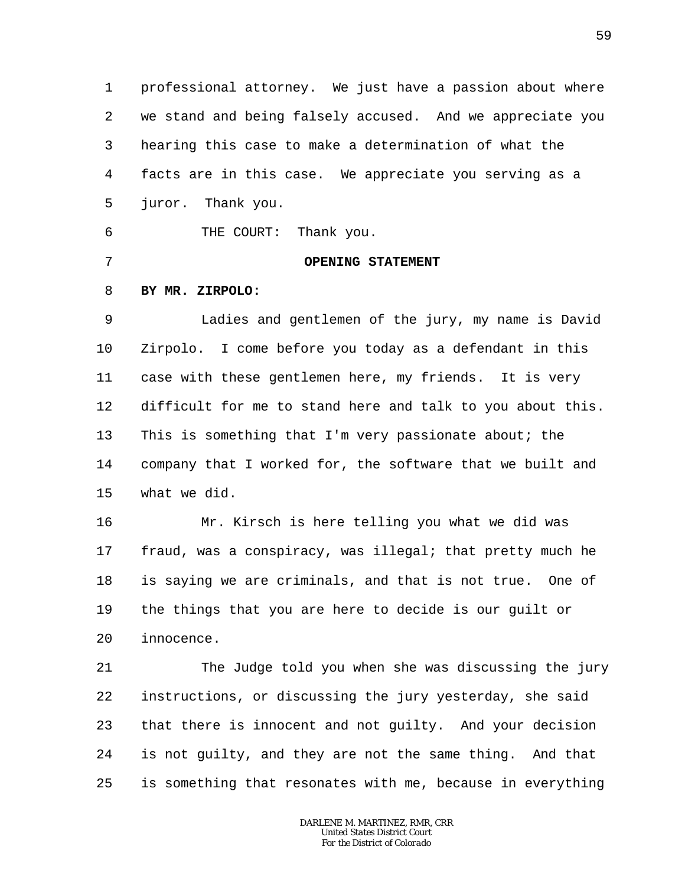1 2 3 4 5 6 professional attorney. We just have a passion about where we stand and being falsely accused. And we appreciate you hearing this case to make a determination of what the facts are in this case. We appreciate you serving as a juror. Thank you. THE COURT: Thank you.

**OPENING STATEMENT**

7

8 **BY MR. ZIRPOLO:**

9 10 11 12 13 14 15 Ladies and gentlemen of the jury, my name is David Zirpolo. I come before you today as a defendant in this case with these gentlemen here, my friends. It is very difficult for me to stand here and talk to you about this. This is something that I'm very passionate about; the company that I worked for, the software that we built and what we did.

16 17 18 19 20 Mr. Kirsch is here telling you what we did was fraud, was a conspiracy, was illegal; that pretty much he is saying we are criminals, and that is not true. One of the things that you are here to decide is our guilt or innocence.

21 22 23 24 25 The Judge told you when she was discussing the jury instructions, or discussing the jury yesterday, she said that there is innocent and not guilty. And your decision is not guilty, and they are not the same thing. And that is something that resonates with me, because in everything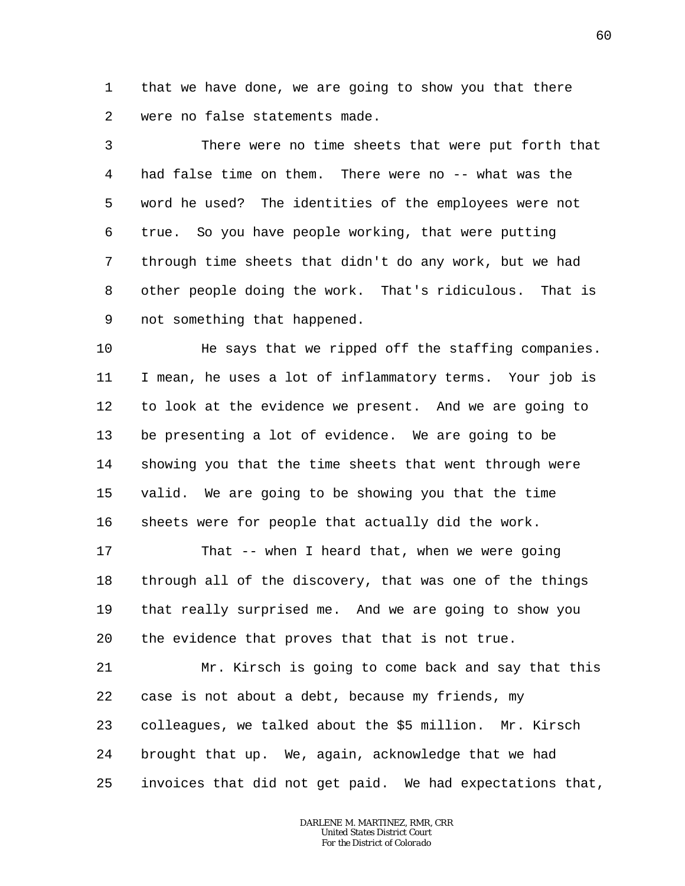1 2 that we have done, we are going to show you that there were no false statements made.

3 4 5 6 7 8 9 There were no time sheets that were put forth that had false time on them. There were no -- what was the word he used? The identities of the employees were not true. So you have people working, that were putting through time sheets that didn't do any work, but we had other people doing the work. That's ridiculous. That is not something that happened.

10 11 12 13 14 15 16 He says that we ripped off the staffing companies. I mean, he uses a lot of inflammatory terms. Your job is to look at the evidence we present. And we are going to be presenting a lot of evidence. We are going to be showing you that the time sheets that went through were valid. We are going to be showing you that the time sheets were for people that actually did the work.

17 18 19 20 That -- when I heard that, when we were going through all of the discovery, that was one of the things that really surprised me. And we are going to show you the evidence that proves that that is not true.

21 22 23 24 25 Mr. Kirsch is going to come back and say that this case is not about a debt, because my friends, my colleagues, we talked about the \$5 million. Mr. Kirsch brought that up. We, again, acknowledge that we had invoices that did not get paid. We had expectations that,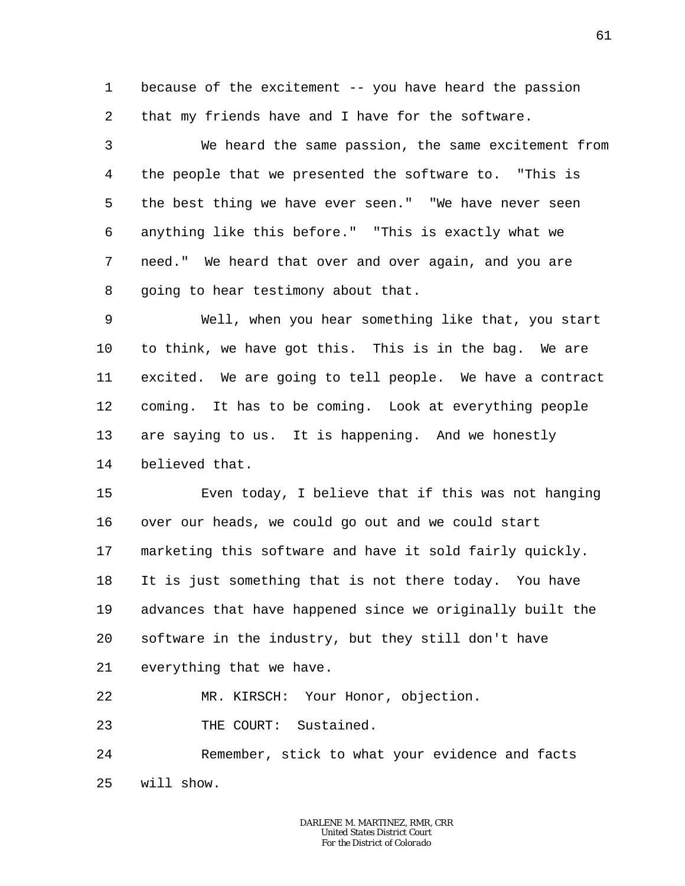1 2 because of the excitement -- you have heard the passion that my friends have and I have for the software.

3 4 5 6 7 8 We heard the same passion, the same excitement from the people that we presented the software to. "This is the best thing we have ever seen." "We have never seen anything like this before." "This is exactly what we need." We heard that over and over again, and you are going to hear testimony about that.

9 10 11 12 13 14 Well, when you hear something like that, you start to think, we have got this. This is in the bag. We are excited. We are going to tell people. We have a contract coming. It has to be coming. Look at everything people are saying to us. It is happening. And we honestly believed that.

15 16 17 18 19 20 21 Even today, I believe that if this was not hanging over our heads, we could go out and we could start marketing this software and have it sold fairly quickly. It is just something that is not there today. You have advances that have happened since we originally built the software in the industry, but they still don't have everything that we have.

22 MR. KIRSCH: Your Honor, objection.

23 THE COURT: Sustained.

24 25 Remember, stick to what your evidence and facts will show.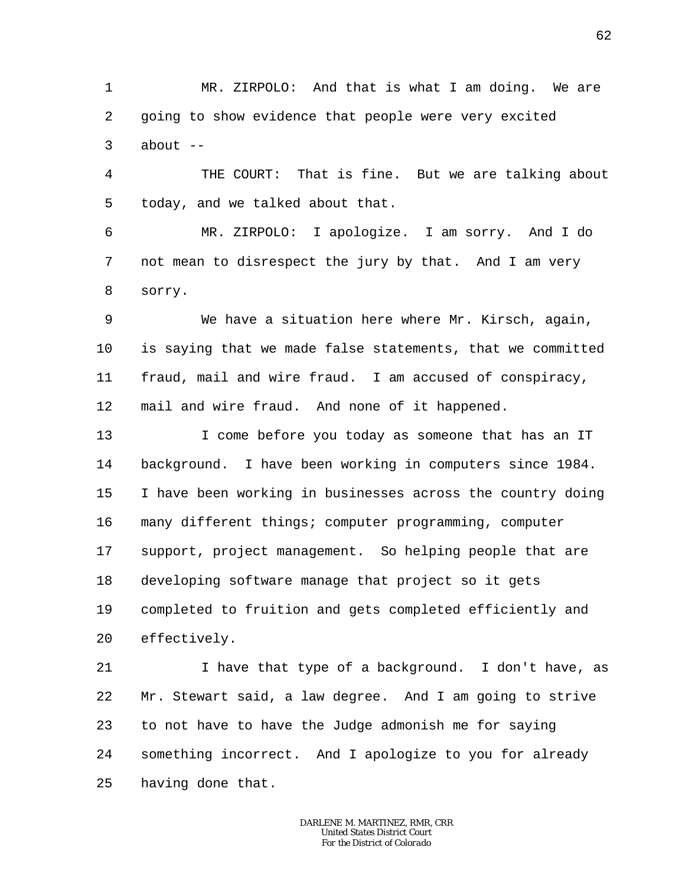1 2 3 MR. ZIRPOLO: And that is what I am doing. We are going to show evidence that people were very excited about  $--$ 

4 5 THE COURT: That is fine. But we are talking about today, and we talked about that.

6 7 8 MR. ZIRPOLO: I apologize. I am sorry. And I do not mean to disrespect the jury by that. And I am very sorry.

9 10 11 12 We have a situation here where Mr. Kirsch, again, is saying that we made false statements, that we committed fraud, mail and wire fraud. I am accused of conspiracy, mail and wire fraud. And none of it happened.

13 14 15 16 17 18 19 20 I come before you today as someone that has an IT background. I have been working in computers since 1984. I have been working in businesses across the country doing many different things; computer programming, computer support, project management. So helping people that are developing software manage that project so it gets completed to fruition and gets completed efficiently and effectively.

21 22 23 24 25 I have that type of a background. I don't have, as Mr. Stewart said, a law degree. And I am going to strive to not have to have the Judge admonish me for saying something incorrect. And I apologize to you for already having done that.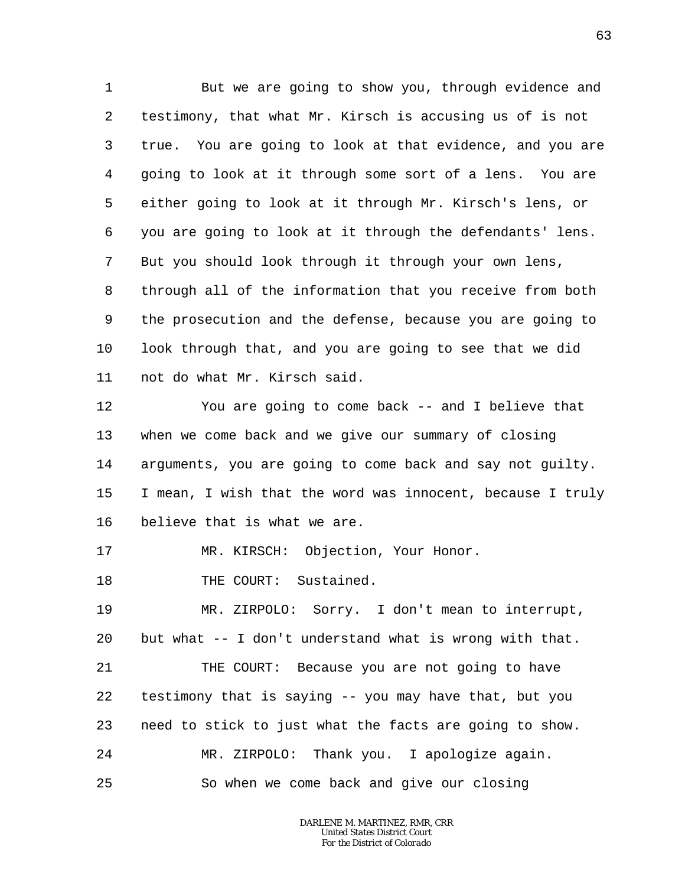1 2 3 4 5 6 7 8 9 10 11 But we are going to show you, through evidence and testimony, that what Mr. Kirsch is accusing us of is not true. You are going to look at that evidence, and you are going to look at it through some sort of a lens. You are either going to look at it through Mr. Kirsch's lens, or you are going to look at it through the defendants' lens. But you should look through it through your own lens, through all of the information that you receive from both the prosecution and the defense, because you are going to look through that, and you are going to see that we did not do what Mr. Kirsch said.

12 13 14 15 16 You are going to come back -- and I believe that when we come back and we give our summary of closing arguments, you are going to come back and say not guilty. I mean, I wish that the word was innocent, because I truly believe that is what we are.

17 MR. KIRSCH: Objection, Your Honor.

18 THE COURT: Sustained.

19 20 MR. ZIRPOLO: Sorry. I don't mean to interrupt, but what -- I don't understand what is wrong with that.

21 22 23 24 25 THE COURT: Because you are not going to have testimony that is saying -- you may have that, but you need to stick to just what the facts are going to show. MR. ZIRPOLO: Thank you. I apologize again. So when we come back and give our closing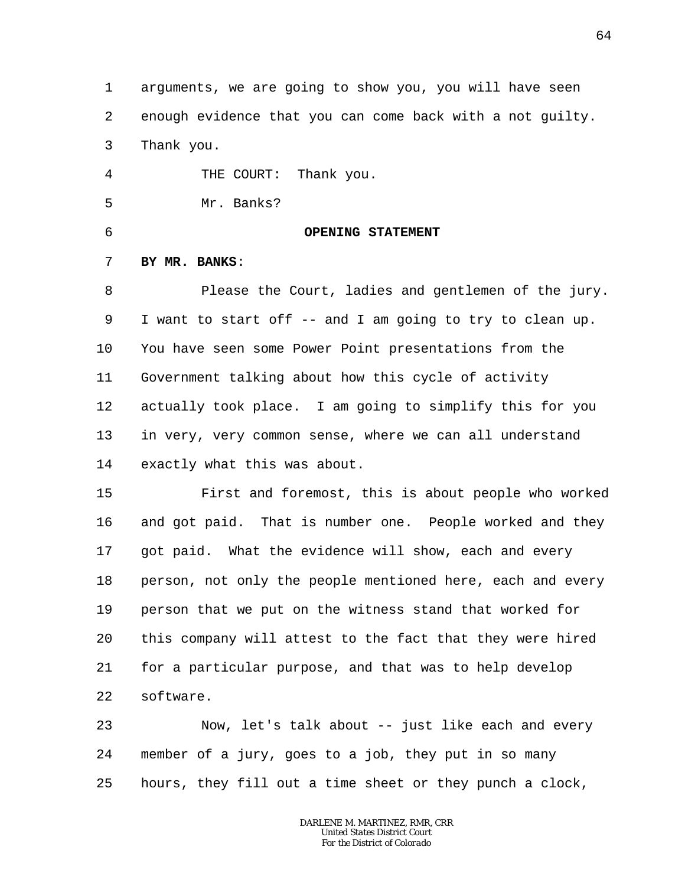1 2 3 arguments, we are going to show you, you will have seen enough evidence that you can come back with a not guilty. Thank you.

4 5 THE COURT: Thank you. Mr. Banks?

6

# **OPENING STATEMENT**

### 7 **BY MR. BANKS**:

8 9 10 11 12 13 14 Please the Court, ladies and gentlemen of the jury. I want to start off -- and I am going to try to clean up. You have seen some Power Point presentations from the Government talking about how this cycle of activity actually took place. I am going to simplify this for you in very, very common sense, where we can all understand exactly what this was about.

15 16 17 18 19 20 21 22 First and foremost, this is about people who worked and got paid. That is number one. People worked and they got paid. What the evidence will show, each and every person, not only the people mentioned here, each and every person that we put on the witness stand that worked for this company will attest to the fact that they were hired for a particular purpose, and that was to help develop software.

23 24 25 Now, let's talk about -- just like each and every member of a jury, goes to a job, they put in so many hours, they fill out a time sheet or they punch a clock,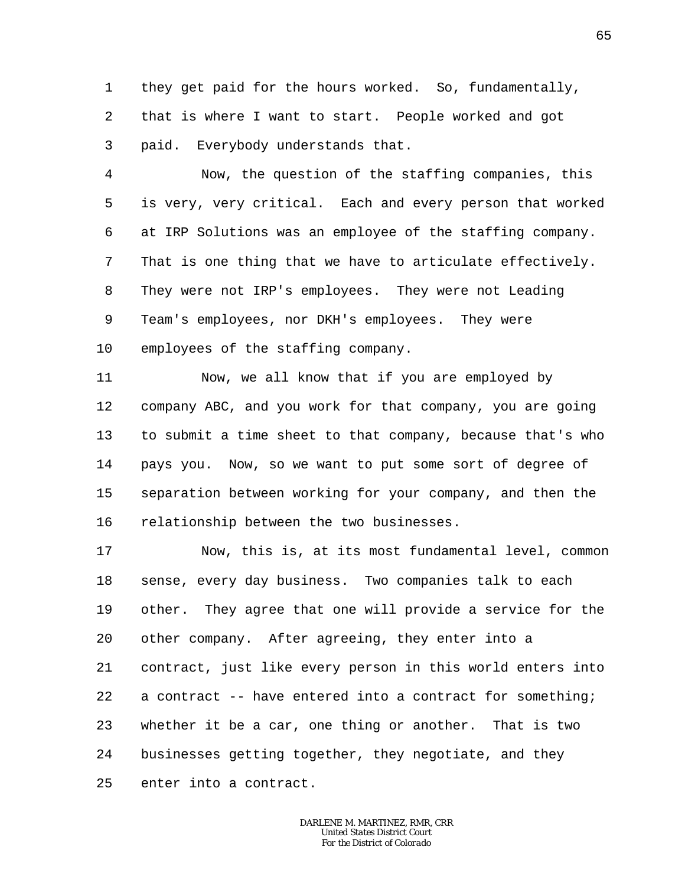1 2 3 they get paid for the hours worked. So, fundamentally, that is where I want to start. People worked and got paid. Everybody understands that.

4 5 6 7 8 9 10 Now, the question of the staffing companies, this is very, very critical. Each and every person that worked at IRP Solutions was an employee of the staffing company. That is one thing that we have to articulate effectively. They were not IRP's employees. They were not Leading Team's employees, nor DKH's employees. They were employees of the staffing company.

11 12 13 14 15 16 Now, we all know that if you are employed by company ABC, and you work for that company, you are going to submit a time sheet to that company, because that's who pays you. Now, so we want to put some sort of degree of separation between working for your company, and then the relationship between the two businesses.

17 18 19 20 21 22 23 24 25 Now, this is, at its most fundamental level, common sense, every day business. Two companies talk to each other. They agree that one will provide a service for the other company. After agreeing, they enter into a contract, just like every person in this world enters into a contract  $-$ - have entered into a contract for something; whether it be a car, one thing or another. That is two businesses getting together, they negotiate, and they enter into a contract.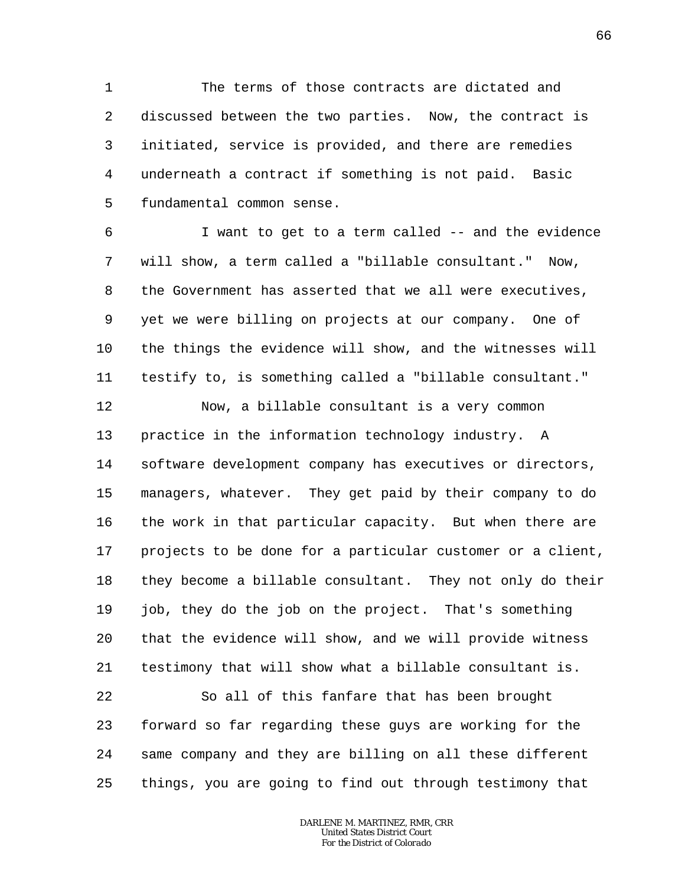1 2 3 4 5 The terms of those contracts are dictated and discussed between the two parties. Now, the contract is initiated, service is provided, and there are remedies underneath a contract if something is not paid. Basic fundamental common sense.

6 7 8 9 10 11 I want to get to a term called -- and the evidence will show, a term called a "billable consultant." Now, the Government has asserted that we all were executives, yet we were billing on projects at our company. One of the things the evidence will show, and the witnesses will testify to, is something called a "billable consultant."

12 13 14 15 16 17 18 19 20 21 Now, a billable consultant is a very common practice in the information technology industry. A software development company has executives or directors, managers, whatever. They get paid by their company to do the work in that particular capacity. But when there are projects to be done for a particular customer or a client, they become a billable consultant. They not only do their job, they do the job on the project. That's something that the evidence will show, and we will provide witness testimony that will show what a billable consultant is.

22 23 24 25 So all of this fanfare that has been brought forward so far regarding these guys are working for the same company and they are billing on all these different things, you are going to find out through testimony that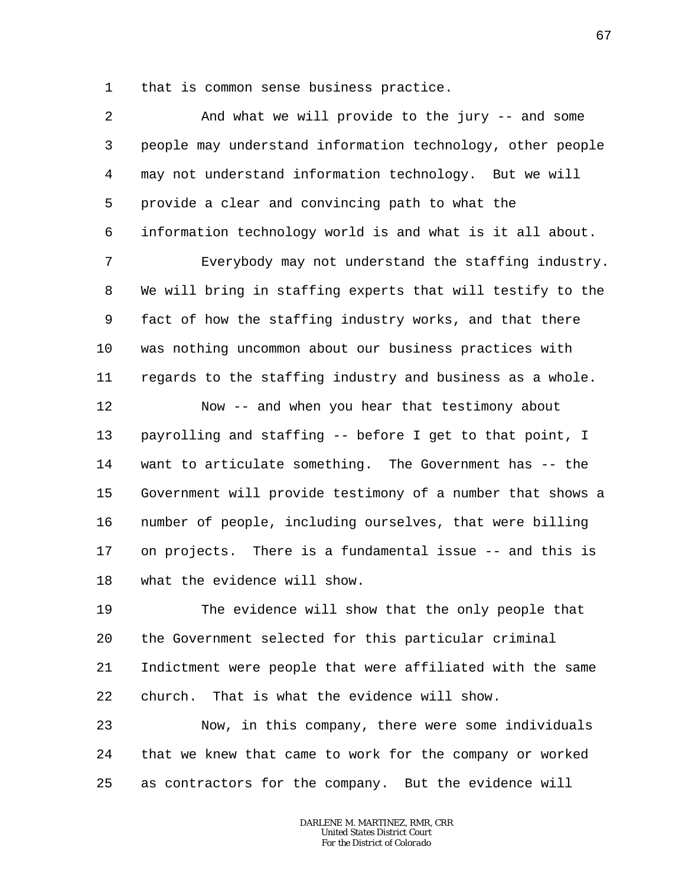1 that is common sense business practice.

| $\overline{a}$ | And what we will provide to the jury -- and some           |
|----------------|------------------------------------------------------------|
| 3              | people may understand information technology, other people |
| 4              | may not understand information technology. But we will     |
| 5              | provide a clear and convincing path to what the            |
| 6              | information technology world is and what is it all about.  |
| 7              | Everybody may not understand the staffing industry.        |
| 8              | We will bring in staffing experts that will testify to the |
| 9              | fact of how the staffing industry works, and that there    |
| $10 \,$        | was nothing uncommon about our business practices with     |
| 11             | regards to the staffing industry and business as a whole.  |
| 12             | Now -- and when you hear that testimony about              |
| 13             | payrolling and staffing -- before I get to that point, I   |
| 14             | want to articulate something. The Government has -- the    |
| 15             | Government will provide testimony of a number that shows a |
| 16             | number of people, including ourselves, that were billing   |
| 17             | on projects. There is a fundamental issue -- and this is   |
| 18             | what the evidence will show.                               |
| 19             | The evidence will show that the only people that           |
| 20             | the Government selected for this particular criminal       |
| 21             | Indictment were people that were affiliated with the same  |
| 22             | That is what the evidence will show.<br>church.            |
| 23             | Now, in this company, there were some individuals          |
| 24             | that we knew that came to work for the company or worked   |

25 as contractors for the company. But the evidence will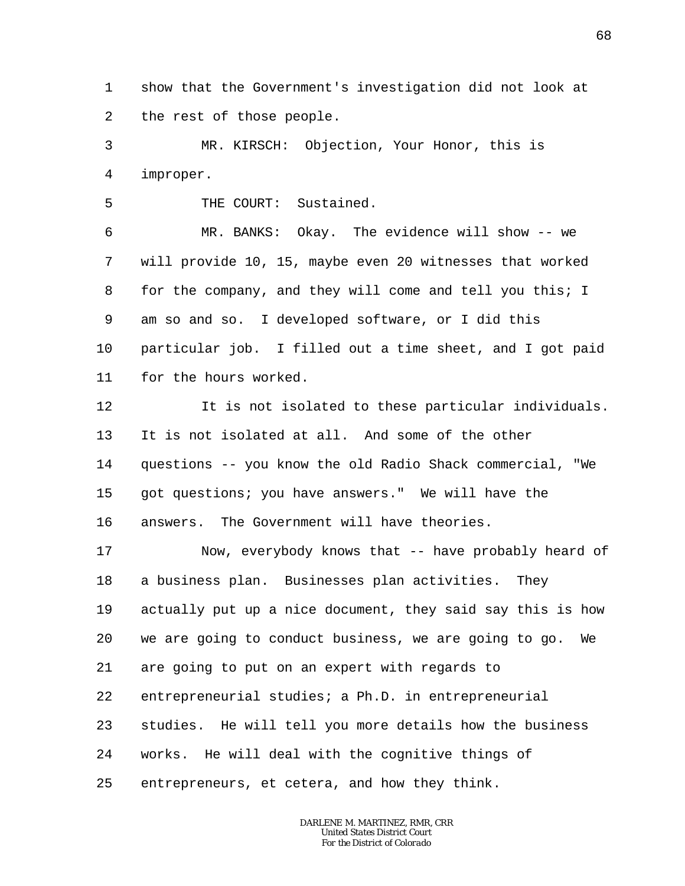1 2 show that the Government's investigation did not look at the rest of those people.

3 4 MR. KIRSCH: Objection, Your Honor, this is improper.

5 THE COURT: Sustained.

6 7 8 9 10 11 MR. BANKS: Okay. The evidence will show -- we will provide 10, 15, maybe even 20 witnesses that worked for the company, and they will come and tell you this; I am so and so. I developed software, or I did this particular job. I filled out a time sheet, and I got paid for the hours worked.

12 13 14 15 16 It is not isolated to these particular individuals. It is not isolated at all. And some of the other questions -- you know the old Radio Shack commercial, "We got questions; you have answers." We will have the answers. The Government will have theories.

17 18 19 20 21 22 23 24 25 Now, everybody knows that -- have probably heard of a business plan. Businesses plan activities. They actually put up a nice document, they said say this is how we are going to conduct business, we are going to go. We are going to put on an expert with regards to entrepreneurial studies; a Ph.D. in entrepreneurial studies. He will tell you more details how the business works. He will deal with the cognitive things of entrepreneurs, et cetera, and how they think.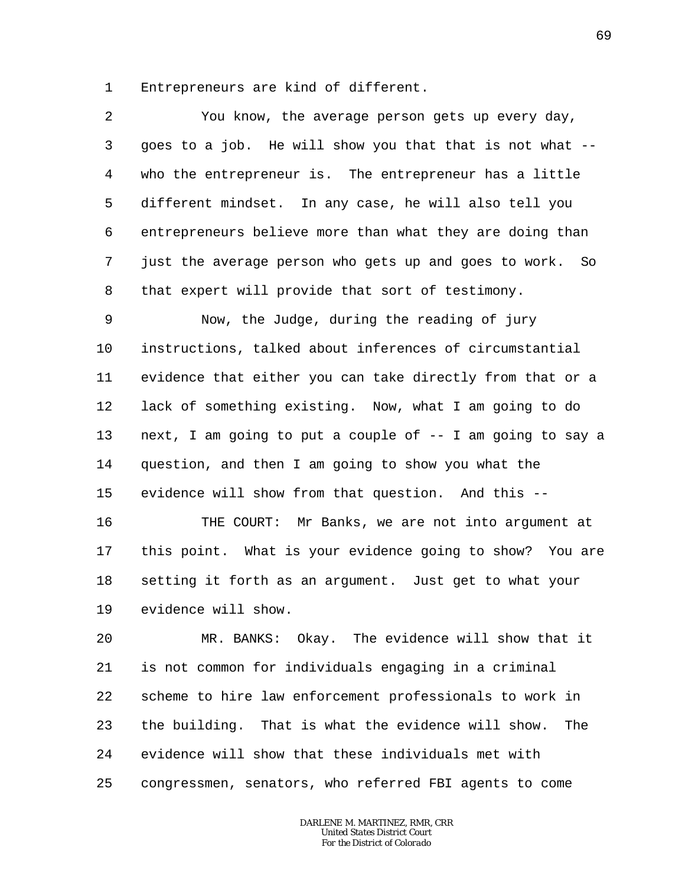1 Entrepreneurs are kind of different.

2 3 4 5 6 7 8 You know, the average person gets up every day, goes to a job. He will show you that that is not what - who the entrepreneur is. The entrepreneur has a little different mindset. In any case, he will also tell you entrepreneurs believe more than what they are doing than just the average person who gets up and goes to work. So that expert will provide that sort of testimony.

9 10 11 12 13 14 15 Now, the Judge, during the reading of jury instructions, talked about inferences of circumstantial evidence that either you can take directly from that or a lack of something existing. Now, what I am going to do next, I am going to put a couple of  $-$ - I am going to say a question, and then I am going to show you what the evidence will show from that question. And this --

16 17 18 19 THE COURT: Mr Banks, we are not into argument at this point. What is your evidence going to show? You are setting it forth as an argument. Just get to what your evidence will show.

20 21 22 23 24 25 MR. BANKS: Okay. The evidence will show that it is not common for individuals engaging in a criminal scheme to hire law enforcement professionals to work in the building. That is what the evidence will show. The evidence will show that these individuals met with congressmen, senators, who referred FBI agents to come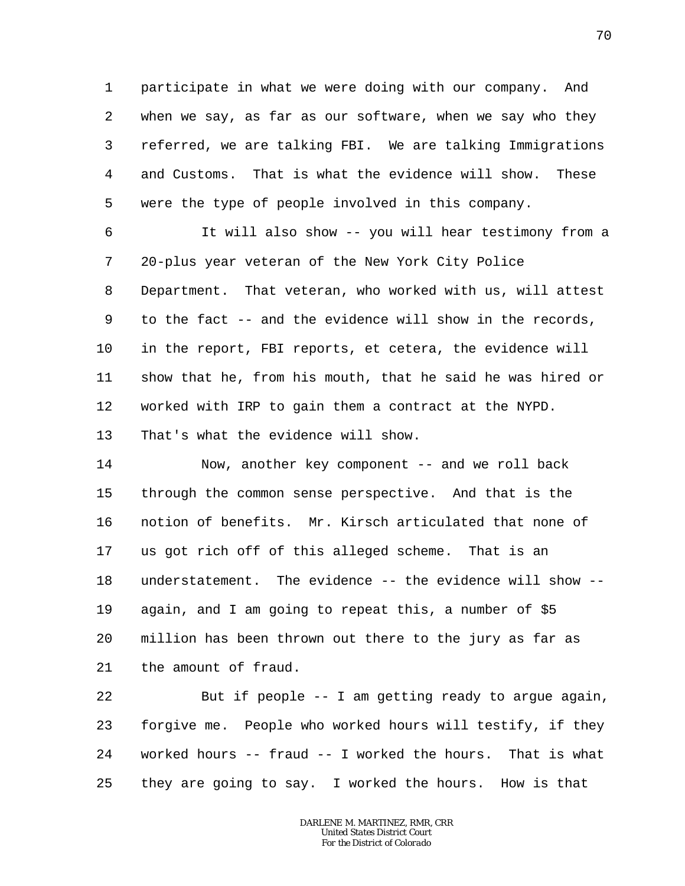1 2 3 4 5 participate in what we were doing with our company. And when we say, as far as our software, when we say who they referred, we are talking FBI. We are talking Immigrations and Customs. That is what the evidence will show. These were the type of people involved in this company.

6 7 8 9 10 11 12 13 It will also show -- you will hear testimony from a 20-plus year veteran of the New York City Police Department. That veteran, who worked with us, will attest to the fact -- and the evidence will show in the records, in the report, FBI reports, et cetera, the evidence will show that he, from his mouth, that he said he was hired or worked with IRP to gain them a contract at the NYPD. That's what the evidence will show.

14 15 16 17 18 19 20 21 Now, another key component -- and we roll back through the common sense perspective. And that is the notion of benefits. Mr. Kirsch articulated that none of us got rich off of this alleged scheme. That is an understatement. The evidence -- the evidence will show - again, and I am going to repeat this, a number of \$5 million has been thrown out there to the jury as far as the amount of fraud.

22 23 24 25 But if people  $-$ - I am getting ready to argue again, forgive me. People who worked hours will testify, if they worked hours -- fraud -- I worked the hours. That is what they are going to say. I worked the hours. How is that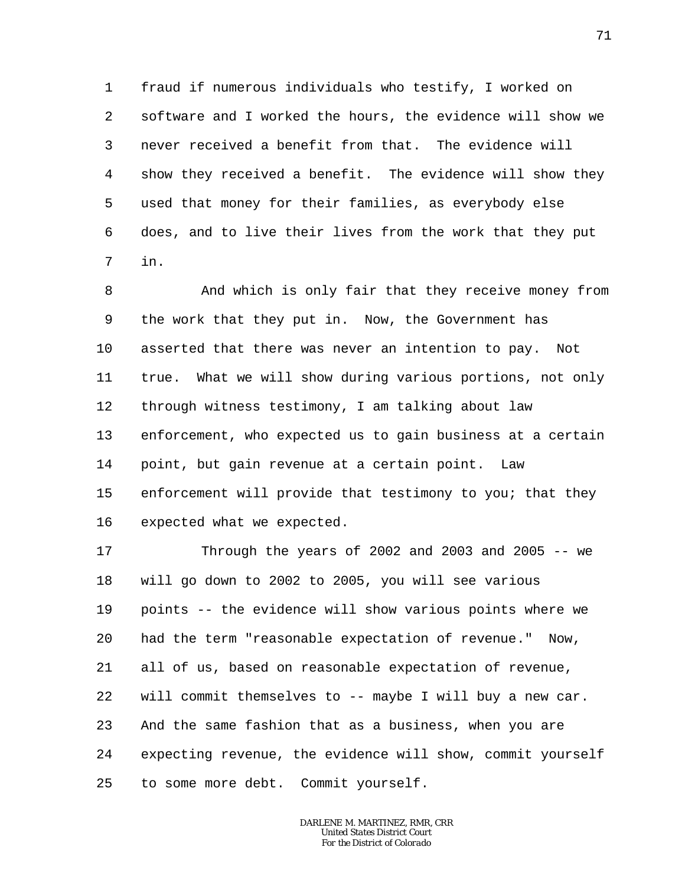1 2 3 4 5 6 7 fraud if numerous individuals who testify, I worked on software and I worked the hours, the evidence will show we never received a benefit from that. The evidence will show they received a benefit. The evidence will show they used that money for their families, as everybody else does, and to live their lives from the work that they put in.

8 9 10 11 12 13 14 15 16 And which is only fair that they receive money from the work that they put in. Now, the Government has asserted that there was never an intention to pay. Not true. What we will show during various portions, not only through witness testimony, I am talking about law enforcement, who expected us to gain business at a certain point, but gain revenue at a certain point. Law enforcement will provide that testimony to you; that they expected what we expected.

17 18 19 20 21 22 23 24 25 Through the years of 2002 and 2003 and 2005  $-$ - we will go down to 2002 to 2005, you will see various points -- the evidence will show various points where we had the term "reasonable expectation of revenue." Now, all of us, based on reasonable expectation of revenue, will commit themselves to -- maybe I will buy a new car. And the same fashion that as a business, when you are expecting revenue, the evidence will show, commit yourself to some more debt. Commit yourself.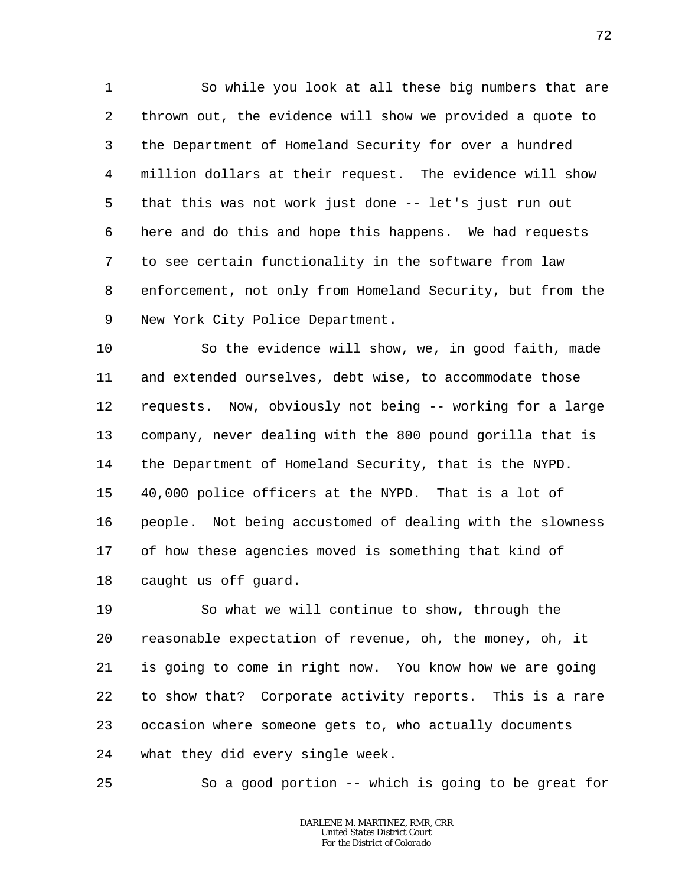1 2 3 4 5 6 7 8 9 So while you look at all these big numbers that are thrown out, the evidence will show we provided a quote to the Department of Homeland Security for over a hundred million dollars at their request. The evidence will show that this was not work just done -- let's just run out here and do this and hope this happens. We had requests to see certain functionality in the software from law enforcement, not only from Homeland Security, but from the New York City Police Department.

10 11 12 13 14 15 16 17 18 So the evidence will show, we, in good faith, made and extended ourselves, debt wise, to accommodate those requests. Now, obviously not being -- working for a large company, never dealing with the 800 pound gorilla that is the Department of Homeland Security, that is the NYPD. 40,000 police officers at the NYPD. That is a lot of people. Not being accustomed of dealing with the slowness of how these agencies moved is something that kind of caught us off guard.

19 20 21 22 23 24 So what we will continue to show, through the reasonable expectation of revenue, oh, the money, oh, it is going to come in right now. You know how we are going to show that? Corporate activity reports. This is a rare occasion where someone gets to, who actually documents what they did every single week.

25 So a good portion -- which is going to be great for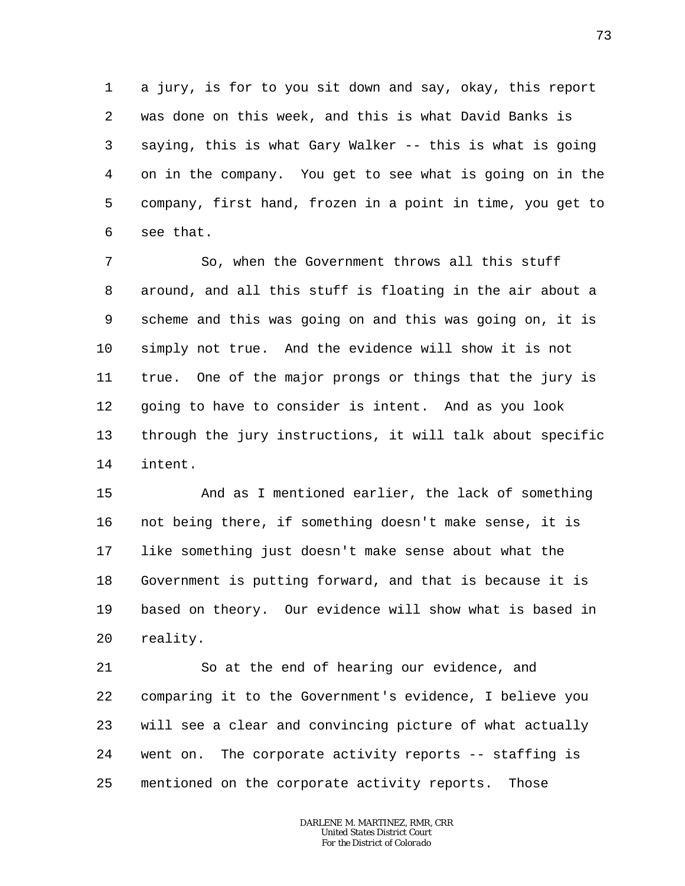1 2 3 4 5 6 a jury, is for to you sit down and say, okay, this report was done on this week, and this is what David Banks is saying, this is what Gary Walker -- this is what is going on in the company. You get to see what is going on in the company, first hand, frozen in a point in time, you get to see that.

7 8 9 10 11 12 13 14 So, when the Government throws all this stuff around, and all this stuff is floating in the air about a scheme and this was going on and this was going on, it is simply not true. And the evidence will show it is not true. One of the major prongs or things that the jury is going to have to consider is intent. And as you look through the jury instructions, it will talk about specific intent.

15 16 17 18 19 20 And as I mentioned earlier, the lack of something not being there, if something doesn't make sense, it is like something just doesn't make sense about what the Government is putting forward, and that is because it is based on theory. Our evidence will show what is based in reality.

21 22 23 24 25 So at the end of hearing our evidence, and comparing it to the Government's evidence, I believe you will see a clear and convincing picture of what actually went on. The corporate activity reports -- staffing is mentioned on the corporate activity reports. Those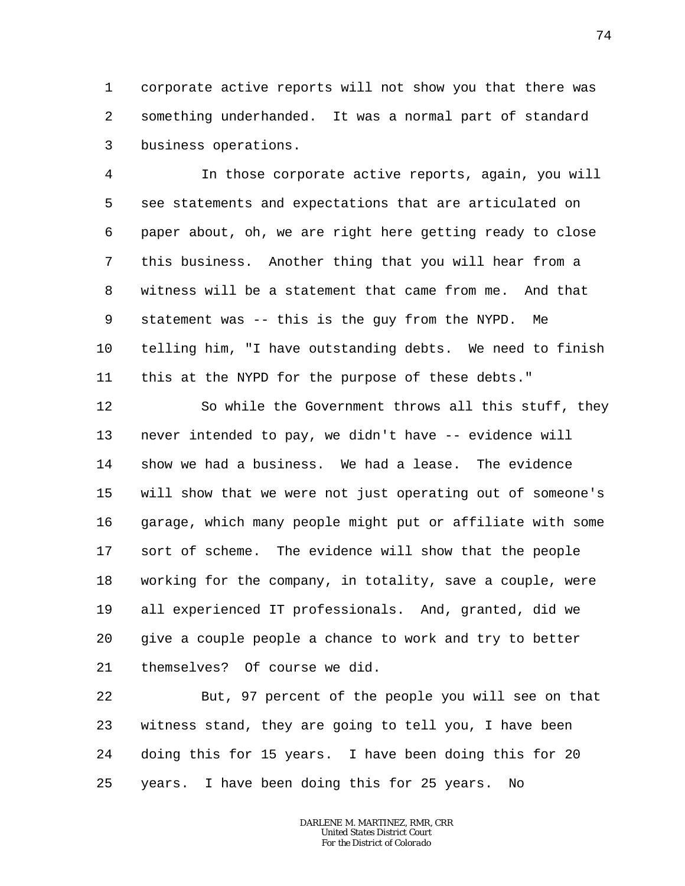1 2 3 corporate active reports will not show you that there was something underhanded. It was a normal part of standard business operations.

4 5 6 7 8 9 10 11 In those corporate active reports, again, you will see statements and expectations that are articulated on paper about, oh, we are right here getting ready to close this business. Another thing that you will hear from a witness will be a statement that came from me. And that statement was -- this is the guy from the NYPD. Me telling him, "I have outstanding debts. We need to finish this at the NYPD for the purpose of these debts."

12 13 14 15 16 17 18 19 20 21 So while the Government throws all this stuff, they never intended to pay, we didn't have -- evidence will show we had a business. We had a lease. The evidence will show that we were not just operating out of someone's garage, which many people might put or affiliate with some sort of scheme. The evidence will show that the people working for the company, in totality, save a couple, were all experienced IT professionals. And, granted, did we give a couple people a chance to work and try to better themselves? Of course we did.

22 23 24 25 But, 97 percent of the people you will see on that witness stand, they are going to tell you, I have been doing this for 15 years. I have been doing this for 20 years. I have been doing this for 25 years. No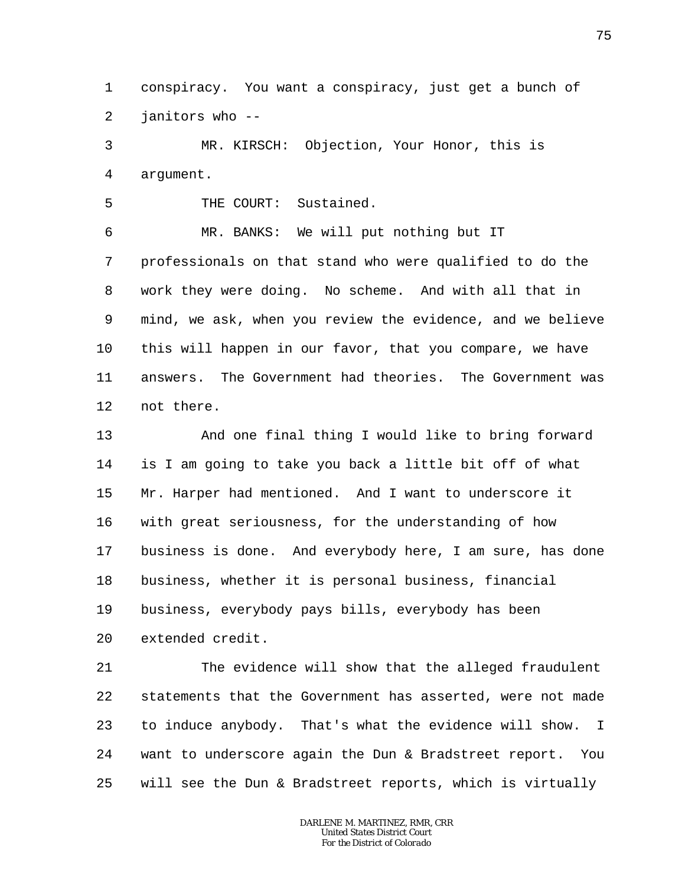1 2 conspiracy. You want a conspiracy, just get a bunch of janitors who --

3 4 MR. KIRSCH: Objection, Your Honor, this is argument.

5 THE COURT: Sustained.

6 7 8 9 10 11 12 MR. BANKS: We will put nothing but IT professionals on that stand who were qualified to do the work they were doing. No scheme. And with all that in mind, we ask, when you review the evidence, and we believe this will happen in our favor, that you compare, we have answers. The Government had theories. The Government was not there.

13 14 15 16 17 18 19 20 And one final thing I would like to bring forward is I am going to take you back a little bit off of what Mr. Harper had mentioned. And I want to underscore it with great seriousness, for the understanding of how business is done. And everybody here, I am sure, has done business, whether it is personal business, financial business, everybody pays bills, everybody has been extended credit.

21 22 23 24 25 The evidence will show that the alleged fraudulent statements that the Government has asserted, were not made to induce anybody. That's what the evidence will show. I want to underscore again the Dun & Bradstreet report. You will see the Dun & Bradstreet reports, which is virtually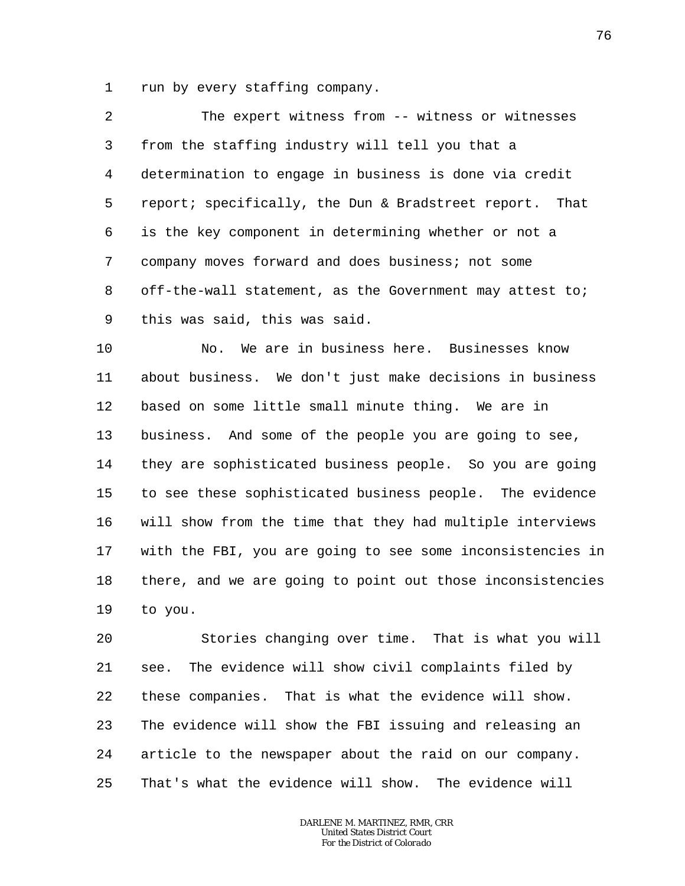1 run by every staffing company.

2 3 4 5 6 7 8 9 The expert witness from -- witness or witnesses from the staffing industry will tell you that a determination to engage in business is done via credit report; specifically, the Dun & Bradstreet report. That is the key component in determining whether or not a company moves forward and does business; not some off-the-wall statement, as the Government may attest to; this was said, this was said.

10 11 12 13 14 15 16 17 18 19 No. We are in business here. Businesses know about business. We don't just make decisions in business based on some little small minute thing. We are in business. And some of the people you are going to see, they are sophisticated business people. So you are going to see these sophisticated business people. The evidence will show from the time that they had multiple interviews with the FBI, you are going to see some inconsistencies in there, and we are going to point out those inconsistencies to you.

20 21 22 23 24 25 Stories changing over time. That is what you will see. The evidence will show civil complaints filed by these companies. That is what the evidence will show. The evidence will show the FBI issuing and releasing an article to the newspaper about the raid on our company. That's what the evidence will show. The evidence will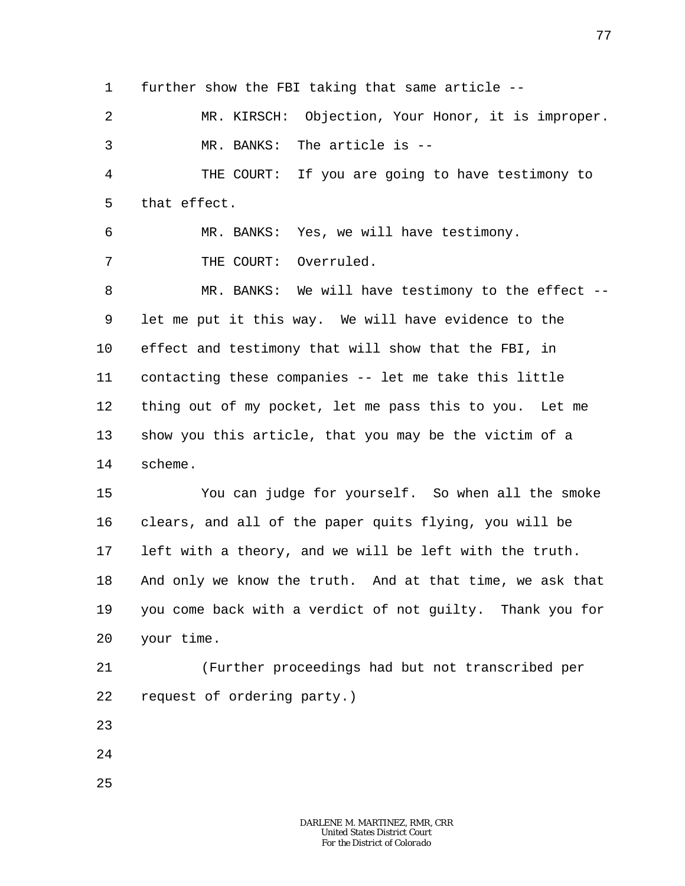1 further show the FBI taking that same article --

2 3 MR. KIRSCH: Objection, Your Honor, it is improper. MR. BANKS: The article is --

4 5 THE COURT: If you are going to have testimony to that effect.

6 MR. BANKS: Yes, we will have testimony.

7 THE COURT: Overruled.

8 9 10 11 12 13 14 MR. BANKS: We will have testimony to the effect -let me put it this way. We will have evidence to the effect and testimony that will show that the FBI, in contacting these companies -- let me take this little thing out of my pocket, let me pass this to you. Let me show you this article, that you may be the victim of a scheme.

15 16 17 18 19 20 You can judge for yourself. So when all the smoke clears, and all of the paper quits flying, you will be left with a theory, and we will be left with the truth. And only we know the truth. And at that time, we ask that you come back with a verdict of not guilty. Thank you for your time.

21 22 (Further proceedings had but not transcribed per request of ordering party.)

23

24

25